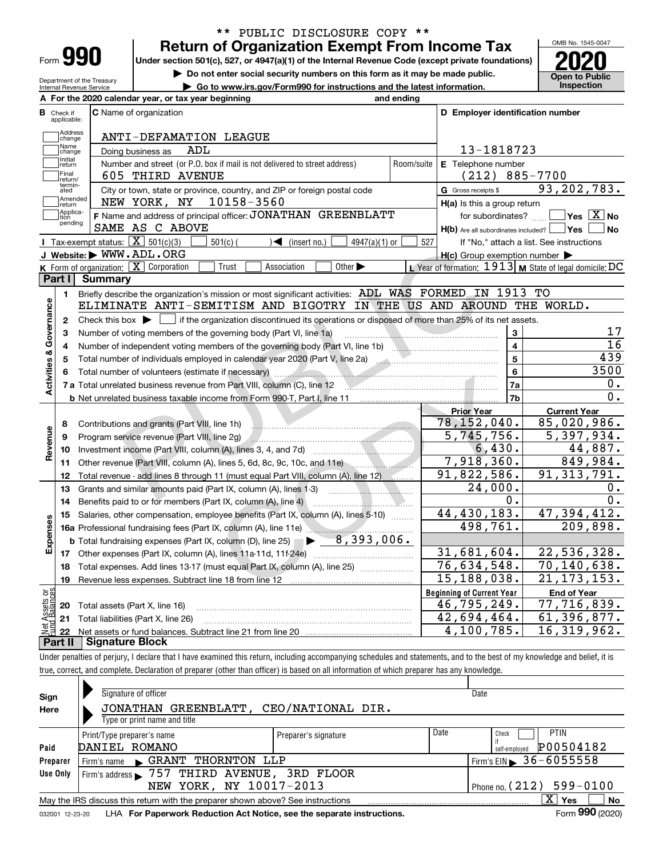| Form |  |
|------|--|

Department of the Treasury Internal Revenue Service

## **Return of Organization Exempt From Income Tax** \*\* PUBLIC DISCLOSURE COPY \*\*

**Under section 501(c), 527, or 4947(a)(1) of the Internal Revenue Code (except private foundations) 2020**

**| Do not enter social security numbers on this form as it may be made public.**

**| Go to www.irs.gov/Form990 for instructions and the latest information. Inspection**



|                         |                         | A For the 2020 calendar year, or tax year beginning                                                                                                                                                                                                                                  | and ending |                                                     |                                                                  |
|-------------------------|-------------------------|--------------------------------------------------------------------------------------------------------------------------------------------------------------------------------------------------------------------------------------------------------------------------------------|------------|-----------------------------------------------------|------------------------------------------------------------------|
| В                       | Check if<br>applicable: | <b>C</b> Name of organization                                                                                                                                                                                                                                                        |            | D Employer identification number                    |                                                                  |
|                         | Address<br>change       | ANTI-DEFAMATION LEAGUE                                                                                                                                                                                                                                                               |            |                                                     |                                                                  |
|                         | Name<br>change          | ADL<br>Doing business as                                                                                                                                                                                                                                                             |            | 13-1818723                                          |                                                                  |
|                         | Initial<br>return       | Number and street (or P.O. box if mail is not delivered to street address)                                                                                                                                                                                                           | Room/suite | E Telephone number                                  |                                                                  |
|                         | Final<br>return/        | 605 THIRD AVENUE                                                                                                                                                                                                                                                                     |            | $(212) 885 - 7700$                                  |                                                                  |
|                         | termin-<br>ated         | City or town, state or province, country, and ZIP or foreign postal code                                                                                                                                                                                                             |            | G Gross receipts \$                                 | 93, 202, 783.                                                    |
|                         | Amended<br>return       | 10158-3560<br>NEW YORK, NY                                                                                                                                                                                                                                                           |            | $H(a)$ is this a group return                       |                                                                  |
|                         | Applica-<br>tion        | F Name and address of principal officer: JONATHAN GREENBLATT                                                                                                                                                                                                                         |            | for subordinates?                                   | $ {\mathsf Y}{\mathsf e}{\mathsf s} \ \overline{{\mathsf X}}$ No |
|                         | pending                 | SAME AS C ABOVE                                                                                                                                                                                                                                                                      |            | $H(b)$ Are all subordinates included? $\Box$ Yes    | <b>No</b>                                                        |
|                         |                         | Tax-exempt status: $\boxed{\mathbf{X}}$ 501(c)(3)<br>$\sqrt{\frac{2}{1}}$ (insert no.)<br>$501(c)$ (<br>$4947(a)(1)$ or                                                                                                                                                              | 527        |                                                     | If "No," attach a list. See instructions                         |
|                         |                         | J Website: WWW.ADL.ORG                                                                                                                                                                                                                                                               |            | $H(c)$ Group exemption number $\blacktriangleright$ |                                                                  |
|                         |                         | K Form of organization: $X$ Corporation<br>Trust<br>Association<br>Other $\blacktriangleright$                                                                                                                                                                                       |            |                                                     | L Year of formation: $1913$ M State of legal domicile: DC        |
|                         | Part I                  | Summary                                                                                                                                                                                                                                                                              |            |                                                     |                                                                  |
|                         | 1.                      | Briefly describe the organization's mission or most significant activities: ADL WAS FORMED IN 1913 TO                                                                                                                                                                                |            |                                                     |                                                                  |
|                         |                         | ELIMINATE ANTI-SEMITISM AND BIGOTRY IN THE US AND AROUND THE WORLD.                                                                                                                                                                                                                  |            |                                                     |                                                                  |
| Activities & Governance | $\mathbf{2}$            | Check this box $\blacktriangleright$ $\blacksquare$ if the organization discontinued its operations or disposed of more than 25% of its net assets.                                                                                                                                  |            |                                                     |                                                                  |
|                         | з                       | Number of voting members of the governing body (Part VI, line 1a)                                                                                                                                                                                                                    |            | 3                                                   | 17                                                               |
|                         | 4                       |                                                                                                                                                                                                                                                                                      |            | $\overline{4}$                                      | 16                                                               |
|                         | 5                       |                                                                                                                                                                                                                                                                                      |            | $\overline{5}$                                      | 439                                                              |
|                         | 6                       | Total number of volunteers (estimate if necessary) manufactured and content to the content of the content of the content of the content of the content of the content of the content of the content of the content of the cont                                                       |            | 6                                                   | 3500                                                             |
|                         |                         | 7 a Total unrelated business revenue from Part VIII, column (C), line 12 <b>2000 2000 2010</b> 2010.                                                                                                                                                                                 |            | 7a                                                  | 0.                                                               |
|                         |                         | <b>b</b> Net unrelated business taxable income from Form 990-T, Part I, line 11 <b>manual contract of the Contract Proper</b>                                                                                                                                                        |            | 7b                                                  | 0.                                                               |
|                         |                         |                                                                                                                                                                                                                                                                                      |            | <b>Prior Year</b>                                   | <b>Current Year</b>                                              |
|                         | 8                       | Contributions and grants (Part VIII, line 1h)                                                                                                                                                                                                                                        |            | 78,152,040.                                         | 85,020,986.                                                      |
|                         | 9                       | Program service revenue (Part VIII, line 2g)<br><u> Alimana ali provincia ali provincia ali provincia ali provincia ali provincia ali provincia ali provincia ali provincia ali provincia ali provincia ali provincia ali provincia ali provincia ali provincia ali provincia al</u> |            | 5,745,756.                                          | 5,397,934.                                                       |
| Revenue                 | 10                      |                                                                                                                                                                                                                                                                                      |            | 6,430.                                              | 44,887.                                                          |
|                         | 11                      | Other revenue (Part VIII, column (A), lines 5, 6d, 8c, 9c, 10c, and 11e)                                                                                                                                                                                                             |            | 7,918,360.                                          | 849,984.                                                         |
|                         | 12                      | Total revenue - add lines 8 through 11 (must equal Part VIII, column (A), line 12)                                                                                                                                                                                                   |            | $\overline{91}$ , 822, 586.                         | 91, 313, 791.                                                    |
|                         | 13                      |                                                                                                                                                                                                                                                                                      |            | 24,000.                                             | Ο.                                                               |
|                         | 14                      | Benefits paid to or for members (Part IX, column (A), line 4)                                                                                                                                                                                                                        |            | $0$ .                                               | $\overline{0}$ .                                                 |
|                         | 15                      | Salaries, other compensation, employee benefits (Part IX, column (A), lines 5-10)                                                                                                                                                                                                    |            | 44,430,183.                                         | 47,394,412.                                                      |
|                         |                         |                                                                                                                                                                                                                                                                                      |            | 498,761.                                            | 209,898.                                                         |
| Expenses                |                         | $\blacktriangleright$ 8,393,006.<br><b>b</b> Total fundraising expenses (Part IX, column (D), line 25)                                                                                                                                                                               |            |                                                     |                                                                  |
|                         |                         |                                                                                                                                                                                                                                                                                      |            | 31,681,604.                                         | 22,536,328.                                                      |
|                         | 18                      | Total expenses. Add lines 13-17 (must equal Part IX, column (A), line 25) [11, 11, 11, 11, 11, 11, 11, 11, 11,                                                                                                                                                                       |            | 76,634,548.                                         | 70,140,638.                                                      |
|                         | 19                      |                                                                                                                                                                                                                                                                                      |            | $\overline{15,}188,038.$                            | 21, 173, 153.                                                    |
| ăğ                      |                         |                                                                                                                                                                                                                                                                                      |            | <b>Beginning of Current Year</b>                    | <b>End of Year</b>                                               |
| sets                    |                         | 20 Total assets (Part X, line 16)                                                                                                                                                                                                                                                    |            | $\overline{46}$ , 795, 249.                         | 77,716,839.                                                      |
|                         |                         | 21 Total liabilities (Part X, line 26)                                                                                                                                                                                                                                               |            | 42,694,464.                                         | 61,396,877.                                                      |
|                         | 22                      |                                                                                                                                                                                                                                                                                      |            | 4,100,785.                                          | 16,319,962.                                                      |
|                         | Part II                 | <b>Signature Block</b>                                                                                                                                                                                                                                                               |            |                                                     |                                                                  |

Under penalties of perjury, I declare that I have examined this return, including accompanying schedules and statements, and to the best of my knowledge and belief, it is true, correct, and complete. Declaration of preparer (other than officer) is based on all information of which preparer has any knowledge.

| Sign            | Signature of officer                                                            |                      |      | Date                                         |
|-----------------|---------------------------------------------------------------------------------|----------------------|------|----------------------------------------------|
| Here            | JONATHAN GREENBLATT,                                                            | CEO/NATIONAL DIR.    |      |                                              |
|                 | Type or print name and title                                                    |                      |      |                                              |
|                 | Print/Type preparer's name                                                      | Preparer's signature | Date | <b>PTIN</b><br>Check                         |
| Paid            | DANIEL ROMANO                                                                   |                      |      | P00504182<br>self-emploved                   |
| Preparer        | THORNTON LLP<br>$\mathsf{C}$ GRANT<br>Firm's name                               |                      |      | $I$ Firm's EIN $\triangleright$ 36 - 6055558 |
| Use Only        | Firm's address > 757 THIRD AVENUE, 3RD FLOOR                                    |                      |      |                                              |
|                 | NEW YORK, NY 10017-2013                                                         |                      |      | Phone no. $(212)$ 599-0100                   |
|                 | May the IRS discuss this return with the preparer shown above? See instructions |                      |      | x<br>No<br>Yes                               |
| 032001 12-23-20 | LHA For Paperwork Reduction Act Notice, see the separate instructions.          |                      |      | Form 990 (2020)                              |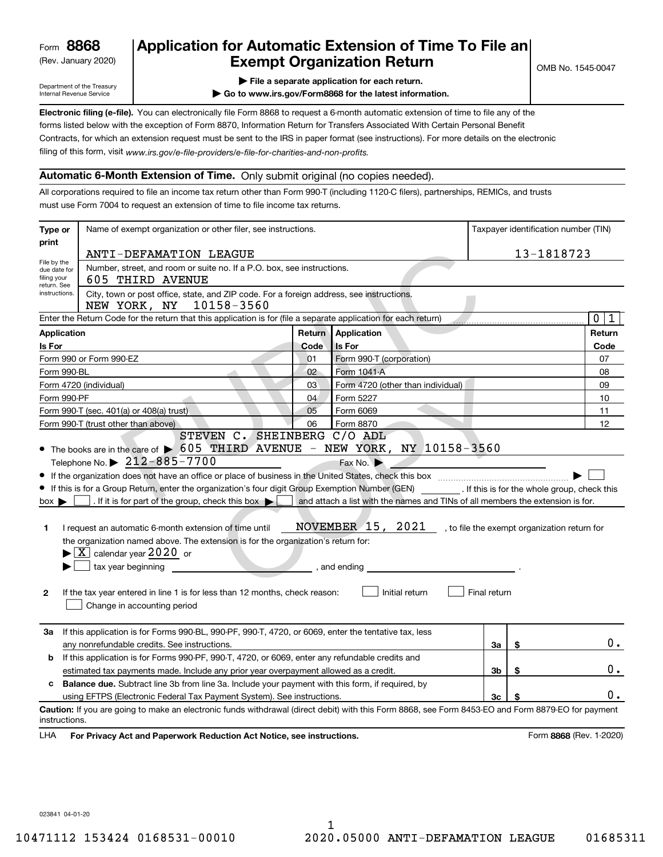(Rev. January 2020)

# **Application for Automatic Extension of Time To File an Exempt Organization Return**

Department of the Treasury Internal Revenue Service

- **| File a separate application for each return.**
- **| Go to www.irs.gov/Form8868 for the latest information.**

**Electronic filing (e-file).**  You can electronically file Form 8868 to request a 6-month automatic extension of time to file any of the filing of this form, visit www.irs.gov/e-file-providers/e-file-for-charities-and-non-profits. forms listed below with the exception of Form 8870, Information Return for Transfers Associated With Certain Personal Benefit Contracts, for which an extension request must be sent to the IRS in paper format (see instructions). For more details on the electronic

#### **Automatic 6-Month Extension of Time.** Only submit original (no copies needed).

All corporations required to file an income tax return other than Form 990-T (including 1120-C filers), partnerships, REMICs, and trusts must use Form 7004 to request an extension of time to file income tax returns.

| Type or                                    | Name of exempt organization or other filer, see instructions.                                                                                      |                 |                                                                                |              | Taxpayer identification number (TIN)         |
|--------------------------------------------|----------------------------------------------------------------------------------------------------------------------------------------------------|-----------------|--------------------------------------------------------------------------------|--------------|----------------------------------------------|
| print                                      | ANTI-DEFAMATION LEAGUE                                                                                                                             |                 |                                                                                |              | 13-1818723                                   |
| File by the                                | Number, street, and room or suite no. If a P.O. box, see instructions.                                                                             |                 |                                                                                |              |                                              |
| due date for<br>filing your<br>return. See | 605 THIRD AVENUE                                                                                                                                   |                 |                                                                                |              |                                              |
| instructions.                              | City, town or post office, state, and ZIP code. For a foreign address, see instructions.<br>NEW YORK, NY 10158-3560                                |                 |                                                                                |              |                                              |
|                                            | Enter the Return Code for the return that this application is for (file a separate application for each return)                                    |                 |                                                                                |              | $\mathbf 0$<br>1                             |
| <b>Application</b>                         |                                                                                                                                                    |                 | <b>Return Application</b>                                                      |              | Return                                       |
| Is For                                     |                                                                                                                                                    | Code            | Is For                                                                         |              | Code                                         |
|                                            | Form 990 or Form 990-EZ                                                                                                                            | 01              | Form 990-T (corporation)                                                       |              | 07                                           |
| Form 990-BL                                | a.                                                                                                                                                 | 02 <sub>2</sub> | Form 1041-A                                                                    |              | 08                                           |
|                                            | Form 4720 (individual)                                                                                                                             | 03              | Form 4720 (other than individual)                                              |              | 09                                           |
| Form 990-PF                                |                                                                                                                                                    | 04              | Form 5227                                                                      |              | 10                                           |
|                                            | Form 990-T (sec. 401(a) or 408(a) trust)                                                                                                           | 05              | Form 6069                                                                      |              | 11                                           |
|                                            | Form 990-T (trust other than above)                                                                                                                | 06              | Form 8870                                                                      |              | 12                                           |
|                                            | STEVEN C. SHEINBERG C/O ADL                                                                                                                        |                 |                                                                                |              |                                              |
|                                            | • The books are in the care of $\triangleright$ 605 THIRD AVENUE - NEW YORK, NY 10158-3560                                                         |                 |                                                                                |              |                                              |
|                                            | Telephone No. $\triangleright$ 212-885-7700                                                                                                        |                 | Fax No. $\blacktriangleright$                                                  |              |                                              |
|                                            |                                                                                                                                                    |                 |                                                                                |              |                                              |
|                                            | If this is for a Group Return, enter the organization's four digit Group Exemption Number (GEN) [16] The is for the whole group, check this        |                 |                                                                                |              |                                              |
| $box \blacktriangleright$                  | . If it is for part of the group, check this box $\blacktriangleright$                                                                             |                 | and attach a list with the names and TINs of all members the extension is for. |              |                                              |
|                                            |                                                                                                                                                    |                 |                                                                                |              |                                              |
| 1                                          | I request an automatic 6-month extension of time until                                                                                             |                 | NOVEMBER 15, 2021                                                              |              | , to file the exempt organization return for |
|                                            | the organization named above. The extension is for the organization's return for:                                                                  |                 |                                                                                |              |                                              |
|                                            | $\blacktriangleright$ $\boxed{\text{X}}$ calendar year 2020 or                                                                                     |                 |                                                                                |              |                                              |
|                                            | tax year beginning                                                                                                                                 |                 | , and ending                                                                   |              |                                              |
|                                            |                                                                                                                                                    |                 |                                                                                |              |                                              |
| $\mathbf{2}$                               | If the tax year entered in line 1 is for less than 12 months, check reason:                                                                        |                 | Initial return                                                                 | Final return |                                              |
|                                            | Change in accounting period                                                                                                                        |                 |                                                                                |              |                                              |
|                                            |                                                                                                                                                    |                 |                                                                                |              |                                              |
| За                                         | If this application is for Forms 990-BL, 990-PF, 990-T, 4720, or 6069, enter the tentative tax, less                                               |                 |                                                                                |              |                                              |
|                                            | any nonrefundable credits. See instructions.                                                                                                       |                 |                                                                                | За           | \$<br>$0$ .                                  |
| b                                          | If this application is for Forms 990-PF, 990-T, 4720, or 6069, enter any refundable credits and                                                    |                 |                                                                                |              |                                              |
|                                            | estimated tax payments made. Include any prior year overpayment allowed as a credit.                                                               |                 |                                                                                | Зb           | \$<br>0.                                     |
| c                                          | Balance due. Subtract line 3b from line 3a. Include your payment with this form, if required, by                                                   |                 |                                                                                |              |                                              |
|                                            | using EFTPS (Electronic Federal Tax Payment System). See instructions.                                                                             |                 |                                                                                | 3c           | \$<br>0.                                     |
|                                            | Caution: If you are going to make an electronic funds withdrawal (direct debit) with this Form 8868, see Form 8453-EO and Form 8879-EO for payment |                 |                                                                                |              |                                              |
| instructions.                              |                                                                                                                                                    |                 |                                                                                |              |                                              |
| LHA                                        | For Privacy Act and Paperwork Reduction Act Notice, see instructions.                                                                              |                 |                                                                                |              | Form 8868 (Rev. 1-2020)                      |

023841 04-01-20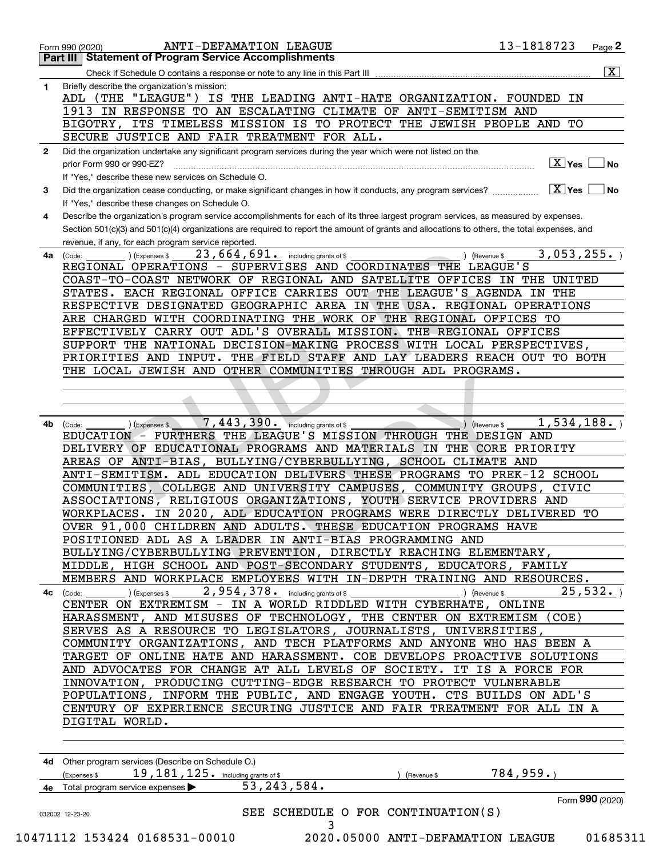|                                                                                                                                         | Check if Schedule O contains a response or note to any line in this Part III                                                                                                                                                                                                                                                                                                                                                                                                                                                                                                                                                                                                                                                                                                                                                                                                                                                                                                                                                                                                                                                                                                                                                                                                                                                                                                                                                                                                                                                                                                                                                                                                                                                                                                                                                                                                                                                                                                                                                                                                                                                                                                                                                                                                                                                                                                                                                                                                                                                                                                                                                                                                                                                                                                                                                                                                                                                                                                                                                                                                                                                                                                                                                                                                                                                                                                                                                                                                                                                                                                                                                                                                                                                                                                                                       |            |
|-----------------------------------------------------------------------------------------------------------------------------------------|--------------------------------------------------------------------------------------------------------------------------------------------------------------------------------------------------------------------------------------------------------------------------------------------------------------------------------------------------------------------------------------------------------------------------------------------------------------------------------------------------------------------------------------------------------------------------------------------------------------------------------------------------------------------------------------------------------------------------------------------------------------------------------------------------------------------------------------------------------------------------------------------------------------------------------------------------------------------------------------------------------------------------------------------------------------------------------------------------------------------------------------------------------------------------------------------------------------------------------------------------------------------------------------------------------------------------------------------------------------------------------------------------------------------------------------------------------------------------------------------------------------------------------------------------------------------------------------------------------------------------------------------------------------------------------------------------------------------------------------------------------------------------------------------------------------------------------------------------------------------------------------------------------------------------------------------------------------------------------------------------------------------------------------------------------------------------------------------------------------------------------------------------------------------------------------------------------------------------------------------------------------------------------------------------------------------------------------------------------------------------------------------------------------------------------------------------------------------------------------------------------------------------------------------------------------------------------------------------------------------------------------------------------------------------------------------------------------------------------------------------------------------------------------------------------------------------------------------------------------------------------------------------------------------------------------------------------------------------------------------------------------------------------------------------------------------------------------------------------------------------------------------------------------------------------------------------------------------------------------------------------------------------------------------------------------------------------------------------------------------------------------------------------------------------------------------------------------------------------------------------------------------------------------------------------------------------------------------------------------------------------------------------------------------------------------------------------------------------------------------------------------------------------------------------------------------|------------|
| 1                                                                                                                                       | Briefly describe the organization's mission:                                                                                                                                                                                                                                                                                                                                                                                                                                                                                                                                                                                                                                                                                                                                                                                                                                                                                                                                                                                                                                                                                                                                                                                                                                                                                                                                                                                                                                                                                                                                                                                                                                                                                                                                                                                                                                                                                                                                                                                                                                                                                                                                                                                                                                                                                                                                                                                                                                                                                                                                                                                                                                                                                                                                                                                                                                                                                                                                                                                                                                                                                                                                                                                                                                                                                                                                                                                                                                                                                                                                                                                                                                                                                                                                                                       |            |
|                                                                                                                                         | ADL (THE "LEAGUE")                                                                                                                                                                                                                                                                                                                                                                                                                                                                                                                                                                                                                                                                                                                                                                                                                                                                                                                                                                                                                                                                                                                                                                                                                                                                                                                                                                                                                                                                                                                                                                                                                                                                                                                                                                                                                                                                                                                                                                                                                                                                                                                                                                                                                                                                                                                                                                                                                                                                                                                                                                                                                                                                                                                                                                                                                                                                                                                                                                                                                                                                                                                                                                                                                                                                                                                                                                                                                                                                                                                                                                                                                                                                                                                                                                                                 | ΙN         |
|                                                                                                                                         |                                                                                                                                                                                                                                                                                                                                                                                                                                                                                                                                                                                                                                                                                                                                                                                                                                                                                                                                                                                                                                                                                                                                                                                                                                                                                                                                                                                                                                                                                                                                                                                                                                                                                                                                                                                                                                                                                                                                                                                                                                                                                                                                                                                                                                                                                                                                                                                                                                                                                                                                                                                                                                                                                                                                                                                                                                                                                                                                                                                                                                                                                                                                                                                                                                                                                                                                                                                                                                                                                                                                                                                                                                                                                                                                                                                                                    |            |
|                                                                                                                                         |                                                                                                                                                                                                                                                                                                                                                                                                                                                                                                                                                                                                                                                                                                                                                                                                                                                                                                                                                                                                                                                                                                                                                                                                                                                                                                                                                                                                                                                                                                                                                                                                                                                                                                                                                                                                                                                                                                                                                                                                                                                                                                                                                                                                                                                                                                                                                                                                                                                                                                                                                                                                                                                                                                                                                                                                                                                                                                                                                                                                                                                                                                                                                                                                                                                                                                                                                                                                                                                                                                                                                                                                                                                                                                                                                                                                                    |            |
|                                                                                                                                         |                                                                                                                                                                                                                                                                                                                                                                                                                                                                                                                                                                                                                                                                                                                                                                                                                                                                                                                                                                                                                                                                                                                                                                                                                                                                                                                                                                                                                                                                                                                                                                                                                                                                                                                                                                                                                                                                                                                                                                                                                                                                                                                                                                                                                                                                                                                                                                                                                                                                                                                                                                                                                                                                                                                                                                                                                                                                                                                                                                                                                                                                                                                                                                                                                                                                                                                                                                                                                                                                                                                                                                                                                                                                                                                                                                                                                    |            |
|                                                                                                                                         |                                                                                                                                                                                                                                                                                                                                                                                                                                                                                                                                                                                                                                                                                                                                                                                                                                                                                                                                                                                                                                                                                                                                                                                                                                                                                                                                                                                                                                                                                                                                                                                                                                                                                                                                                                                                                                                                                                                                                                                                                                                                                                                                                                                                                                                                                                                                                                                                                                                                                                                                                                                                                                                                                                                                                                                                                                                                                                                                                                                                                                                                                                                                                                                                                                                                                                                                                                                                                                                                                                                                                                                                                                                                                                                                                                                                                    |            |
|                                                                                                                                         |                                                                                                                                                                                                                                                                                                                                                                                                                                                                                                                                                                                                                                                                                                                                                                                                                                                                                                                                                                                                                                                                                                                                                                                                                                                                                                                                                                                                                                                                                                                                                                                                                                                                                                                                                                                                                                                                                                                                                                                                                                                                                                                                                                                                                                                                                                                                                                                                                                                                                                                                                                                                                                                                                                                                                                                                                                                                                                                                                                                                                                                                                                                                                                                                                                                                                                                                                                                                                                                                                                                                                                                                                                                                                                                                                                                                                    |            |
|                                                                                                                                         |                                                                                                                                                                                                                                                                                                                                                                                                                                                                                                                                                                                                                                                                                                                                                                                                                                                                                                                                                                                                                                                                                                                                                                                                                                                                                                                                                                                                                                                                                                                                                                                                                                                                                                                                                                                                                                                                                                                                                                                                                                                                                                                                                                                                                                                                                                                                                                                                                                                                                                                                                                                                                                                                                                                                                                                                                                                                                                                                                                                                                                                                                                                                                                                                                                                                                                                                                                                                                                                                                                                                                                                                                                                                                                                                                                                                                    |            |
|                                                                                                                                         |                                                                                                                                                                                                                                                                                                                                                                                                                                                                                                                                                                                                                                                                                                                                                                                                                                                                                                                                                                                                                                                                                                                                                                                                                                                                                                                                                                                                                                                                                                                                                                                                                                                                                                                                                                                                                                                                                                                                                                                                                                                                                                                                                                                                                                                                                                                                                                                                                                                                                                                                                                                                                                                                                                                                                                                                                                                                                                                                                                                                                                                                                                                                                                                                                                                                                                                                                                                                                                                                                                                                                                                                                                                                                                                                                                                                                    |            |
|                                                                                                                                         |                                                                                                                                                                                                                                                                                                                                                                                                                                                                                                                                                                                                                                                                                                                                                                                                                                                                                                                                                                                                                                                                                                                                                                                                                                                                                                                                                                                                                                                                                                                                                                                                                                                                                                                                                                                                                                                                                                                                                                                                                                                                                                                                                                                                                                                                                                                                                                                                                                                                                                                                                                                                                                                                                                                                                                                                                                                                                                                                                                                                                                                                                                                                                                                                                                                                                                                                                                                                                                                                                                                                                                                                                                                                                                                                                                                                                    |            |
|                                                                                                                                         |                                                                                                                                                                                                                                                                                                                                                                                                                                                                                                                                                                                                                                                                                                                                                                                                                                                                                                                                                                                                                                                                                                                                                                                                                                                                                                                                                                                                                                                                                                                                                                                                                                                                                                                                                                                                                                                                                                                                                                                                                                                                                                                                                                                                                                                                                                                                                                                                                                                                                                                                                                                                                                                                                                                                                                                                                                                                                                                                                                                                                                                                                                                                                                                                                                                                                                                                                                                                                                                                                                                                                                                                                                                                                                                                                                                                                    |            |
|                                                                                                                                         |                                                                                                                                                                                                                                                                                                                                                                                                                                                                                                                                                                                                                                                                                                                                                                                                                                                                                                                                                                                                                                                                                                                                                                                                                                                                                                                                                                                                                                                                                                                                                                                                                                                                                                                                                                                                                                                                                                                                                                                                                                                                                                                                                                                                                                                                                                                                                                                                                                                                                                                                                                                                                                                                                                                                                                                                                                                                                                                                                                                                                                                                                                                                                                                                                                                                                                                                                                                                                                                                                                                                                                                                                                                                                                                                                                                                                    |            |
|                                                                                                                                         |                                                                                                                                                                                                                                                                                                                                                                                                                                                                                                                                                                                                                                                                                                                                                                                                                                                                                                                                                                                                                                                                                                                                                                                                                                                                                                                                                                                                                                                                                                                                                                                                                                                                                                                                                                                                                                                                                                                                                                                                                                                                                                                                                                                                                                                                                                                                                                                                                                                                                                                                                                                                                                                                                                                                                                                                                                                                                                                                                                                                                                                                                                                                                                                                                                                                                                                                                                                                                                                                                                                                                                                                                                                                                                                                                                                                                    |            |
|                                                                                                                                         |                                                                                                                                                                                                                                                                                                                                                                                                                                                                                                                                                                                                                                                                                                                                                                                                                                                                                                                                                                                                                                                                                                                                                                                                                                                                                                                                                                                                                                                                                                                                                                                                                                                                                                                                                                                                                                                                                                                                                                                                                                                                                                                                                                                                                                                                                                                                                                                                                                                                                                                                                                                                                                                                                                                                                                                                                                                                                                                                                                                                                                                                                                                                                                                                                                                                                                                                                                                                                                                                                                                                                                                                                                                                                                                                                                                                                    |            |
|                                                                                                                                         |                                                                                                                                                                                                                                                                                                                                                                                                                                                                                                                                                                                                                                                                                                                                                                                                                                                                                                                                                                                                                                                                                                                                                                                                                                                                                                                                                                                                                                                                                                                                                                                                                                                                                                                                                                                                                                                                                                                                                                                                                                                                                                                                                                                                                                                                                                                                                                                                                                                                                                                                                                                                                                                                                                                                                                                                                                                                                                                                                                                                                                                                                                                                                                                                                                                                                                                                                                                                                                                                                                                                                                                                                                                                                                                                                                                                                    |            |
|                                                                                                                                         |                                                                                                                                                                                                                                                                                                                                                                                                                                                                                                                                                                                                                                                                                                                                                                                                                                                                                                                                                                                                                                                                                                                                                                                                                                                                                                                                                                                                                                                                                                                                                                                                                                                                                                                                                                                                                                                                                                                                                                                                                                                                                                                                                                                                                                                                                                                                                                                                                                                                                                                                                                                                                                                                                                                                                                                                                                                                                                                                                                                                                                                                                                                                                                                                                                                                                                                                                                                                                                                                                                                                                                                                                                                                                                                                                                                                                    |            |
|                                                                                                                                         |                                                                                                                                                                                                                                                                                                                                                                                                                                                                                                                                                                                                                                                                                                                                                                                                                                                                                                                                                                                                                                                                                                                                                                                                                                                                                                                                                                                                                                                                                                                                                                                                                                                                                                                                                                                                                                                                                                                                                                                                                                                                                                                                                                                                                                                                                                                                                                                                                                                                                                                                                                                                                                                                                                                                                                                                                                                                                                                                                                                                                                                                                                                                                                                                                                                                                                                                                                                                                                                                                                                                                                                                                                                                                                                                                                                                                    |            |
|                                                                                                                                         |                                                                                                                                                                                                                                                                                                                                                                                                                                                                                                                                                                                                                                                                                                                                                                                                                                                                                                                                                                                                                                                                                                                                                                                                                                                                                                                                                                                                                                                                                                                                                                                                                                                                                                                                                                                                                                                                                                                                                                                                                                                                                                                                                                                                                                                                                                                                                                                                                                                                                                                                                                                                                                                                                                                                                                                                                                                                                                                                                                                                                                                                                                                                                                                                                                                                                                                                                                                                                                                                                                                                                                                                                                                                                                                                                                                                                    |            |
|                                                                                                                                         |                                                                                                                                                                                                                                                                                                                                                                                                                                                                                                                                                                                                                                                                                                                                                                                                                                                                                                                                                                                                                                                                                                                                                                                                                                                                                                                                                                                                                                                                                                                                                                                                                                                                                                                                                                                                                                                                                                                                                                                                                                                                                                                                                                                                                                                                                                                                                                                                                                                                                                                                                                                                                                                                                                                                                                                                                                                                                                                                                                                                                                                                                                                                                                                                                                                                                                                                                                                                                                                                                                                                                                                                                                                                                                                                                                                                                    |            |
|                                                                                                                                         |                                                                                                                                                                                                                                                                                                                                                                                                                                                                                                                                                                                                                                                                                                                                                                                                                                                                                                                                                                                                                                                                                                                                                                                                                                                                                                                                                                                                                                                                                                                                                                                                                                                                                                                                                                                                                                                                                                                                                                                                                                                                                                                                                                                                                                                                                                                                                                                                                                                                                                                                                                                                                                                                                                                                                                                                                                                                                                                                                                                                                                                                                                                                                                                                                                                                                                                                                                                                                                                                                                                                                                                                                                                                                                                                                                                                                    |            |
| Form 990 (2020)<br>Part III<br>$\mathbf{2}$<br>3<br>4<br>4a<br>(Code:<br>4b<br>(Code:<br>(Code:<br>4с<br>Expenses \$<br>032002 12-23-20 |                                                                                                                                                                                                                                                                                                                                                                                                                                                                                                                                                                                                                                                                                                                                                                                                                                                                                                                                                                                                                                                                                                                                                                                                                                                                                                                                                                                                                                                                                                                                                                                                                                                                                                                                                                                                                                                                                                                                                                                                                                                                                                                                                                                                                                                                                                                                                                                                                                                                                                                                                                                                                                                                                                                                                                                                                                                                                                                                                                                                                                                                                                                                                                                                                                                                                                                                                                                                                                                                                                                                                                                                                                                                                                                                                                                                                    |            |
|                                                                                                                                         |                                                                                                                                                                                                                                                                                                                                                                                                                                                                                                                                                                                                                                                                                                                                                                                                                                                                                                                                                                                                                                                                                                                                                                                                                                                                                                                                                                                                                                                                                                                                                                                                                                                                                                                                                                                                                                                                                                                                                                                                                                                                                                                                                                                                                                                                                                                                                                                                                                                                                                                                                                                                                                                                                                                                                                                                                                                                                                                                                                                                                                                                                                                                                                                                                                                                                                                                                                                                                                                                                                                                                                                                                                                                                                                                                                                                                    |            |
|                                                                                                                                         |                                                                                                                                                                                                                                                                                                                                                                                                                                                                                                                                                                                                                                                                                                                                                                                                                                                                                                                                                                                                                                                                                                                                                                                                                                                                                                                                                                                                                                                                                                                                                                                                                                                                                                                                                                                                                                                                                                                                                                                                                                                                                                                                                                                                                                                                                                                                                                                                                                                                                                                                                                                                                                                                                                                                                                                                                                                                                                                                                                                                                                                                                                                                                                                                                                                                                                                                                                                                                                                                                                                                                                                                                                                                                                                                                                                                                    |            |
|                                                                                                                                         |                                                                                                                                                                                                                                                                                                                                                                                                                                                                                                                                                                                                                                                                                                                                                                                                                                                                                                                                                                                                                                                                                                                                                                                                                                                                                                                                                                                                                                                                                                                                                                                                                                                                                                                                                                                                                                                                                                                                                                                                                                                                                                                                                                                                                                                                                                                                                                                                                                                                                                                                                                                                                                                                                                                                                                                                                                                                                                                                                                                                                                                                                                                                                                                                                                                                                                                                                                                                                                                                                                                                                                                                                                                                                                                                                                                                                    |            |
|                                                                                                                                         |                                                                                                                                                                                                                                                                                                                                                                                                                                                                                                                                                                                                                                                                                                                                                                                                                                                                                                                                                                                                                                                                                                                                                                                                                                                                                                                                                                                                                                                                                                                                                                                                                                                                                                                                                                                                                                                                                                                                                                                                                                                                                                                                                                                                                                                                                                                                                                                                                                                                                                                                                                                                                                                                                                                                                                                                                                                                                                                                                                                                                                                                                                                                                                                                                                                                                                                                                                                                                                                                                                                                                                                                                                                                                                                                                                                                                    |            |
|                                                                                                                                         |                                                                                                                                                                                                                                                                                                                                                                                                                                                                                                                                                                                                                                                                                                                                                                                                                                                                                                                                                                                                                                                                                                                                                                                                                                                                                                                                                                                                                                                                                                                                                                                                                                                                                                                                                                                                                                                                                                                                                                                                                                                                                                                                                                                                                                                                                                                                                                                                                                                                                                                                                                                                                                                                                                                                                                                                                                                                                                                                                                                                                                                                                                                                                                                                                                                                                                                                                                                                                                                                                                                                                                                                                                                                                                                                                                                                                    |            |
|                                                                                                                                         |                                                                                                                                                                                                                                                                                                                                                                                                                                                                                                                                                                                                                                                                                                                                                                                                                                                                                                                                                                                                                                                                                                                                                                                                                                                                                                                                                                                                                                                                                                                                                                                                                                                                                                                                                                                                                                                                                                                                                                                                                                                                                                                                                                                                                                                                                                                                                                                                                                                                                                                                                                                                                                                                                                                                                                                                                                                                                                                                                                                                                                                                                                                                                                                                                                                                                                                                                                                                                                                                                                                                                                                                                                                                                                                                                                                                                    |            |
|                                                                                                                                         | Expenses \$                                                                                                                                                                                                                                                                                                                                                                                                                                                                                                                                                                                                                                                                                                                                                                                                                                                                                                                                                                                                                                                                                                                                                                                                                                                                                                                                                                                                                                                                                                                                                                                                                                                                                                                                                                                                                                                                                                                                                                                                                                                                                                                                                                                                                                                                                                                                                                                                                                                                                                                                                                                                                                                                                                                                                                                                                                                                                                                                                                                                                                                                                                                                                                                                                                                                                                                                                                                                                                                                                                                                                                                                                                                                                                                                                                                                        | Revenue \$ |
|                                                                                                                                         |                                                                                                                                                                                                                                                                                                                                                                                                                                                                                                                                                                                                                                                                                                                                                                                                                                                                                                                                                                                                                                                                                                                                                                                                                                                                                                                                                                                                                                                                                                                                                                                                                                                                                                                                                                                                                                                                                                                                                                                                                                                                                                                                                                                                                                                                                                                                                                                                                                                                                                                                                                                                                                                                                                                                                                                                                                                                                                                                                                                                                                                                                                                                                                                                                                                                                                                                                                                                                                                                                                                                                                                                                                                                                                                                                                                                                    |            |
|                                                                                                                                         |                                                                                                                                                                                                                                                                                                                                                                                                                                                                                                                                                                                                                                                                                                                                                                                                                                                                                                                                                                                                                                                                                                                                                                                                                                                                                                                                                                                                                                                                                                                                                                                                                                                                                                                                                                                                                                                                                                                                                                                                                                                                                                                                                                                                                                                                                                                                                                                                                                                                                                                                                                                                                                                                                                                                                                                                                                                                                                                                                                                                                                                                                                                                                                                                                                                                                                                                                                                                                                                                                                                                                                                                                                                                                                                                                                                                                    |            |
|                                                                                                                                         |                                                                                                                                                                                                                                                                                                                                                                                                                                                                                                                                                                                                                                                                                                                                                                                                                                                                                                                                                                                                                                                                                                                                                                                                                                                                                                                                                                                                                                                                                                                                                                                                                                                                                                                                                                                                                                                                                                                                                                                                                                                                                                                                                                                                                                                                                                                                                                                                                                                                                                                                                                                                                                                                                                                                                                                                                                                                                                                                                                                                                                                                                                                                                                                                                                                                                                                                                                                                                                                                                                                                                                                                                                                                                                                                                                                                                    |            |
|                                                                                                                                         |                                                                                                                                                                                                                                                                                                                                                                                                                                                                                                                                                                                                                                                                                                                                                                                                                                                                                                                                                                                                                                                                                                                                                                                                                                                                                                                                                                                                                                                                                                                                                                                                                                                                                                                                                                                                                                                                                                                                                                                                                                                                                                                                                                                                                                                                                                                                                                                                                                                                                                                                                                                                                                                                                                                                                                                                                                                                                                                                                                                                                                                                                                                                                                                                                                                                                                                                                                                                                                                                                                                                                                                                                                                                                                                                                                                                                    |            |
|                                                                                                                                         |                                                                                                                                                                                                                                                                                                                                                                                                                                                                                                                                                                                                                                                                                                                                                                                                                                                                                                                                                                                                                                                                                                                                                                                                                                                                                                                                                                                                                                                                                                                                                                                                                                                                                                                                                                                                                                                                                                                                                                                                                                                                                                                                                                                                                                                                                                                                                                                                                                                                                                                                                                                                                                                                                                                                                                                                                                                                                                                                                                                                                                                                                                                                                                                                                                                                                                                                                                                                                                                                                                                                                                                                                                                                                                                                                                                                                    | CIVIC      |
|                                                                                                                                         |                                                                                                                                                                                                                                                                                                                                                                                                                                                                                                                                                                                                                                                                                                                                                                                                                                                                                                                                                                                                                                                                                                                                                                                                                                                                                                                                                                                                                                                                                                                                                                                                                                                                                                                                                                                                                                                                                                                                                                                                                                                                                                                                                                                                                                                                                                                                                                                                                                                                                                                                                                                                                                                                                                                                                                                                                                                                                                                                                                                                                                                                                                                                                                                                                                                                                                                                                                                                                                                                                                                                                                                                                                                                                                                                                                                                                    |            |
|                                                                                                                                         |                                                                                                                                                                                                                                                                                                                                                                                                                                                                                                                                                                                                                                                                                                                                                                                                                                                                                                                                                                                                                                                                                                                                                                                                                                                                                                                                                                                                                                                                                                                                                                                                                                                                                                                                                                                                                                                                                                                                                                                                                                                                                                                                                                                                                                                                                                                                                                                                                                                                                                                                                                                                                                                                                                                                                                                                                                                                                                                                                                                                                                                                                                                                                                                                                                                                                                                                                                                                                                                                                                                                                                                                                                                                                                                                                                                                                    |            |
|                                                                                                                                         | 13-1818723<br>ANTI-DEFAMATION LEAGUE<br>Page 2<br><b>Statement of Program Service Accomplishments</b><br>$\overline{\mathbf{x}}$<br>IS THE LEADING ANTI-HATE ORGANIZATION. FOUNDED<br>1913 IN RESPONSE TO AN ESCALATING CLIMATE OF ANTI-SEMITISM AND<br>BIGOTRY, ITS TIMELESS MISSION IS TO PROTECT THE JEWISH PEOPLE AND<br>TО<br>SECURE JUSTICE AND FAIR TREATMENT FOR ALL.<br>Did the organization undertake any significant program services during the year which were not listed on the<br>∣X ∣Yes<br>l No<br>prior Form 990 or 990-EZ?<br>If "Yes," describe these new services on Schedule O.<br>$\boxed{\text{X}}$ Yes $\boxed{\ }$<br>Did the organization cease conducting, or make significant changes in how it conducts, any program services?<br>  No<br>If "Yes," describe these changes on Schedule O.<br>Describe the organization's program service accomplishments for each of its three largest program services, as measured by expenses.<br>Section 501(c)(3) and 501(c)(4) organizations are required to report the amount of grants and allocations to others, the total expenses, and<br>revenue, if any, for each program service reported.<br>3,053,255.<br>23,664,691. including grants of \$<br>Expenses \$<br>) (Revenue \$<br>REGIONAL OPERATIONS - SUPERVISES AND COORDINATES THE<br>LEAGUE'S<br>COAST-TO-COAST NETWORK OF REGIONAL AND SATELLITE OFFICES IN<br>THE UNITED<br>STATES. EACH REGIONAL OFFICE CARRIES OUT THE LEAGUE'S AGENDA IN THE<br>RESPECTIVE DESIGNATED GEOGRAPHIC AREA IN THE USA. REGIONAL OPERATIONS<br>ARE CHARGED WITH COORDINATING THE WORK OF THE REGIONAL OFFICES TO<br>EFFECTIVELY CARRY OUT ADL'S OVERALL MISSION. THE REGIONAL OFFICES<br>SUPPORT THE NATIONAL DECISION-MAKING PROCESS WITH LOCAL PERSPECTIVES,<br>PRIORITIES AND INPUT. THE FIELD STAFF AND LAY LEADERS REACH OUT TO BOTH<br>THE LOCAL JEWISH AND OTHER COMMUNITIES THROUGH ADL PROGRAMS.<br>7, 443, 390. including grants of \$<br>1,534,188.<br>EDUCATION - FURTHERS THE LEAGUE'S MISSION THROUGH THE DESIGN AND<br>DELIVERY OF EDUCATIONAL PROGRAMS AND MATERIALS IN THE CORE PRIORITY<br>AREAS OF ANTI-BIAS, BULLYING/CYBERBULLYING, SCHOOL CLIMATE AND<br>ANTI-SEMITISM. ADL EDUCATION DELIVERS THESE PROGRAMS TO PREK-12 SCHOOL<br>COMMUNITIES, COLLEGE AND UNIVERSITY CAMPUSES, COMMUNITY GROUPS,<br>ASSOCIATIONS, RELIGIOUS ORGANIZATIONS, YOUTH SERVICE PROVIDERS AND<br>WORKPLACES. IN 2020, ADL EDUCATION PROGRAMS WERE DIRECTLY DELIVERED TO<br>OVER 91,000 CHILDREN AND ADULTS. THESE EDUCATION PROGRAMS HAVE<br>POSITIONED ADL AS A LEADER IN ANTI-BIAS PROGRAMMING AND<br>BULLYING/CYBERBULLYING PREVENTION, DIRECTLY REACHING ELEMENTARY,<br>MIDDLE, HIGH SCHOOL AND POST-SECONDARY STUDENTS, EDUCATORS, FAMILY<br>MEMBERS AND WORKPLACE EMPLOYEES WITH IN-DEPTH TRAINING AND RESOURCES.<br>25,532.<br>2,954,378. including grants of \$<br>(Expenses \$<br>) (Revenue \$<br>CENTER ON EXTREMISM - IN A WORLD RIDDLED WITH CYBERHATE, ONLINE<br>HARASSMENT, AND MISUSES OF TECHNOLOGY, THE CENTER ON EXTREMISM (COE)<br>SERVES AS A RESOURCE TO LEGISLATORS, JOURNALISTS, UNIVERSITIES,<br>COMMUNITY ORGANIZATIONS, AND TECH PLATFORMS AND ANYONE WHO HAS BEEN A<br>TARGET OF ONLINE HATE AND HARASSMENT. COE DEVELOPS PROACTIVE SOLUTIONS<br>AND ADVOCATES FOR CHANGE AT ALL LEVELS OF SOCIETY. IT IS A FORCE FOR<br>INNOVATION, PRODUCING CUTTING-EDGE RESEARCH TO PROTECT VULNERABLE<br>POPULATIONS, INFORM THE PUBLIC, AND ENGAGE YOUTH. CTS BUILDS ON ADL'S<br>CENTURY OF EXPERIENCE SECURING JUSTICE AND FAIR TREATMENT FOR ALL IN A<br>DIGITAL WORLD.<br>784, 959.<br>19, 181, 125. including grants of \$<br>) (Revenue \$<br>53, 243, 584.<br>Form 990 (2020)<br>SEE SCHEDULE O FOR CONTINUATION(S)<br>3<br>01685311<br>2020.05000 ANTI-DEFAMATION LEAGUE |            |
| 4d Other program services (Describe on Schedule O.)<br>4e Total program service expenses ><br>10471112 153424 0168531-00010             |                                                                                                                                                                                                                                                                                                                                                                                                                                                                                                                                                                                                                                                                                                                                                                                                                                                                                                                                                                                                                                                                                                                                                                                                                                                                                                                                                                                                                                                                                                                                                                                                                                                                                                                                                                                                                                                                                                                                                                                                                                                                                                                                                                                                                                                                                                                                                                                                                                                                                                                                                                                                                                                                                                                                                                                                                                                                                                                                                                                                                                                                                                                                                                                                                                                                                                                                                                                                                                                                                                                                                                                                                                                                                                                                                                                                                    |            |
|                                                                                                                                         |                                                                                                                                                                                                                                                                                                                                                                                                                                                                                                                                                                                                                                                                                                                                                                                                                                                                                                                                                                                                                                                                                                                                                                                                                                                                                                                                                                                                                                                                                                                                                                                                                                                                                                                                                                                                                                                                                                                                                                                                                                                                                                                                                                                                                                                                                                                                                                                                                                                                                                                                                                                                                                                                                                                                                                                                                                                                                                                                                                                                                                                                                                                                                                                                                                                                                                                                                                                                                                                                                                                                                                                                                                                                                                                                                                                                                    |            |
|                                                                                                                                         |                                                                                                                                                                                                                                                                                                                                                                                                                                                                                                                                                                                                                                                                                                                                                                                                                                                                                                                                                                                                                                                                                                                                                                                                                                                                                                                                                                                                                                                                                                                                                                                                                                                                                                                                                                                                                                                                                                                                                                                                                                                                                                                                                                                                                                                                                                                                                                                                                                                                                                                                                                                                                                                                                                                                                                                                                                                                                                                                                                                                                                                                                                                                                                                                                                                                                                                                                                                                                                                                                                                                                                                                                                                                                                                                                                                                                    |            |
|                                                                                                                                         |                                                                                                                                                                                                                                                                                                                                                                                                                                                                                                                                                                                                                                                                                                                                                                                                                                                                                                                                                                                                                                                                                                                                                                                                                                                                                                                                                                                                                                                                                                                                                                                                                                                                                                                                                                                                                                                                                                                                                                                                                                                                                                                                                                                                                                                                                                                                                                                                                                                                                                                                                                                                                                                                                                                                                                                                                                                                                                                                                                                                                                                                                                                                                                                                                                                                                                                                                                                                                                                                                                                                                                                                                                                                                                                                                                                                                    |            |
|                                                                                                                                         |                                                                                                                                                                                                                                                                                                                                                                                                                                                                                                                                                                                                                                                                                                                                                                                                                                                                                                                                                                                                                                                                                                                                                                                                                                                                                                                                                                                                                                                                                                                                                                                                                                                                                                                                                                                                                                                                                                                                                                                                                                                                                                                                                                                                                                                                                                                                                                                                                                                                                                                                                                                                                                                                                                                                                                                                                                                                                                                                                                                                                                                                                                                                                                                                                                                                                                                                                                                                                                                                                                                                                                                                                                                                                                                                                                                                                    |            |
|                                                                                                                                         |                                                                                                                                                                                                                                                                                                                                                                                                                                                                                                                                                                                                                                                                                                                                                                                                                                                                                                                                                                                                                                                                                                                                                                                                                                                                                                                                                                                                                                                                                                                                                                                                                                                                                                                                                                                                                                                                                                                                                                                                                                                                                                                                                                                                                                                                                                                                                                                                                                                                                                                                                                                                                                                                                                                                                                                                                                                                                                                                                                                                                                                                                                                                                                                                                                                                                                                                                                                                                                                                                                                                                                                                                                                                                                                                                                                                                    |            |
|                                                                                                                                         |                                                                                                                                                                                                                                                                                                                                                                                                                                                                                                                                                                                                                                                                                                                                                                                                                                                                                                                                                                                                                                                                                                                                                                                                                                                                                                                                                                                                                                                                                                                                                                                                                                                                                                                                                                                                                                                                                                                                                                                                                                                                                                                                                                                                                                                                                                                                                                                                                                                                                                                                                                                                                                                                                                                                                                                                                                                                                                                                                                                                                                                                                                                                                                                                                                                                                                                                                                                                                                                                                                                                                                                                                                                                                                                                                                                                                    |            |
|                                                                                                                                         |                                                                                                                                                                                                                                                                                                                                                                                                                                                                                                                                                                                                                                                                                                                                                                                                                                                                                                                                                                                                                                                                                                                                                                                                                                                                                                                                                                                                                                                                                                                                                                                                                                                                                                                                                                                                                                                                                                                                                                                                                                                                                                                                                                                                                                                                                                                                                                                                                                                                                                                                                                                                                                                                                                                                                                                                                                                                                                                                                                                                                                                                                                                                                                                                                                                                                                                                                                                                                                                                                                                                                                                                                                                                                                                                                                                                                    |            |
|                                                                                                                                         |                                                                                                                                                                                                                                                                                                                                                                                                                                                                                                                                                                                                                                                                                                                                                                                                                                                                                                                                                                                                                                                                                                                                                                                                                                                                                                                                                                                                                                                                                                                                                                                                                                                                                                                                                                                                                                                                                                                                                                                                                                                                                                                                                                                                                                                                                                                                                                                                                                                                                                                                                                                                                                                                                                                                                                                                                                                                                                                                                                                                                                                                                                                                                                                                                                                                                                                                                                                                                                                                                                                                                                                                                                                                                                                                                                                                                    |            |
|                                                                                                                                         |                                                                                                                                                                                                                                                                                                                                                                                                                                                                                                                                                                                                                                                                                                                                                                                                                                                                                                                                                                                                                                                                                                                                                                                                                                                                                                                                                                                                                                                                                                                                                                                                                                                                                                                                                                                                                                                                                                                                                                                                                                                                                                                                                                                                                                                                                                                                                                                                                                                                                                                                                                                                                                                                                                                                                                                                                                                                                                                                                                                                                                                                                                                                                                                                                                                                                                                                                                                                                                                                                                                                                                                                                                                                                                                                                                                                                    |            |
|                                                                                                                                         |                                                                                                                                                                                                                                                                                                                                                                                                                                                                                                                                                                                                                                                                                                                                                                                                                                                                                                                                                                                                                                                                                                                                                                                                                                                                                                                                                                                                                                                                                                                                                                                                                                                                                                                                                                                                                                                                                                                                                                                                                                                                                                                                                                                                                                                                                                                                                                                                                                                                                                                                                                                                                                                                                                                                                                                                                                                                                                                                                                                                                                                                                                                                                                                                                                                                                                                                                                                                                                                                                                                                                                                                                                                                                                                                                                                                                    |            |
|                                                                                                                                         |                                                                                                                                                                                                                                                                                                                                                                                                                                                                                                                                                                                                                                                                                                                                                                                                                                                                                                                                                                                                                                                                                                                                                                                                                                                                                                                                                                                                                                                                                                                                                                                                                                                                                                                                                                                                                                                                                                                                                                                                                                                                                                                                                                                                                                                                                                                                                                                                                                                                                                                                                                                                                                                                                                                                                                                                                                                                                                                                                                                                                                                                                                                                                                                                                                                                                                                                                                                                                                                                                                                                                                                                                                                                                                                                                                                                                    |            |
|                                                                                                                                         |                                                                                                                                                                                                                                                                                                                                                                                                                                                                                                                                                                                                                                                                                                                                                                                                                                                                                                                                                                                                                                                                                                                                                                                                                                                                                                                                                                                                                                                                                                                                                                                                                                                                                                                                                                                                                                                                                                                                                                                                                                                                                                                                                                                                                                                                                                                                                                                                                                                                                                                                                                                                                                                                                                                                                                                                                                                                                                                                                                                                                                                                                                                                                                                                                                                                                                                                                                                                                                                                                                                                                                                                                                                                                                                                                                                                                    |            |
|                                                                                                                                         |                                                                                                                                                                                                                                                                                                                                                                                                                                                                                                                                                                                                                                                                                                                                                                                                                                                                                                                                                                                                                                                                                                                                                                                                                                                                                                                                                                                                                                                                                                                                                                                                                                                                                                                                                                                                                                                                                                                                                                                                                                                                                                                                                                                                                                                                                                                                                                                                                                                                                                                                                                                                                                                                                                                                                                                                                                                                                                                                                                                                                                                                                                                                                                                                                                                                                                                                                                                                                                                                                                                                                                                                                                                                                                                                                                                                                    |            |
|                                                                                                                                         |                                                                                                                                                                                                                                                                                                                                                                                                                                                                                                                                                                                                                                                                                                                                                                                                                                                                                                                                                                                                                                                                                                                                                                                                                                                                                                                                                                                                                                                                                                                                                                                                                                                                                                                                                                                                                                                                                                                                                                                                                                                                                                                                                                                                                                                                                                                                                                                                                                                                                                                                                                                                                                                                                                                                                                                                                                                                                                                                                                                                                                                                                                                                                                                                                                                                                                                                                                                                                                                                                                                                                                                                                                                                                                                                                                                                                    |            |
|                                                                                                                                         |                                                                                                                                                                                                                                                                                                                                                                                                                                                                                                                                                                                                                                                                                                                                                                                                                                                                                                                                                                                                                                                                                                                                                                                                                                                                                                                                                                                                                                                                                                                                                                                                                                                                                                                                                                                                                                                                                                                                                                                                                                                                                                                                                                                                                                                                                                                                                                                                                                                                                                                                                                                                                                                                                                                                                                                                                                                                                                                                                                                                                                                                                                                                                                                                                                                                                                                                                                                                                                                                                                                                                                                                                                                                                                                                                                                                                    |            |
|                                                                                                                                         |                                                                                                                                                                                                                                                                                                                                                                                                                                                                                                                                                                                                                                                                                                                                                                                                                                                                                                                                                                                                                                                                                                                                                                                                                                                                                                                                                                                                                                                                                                                                                                                                                                                                                                                                                                                                                                                                                                                                                                                                                                                                                                                                                                                                                                                                                                                                                                                                                                                                                                                                                                                                                                                                                                                                                                                                                                                                                                                                                                                                                                                                                                                                                                                                                                                                                                                                                                                                                                                                                                                                                                                                                                                                                                                                                                                                                    |            |
|                                                                                                                                         |                                                                                                                                                                                                                                                                                                                                                                                                                                                                                                                                                                                                                                                                                                                                                                                                                                                                                                                                                                                                                                                                                                                                                                                                                                                                                                                                                                                                                                                                                                                                                                                                                                                                                                                                                                                                                                                                                                                                                                                                                                                                                                                                                                                                                                                                                                                                                                                                                                                                                                                                                                                                                                                                                                                                                                                                                                                                                                                                                                                                                                                                                                                                                                                                                                                                                                                                                                                                                                                                                                                                                                                                                                                                                                                                                                                                                    |            |
|                                                                                                                                         |                                                                                                                                                                                                                                                                                                                                                                                                                                                                                                                                                                                                                                                                                                                                                                                                                                                                                                                                                                                                                                                                                                                                                                                                                                                                                                                                                                                                                                                                                                                                                                                                                                                                                                                                                                                                                                                                                                                                                                                                                                                                                                                                                                                                                                                                                                                                                                                                                                                                                                                                                                                                                                                                                                                                                                                                                                                                                                                                                                                                                                                                                                                                                                                                                                                                                                                                                                                                                                                                                                                                                                                                                                                                                                                                                                                                                    |            |
|                                                                                                                                         |                                                                                                                                                                                                                                                                                                                                                                                                                                                                                                                                                                                                                                                                                                                                                                                                                                                                                                                                                                                                                                                                                                                                                                                                                                                                                                                                                                                                                                                                                                                                                                                                                                                                                                                                                                                                                                                                                                                                                                                                                                                                                                                                                                                                                                                                                                                                                                                                                                                                                                                                                                                                                                                                                                                                                                                                                                                                                                                                                                                                                                                                                                                                                                                                                                                                                                                                                                                                                                                                                                                                                                                                                                                                                                                                                                                                                    |            |
|                                                                                                                                         |                                                                                                                                                                                                                                                                                                                                                                                                                                                                                                                                                                                                                                                                                                                                                                                                                                                                                                                                                                                                                                                                                                                                                                                                                                                                                                                                                                                                                                                                                                                                                                                                                                                                                                                                                                                                                                                                                                                                                                                                                                                                                                                                                                                                                                                                                                                                                                                                                                                                                                                                                                                                                                                                                                                                                                                                                                                                                                                                                                                                                                                                                                                                                                                                                                                                                                                                                                                                                                                                                                                                                                                                                                                                                                                                                                                                                    |            |
|                                                                                                                                         |                                                                                                                                                                                                                                                                                                                                                                                                                                                                                                                                                                                                                                                                                                                                                                                                                                                                                                                                                                                                                                                                                                                                                                                                                                                                                                                                                                                                                                                                                                                                                                                                                                                                                                                                                                                                                                                                                                                                                                                                                                                                                                                                                                                                                                                                                                                                                                                                                                                                                                                                                                                                                                                                                                                                                                                                                                                                                                                                                                                                                                                                                                                                                                                                                                                                                                                                                                                                                                                                                                                                                                                                                                                                                                                                                                                                                    |            |
|                                                                                                                                         |                                                                                                                                                                                                                                                                                                                                                                                                                                                                                                                                                                                                                                                                                                                                                                                                                                                                                                                                                                                                                                                                                                                                                                                                                                                                                                                                                                                                                                                                                                                                                                                                                                                                                                                                                                                                                                                                                                                                                                                                                                                                                                                                                                                                                                                                                                                                                                                                                                                                                                                                                                                                                                                                                                                                                                                                                                                                                                                                                                                                                                                                                                                                                                                                                                                                                                                                                                                                                                                                                                                                                                                                                                                                                                                                                                                                                    |            |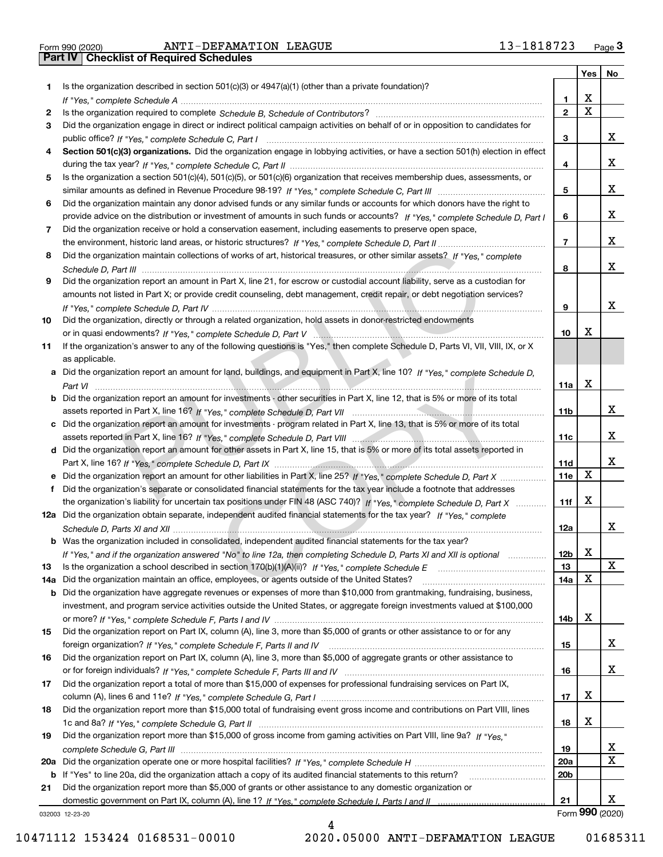Form 990 (2020) ANTI-DEFAMATION LEAGUE 13-1818723 <sub>Page</sub> 3<br>**Part IV | Checklist of Required Schedules** 

|     |                                                                                                                                                                                                                                                   |                 |   | Yes   No        |
|-----|---------------------------------------------------------------------------------------------------------------------------------------------------------------------------------------------------------------------------------------------------|-----------------|---|-----------------|
| 1.  | Is the organization described in section $501(c)(3)$ or $4947(a)(1)$ (other than a private foundation)?                                                                                                                                           |                 |   |                 |
|     |                                                                                                                                                                                                                                                   | 1.              | x |                 |
| 2   |                                                                                                                                                                                                                                                   | $\overline{2}$  | X |                 |
| 3   | Did the organization engage in direct or indirect political campaign activities on behalf of or in opposition to candidates for                                                                                                                   |                 |   |                 |
|     |                                                                                                                                                                                                                                                   | 3               |   | x               |
| 4   | Section 501(c)(3) organizations. Did the organization engage in lobbying activities, or have a section 501(h) election in effect                                                                                                                  |                 |   |                 |
|     |                                                                                                                                                                                                                                                   | 4               |   | x               |
| 5   | Is the organization a section 501(c)(4), 501(c)(5), or 501(c)(6) organization that receives membership dues, assessments, or                                                                                                                      |                 |   |                 |
|     |                                                                                                                                                                                                                                                   | 5               |   | x               |
| 6   | Did the organization maintain any donor advised funds or any similar funds or accounts for which donors have the right to                                                                                                                         |                 |   |                 |
|     | provide advice on the distribution or investment of amounts in such funds or accounts? If "Yes," complete Schedule D, Part I                                                                                                                      | 6               |   | x               |
| 7   | Did the organization receive or hold a conservation easement, including easements to preserve open space,                                                                                                                                         |                 |   |                 |
|     |                                                                                                                                                                                                                                                   | $\overline{7}$  |   | x               |
| 8   | Did the organization maintain collections of works of art, historical treasures, or other similar assets? If "Yes," complete                                                                                                                      |                 |   |                 |
|     |                                                                                                                                                                                                                                                   | 8               |   | x               |
| 9   | Did the organization report an amount in Part X, line 21, for escrow or custodial account liability, serve as a custodian for                                                                                                                     |                 |   |                 |
|     | amounts not listed in Part X; or provide credit counseling, debt management, credit repair, or debt negotiation services?                                                                                                                         |                 |   |                 |
|     |                                                                                                                                                                                                                                                   | 9               |   | x               |
| 10  | Did the organization, directly or through a related organization, hold assets in donor-restricted endowments                                                                                                                                      |                 |   |                 |
|     |                                                                                                                                                                                                                                                   | 10              | х |                 |
| 11  | If the organization's answer to any of the following questions is "Yes," then complete Schedule D, Parts VI, VII, VIII, IX, or X                                                                                                                  |                 |   |                 |
|     | as applicable.                                                                                                                                                                                                                                    |                 |   |                 |
|     | a Did the organization report an amount for land, buildings, and equipment in Part X, line 10? If "Yes," complete Schedule D,                                                                                                                     |                 |   |                 |
|     |                                                                                                                                                                                                                                                   | 11a             | x |                 |
|     | <b>b</b> Did the organization report an amount for investments - other securities in Part X, line 12, that is 5% or more of its total                                                                                                             |                 |   |                 |
|     |                                                                                                                                                                                                                                                   | 11 <sub>b</sub> |   | x               |
|     | c Did the organization report an amount for investments - program related in Part X, line 13, that is 5% or more of its total                                                                                                                     |                 |   |                 |
|     |                                                                                                                                                                                                                                                   | 11c             |   | x               |
|     | d Did the organization report an amount for other assets in Part X, line 15, that is 5% or more of its total assets reported in                                                                                                                   |                 |   | x               |
|     |                                                                                                                                                                                                                                                   | 11d             | X |                 |
|     |                                                                                                                                                                                                                                                   | 11e             |   |                 |
| f   | Did the organization's separate or consolidated financial statements for the tax year include a footnote that addresses                                                                                                                           |                 | х |                 |
|     | the organization's liability for uncertain tax positions under FIN 48 (ASC 740)? If "Yes," complete Schedule D, Part X<br>12a Did the organization obtain separate, independent audited financial statements for the tax year? If "Yes," complete | 11f             |   |                 |
|     |                                                                                                                                                                                                                                                   | 12a             |   | x               |
|     | b Was the organization included in consolidated, independent audited financial statements for the tax year?                                                                                                                                       |                 |   |                 |
|     |                                                                                                                                                                                                                                                   | 12 <sub>b</sub> | X |                 |
| 13  | If "Yes," and if the organization answered "No" to line 12a, then completing Schedule D, Parts XI and XII is optional<br>Is the organization a school described in section $170(b)(1)(A)(ii)?$ If "Yes," complete Schedule E                      | 13              |   | X               |
| 14a | Did the organization maintain an office, employees, or agents outside of the United States?                                                                                                                                                       | 14a             | х |                 |
|     | <b>b</b> Did the organization have aggregate revenues or expenses of more than \$10,000 from grantmaking, fundraising, business,                                                                                                                  |                 |   |                 |
|     | investment, and program service activities outside the United States, or aggregate foreign investments valued at \$100,000                                                                                                                        |                 |   |                 |
|     |                                                                                                                                                                                                                                                   | 14b             | х |                 |
| 15  | Did the organization report on Part IX, column (A), line 3, more than \$5,000 of grants or other assistance to or for any                                                                                                                         |                 |   |                 |
|     |                                                                                                                                                                                                                                                   | 15              |   | x               |
| 16  | Did the organization report on Part IX, column (A), line 3, more than \$5,000 of aggregate grants or other assistance to                                                                                                                          |                 |   |                 |
|     |                                                                                                                                                                                                                                                   | 16              |   | x               |
| 17  | Did the organization report a total of more than \$15,000 of expenses for professional fundraising services on Part IX,                                                                                                                           |                 |   |                 |
|     |                                                                                                                                                                                                                                                   | 17              | х |                 |
| 18  | Did the organization report more than \$15,000 total of fundraising event gross income and contributions on Part VIII, lines                                                                                                                      |                 |   |                 |
|     |                                                                                                                                                                                                                                                   | 18              | x |                 |
| 19  | Did the organization report more than \$15,000 of gross income from gaming activities on Part VIII, line 9a? If "Yes."                                                                                                                            |                 |   |                 |
|     |                                                                                                                                                                                                                                                   | 19              |   | x               |
|     |                                                                                                                                                                                                                                                   | 20a             |   | X               |
|     | b If "Yes" to line 20a, did the organization attach a copy of its audited financial statements to this return?                                                                                                                                    | 20 <sub>b</sub> |   |                 |
| 21  | Did the organization report more than \$5,000 of grants or other assistance to any domestic organization or                                                                                                                                       |                 |   |                 |
|     |                                                                                                                                                                                                                                                   | 21              |   | х               |
|     | 032003 12-23-20                                                                                                                                                                                                                                   |                 |   | Form 990 (2020) |

4

032003 12-23-20

10471112 153424 0168531-00010 2020.05000 ANTI-DEFAMATION LEAGUE 01685311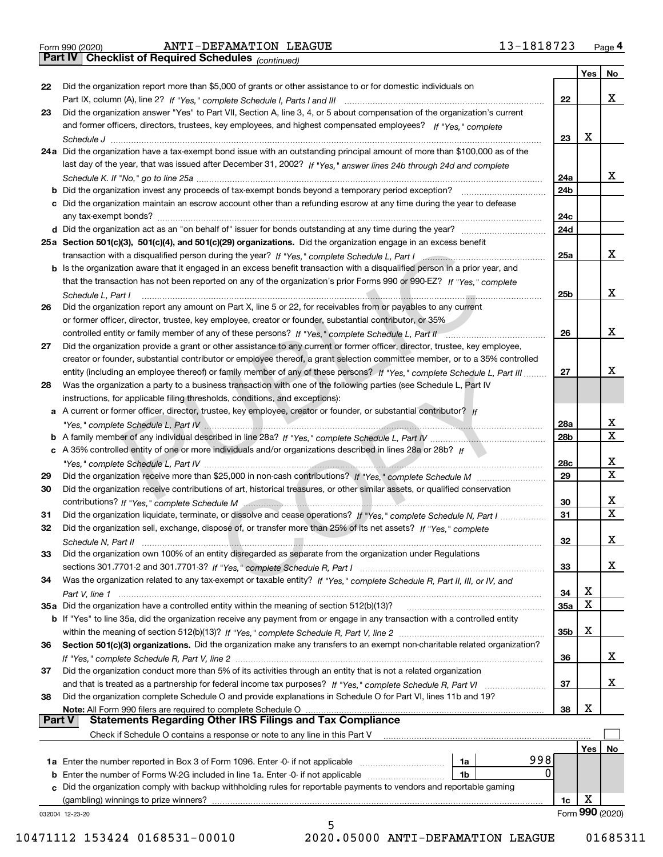|  | Form 990 (2020) |
|--|-----------------|

*(continued)*

|               |                                                                                                                                                                                             |                 | Yes | No              |
|---------------|---------------------------------------------------------------------------------------------------------------------------------------------------------------------------------------------|-----------------|-----|-----------------|
| 22            | Did the organization report more than \$5,000 of grants or other assistance to or for domestic individuals on                                                                               |                 |     |                 |
|               |                                                                                                                                                                                             | 22              |     | х               |
| 23            | Did the organization answer "Yes" to Part VII, Section A, line 3, 4, or 5 about compensation of the organization's current                                                                  |                 |     |                 |
|               | and former officers, directors, trustees, key employees, and highest compensated employees? If "Yes," complete                                                                              |                 |     |                 |
|               |                                                                                                                                                                                             | 23              | х   |                 |
|               | 24a Did the organization have a tax-exempt bond issue with an outstanding principal amount of more than \$100,000 as of the                                                                 |                 |     |                 |
|               | last day of the year, that was issued after December 31, 2002? If "Yes," answer lines 24b through 24d and complete                                                                          |                 |     |                 |
|               |                                                                                                                                                                                             | 24a             |     | х               |
|               | <b>b</b> Did the organization invest any proceeds of tax-exempt bonds beyond a temporary period exception?                                                                                  | 24 <sub>b</sub> |     |                 |
|               | c Did the organization maintain an escrow account other than a refunding escrow at any time during the year to defease                                                                      |                 |     |                 |
|               |                                                                                                                                                                                             | 24c             |     |                 |
|               |                                                                                                                                                                                             | 24d             |     |                 |
|               | 25a Section 501(c)(3), 501(c)(4), and 501(c)(29) organizations. Did the organization engage in an excess benefit                                                                            |                 |     |                 |
|               | transaction with a disqualified person during the year? If "Yes," complete Schedule L, Part I manufaction with a disqualified person during the year? If "Yes," complete Schedule L, Part I | 25a             |     | х               |
|               | b Is the organization aware that it engaged in an excess benefit transaction with a disqualified person in a prior year, and                                                                |                 |     |                 |
|               | that the transaction has not been reported on any of the organization's prior Forms 990 or 990-EZ? If "Yes," complete                                                                       |                 |     |                 |
|               |                                                                                                                                                                                             | 25 <sub>b</sub> |     | х               |
| 26            | Schedule L, Part I<br>Did the organization report any amount on Part X, line 5 or 22, for receivables from or payables to any current                                                       |                 |     |                 |
|               |                                                                                                                                                                                             |                 |     |                 |
|               | or former officer, director, trustee, key employee, creator or founder, substantial contributor, or 35%                                                                                     |                 |     | х               |
|               |                                                                                                                                                                                             | 26              |     |                 |
| 27            | Did the organization provide a grant or other assistance to any current or former officer, director, trustee, key employee,                                                                 |                 |     |                 |
|               | creator or founder, substantial contributor or employee thereof, a grant selection committee member, or to a 35% controlled                                                                 |                 |     |                 |
|               | entity (including an employee thereof) or family member of any of these persons? If "Yes," complete Schedule L, Part III                                                                    | 27              |     | х               |
| 28            | Was the organization a party to a business transaction with one of the following parties (see Schedule L, Part IV                                                                           |                 |     |                 |
|               | instructions, for applicable filing thresholds, conditions, and exceptions):                                                                                                                |                 |     |                 |
|               | a A current or former officer, director, trustee, key employee, creator or founder, or substantial contributor? If                                                                          |                 |     |                 |
|               |                                                                                                                                                                                             | 28a             |     | х               |
|               |                                                                                                                                                                                             | 28b             |     | $\mathbf x$     |
|               | c A 35% controlled entity of one or more individuals and/or organizations described in lines 28a or 28b? If                                                                                 |                 |     |                 |
|               |                                                                                                                                                                                             | 28c             |     | х               |
| 29            |                                                                                                                                                                                             | 29              |     | $\mathbf x$     |
| 30            | Did the organization receive contributions of art, historical treasures, or other similar assets, or qualified conservation                                                                 |                 |     |                 |
|               |                                                                                                                                                                                             | 30              |     | х               |
| 31            | Did the organization liquidate, terminate, or dissolve and cease operations? If "Yes," complete Schedule N, Part I                                                                          | 31              |     | $\mathbf x$     |
| 32            | Did the organization sell, exchange, dispose of, or transfer more than 25% of its net assets? If "Yes," complete                                                                            |                 |     |                 |
|               |                                                                                                                                                                                             | 32              |     | х               |
| 33            | Did the organization own 100% of an entity disregarded as separate from the organization under Regulations                                                                                  |                 |     |                 |
|               |                                                                                                                                                                                             | 33              |     | x               |
| 34            | Was the organization related to any tax-exempt or taxable entity? If "Yes," complete Schedule R, Part II, III, or IV, and                                                                   |                 |     |                 |
|               |                                                                                                                                                                                             | 34              | х   |                 |
|               | 35a Did the organization have a controlled entity within the meaning of section 512(b)(13)?                                                                                                 | 35а             | X   |                 |
|               | <b>b</b> If "Yes" to line 35a, did the organization receive any payment from or engage in any transaction with a controlled entity                                                          |                 |     |                 |
|               |                                                                                                                                                                                             | 35 <sub>b</sub> | X   |                 |
| 36            | Section 501(c)(3) organizations. Did the organization make any transfers to an exempt non-charitable related organization?                                                                  |                 |     |                 |
|               |                                                                                                                                                                                             | 36              |     | x               |
| 37            | Did the organization conduct more than 5% of its activities through an entity that is not a related organization                                                                            |                 |     |                 |
|               | and that is treated as a partnership for federal income tax purposes? If "Yes," complete Schedule R, Part VI                                                                                | 37              |     | х               |
| 38            | Did the organization complete Schedule O and provide explanations in Schedule O for Part VI, lines 11b and 19?                                                                              |                 |     |                 |
|               | Note: All Form 990 filers are required to complete Schedule O                                                                                                                               | 38              | х   |                 |
| <b>Part V</b> | <b>Statements Regarding Other IRS Filings and Tax Compliance</b>                                                                                                                            |                 |     |                 |
|               | Check if Schedule O contains a response or note to any line in this Part V                                                                                                                  |                 |     |                 |
|               |                                                                                                                                                                                             |                 | Yes | No              |
|               | 998<br>1a                                                                                                                                                                                   |                 |     |                 |
|               | 0<br>1b                                                                                                                                                                                     |                 |     |                 |
|               | c Did the organization comply with backup withholding rules for reportable payments to vendors and reportable gaming                                                                        |                 |     |                 |
|               | (gambling) winnings to prize winners?                                                                                                                                                       | 1c              | х   |                 |
|               | 032004 12-23-20                                                                                                                                                                             |                 |     | Form 990 (2020) |
|               | 5                                                                                                                                                                                           |                 |     |                 |

10471112 153424 0168531-00010 2020.05000 ANTI-DEFAMATION LEAGUE 01685311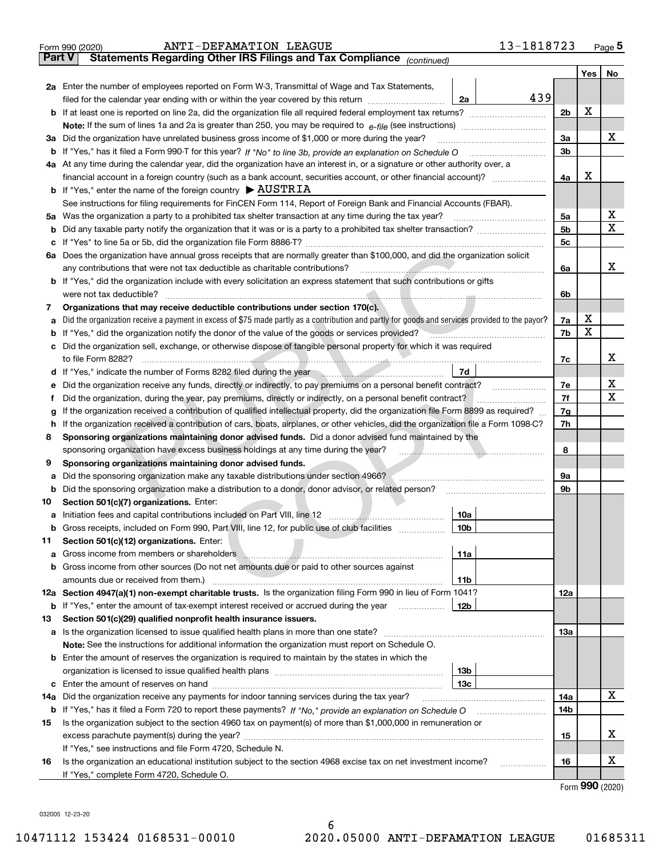|               | 13-1818723<br>ANTI-DEFAMATION LEAGUE<br>Form 990 (2020)                                                                                                                                                                               |                |     | <u>Page</u> 5               |
|---------------|---------------------------------------------------------------------------------------------------------------------------------------------------------------------------------------------------------------------------------------|----------------|-----|-----------------------------|
| <b>Part V</b> | Statements Regarding Other IRS Filings and Tax Compliance (continued)                                                                                                                                                                 |                |     |                             |
|               |                                                                                                                                                                                                                                       |                | Yes | No                          |
|               | 2a Enter the number of employees reported on Form W-3, Transmittal of Wage and Tax Statements,                                                                                                                                        |                |     |                             |
|               | 439<br>filed for the calendar year ending with or within the year covered by this return [111] [11] filed for the calendar year ending with or within the year covered by this return<br>2a                                           |                |     |                             |
|               |                                                                                                                                                                                                                                       | 2 <sub>b</sub> | X   |                             |
|               |                                                                                                                                                                                                                                       |                |     |                             |
| За            | Did the organization have unrelated business gross income of \$1,000 or more during the year?                                                                                                                                         | 3a             |     | x                           |
|               |                                                                                                                                                                                                                                       | 3b             |     |                             |
|               |                                                                                                                                                                                                                                       |                |     |                             |
|               | 4a At any time during the calendar year, did the organization have an interest in, or a signature or other authority over, a                                                                                                          |                | х   |                             |
|               | financial account in a foreign country (such as a bank account, securities account, or other financial account)?                                                                                                                      | 4a             |     |                             |
|               | <b>b</b> If "Yes," enter the name of the foreign country $\triangleright$ AUSTRIA                                                                                                                                                     |                |     |                             |
|               | See instructions for filing requirements for FinCEN Form 114, Report of Foreign Bank and Financial Accounts (FBAR).                                                                                                                   |                |     |                             |
|               |                                                                                                                                                                                                                                       | 5a             |     | х                           |
| b             |                                                                                                                                                                                                                                       | 5b             |     | Χ                           |
| c             |                                                                                                                                                                                                                                       | 5 <sub>c</sub> |     |                             |
|               | 6a Does the organization have annual gross receipts that are normally greater than \$100,000, and did the organization solicit                                                                                                        |                |     |                             |
|               | <u> Estados de Santo de Santo de Santo de Santo de Santo de Santo de Santo de Santo de Santo de Santo de Santo de S</u><br>any contributions that were not tax deductible as charitable contributions?                                | 6a             |     | х                           |
|               | <b>b</b> If "Yes," did the organization include with every solicitation an express statement that such contributions or gifts                                                                                                         |                |     |                             |
|               | were not tax deductible?                                                                                                                                                                                                              | 6b             |     |                             |
| 7             | Organizations that may receive deductible contributions under section 170(c).                                                                                                                                                         |                |     |                             |
| a             | Did the organization receive a payment in excess of \$75 made partly as a contribution and partly for goods and services provided to the payor?                                                                                       | 7a             | х   |                             |
|               | <b>b</b> If "Yes," did the organization notify the donor of the value of the goods or services provided?                                                                                                                              | 7b             | X   |                             |
|               | c Did the organization sell, exchange, or otherwise dispose of tangible personal property for which it was required                                                                                                                   |                |     |                             |
|               |                                                                                                                                                                                                                                       | 7с             |     | х                           |
|               | 7d<br>d If "Yes," indicate the number of Forms 8282 filed during the year manuscription of the set of the set of the set of the set of the set of the set of the set of the set of the set of the set of the set of the set of the s  |                |     |                             |
| е             | Did the organization receive any funds, directly or indirectly, to pay premiums on a personal benefit contract?                                                                                                                       | 7e             |     | х                           |
| f             | Did the organization, during the year, pay premiums, directly or indirectly, on a personal benefit contract?                                                                                                                          | 7f             |     | х                           |
| g             | If the organization received a contribution of qualified intellectual property, did the organization file Form 8899 as required?                                                                                                      | 7g             |     |                             |
| h.            | If the organization received a contribution of cars, boats, airplanes, or other vehicles, did the organization file a Form 1098-C?                                                                                                    | 7h             |     |                             |
| 8             | Sponsoring organizations maintaining donor advised funds. Did a donor advised fund maintained by the                                                                                                                                  |                |     |                             |
|               | sponsoring organization have excess business holdings at any time during the year?                                                                                                                                                    | 8              |     |                             |
| 9             | Sponsoring organizations maintaining donor advised funds.                                                                                                                                                                             |                |     |                             |
|               |                                                                                                                                                                                                                                       |                |     |                             |
| а             | Did the sponsoring organization make any taxable distributions under section 4966?                                                                                                                                                    | 9а             |     |                             |
| b             | Did the sponsoring organization make a distribution to a donor, donor advisor, or related person?                                                                                                                                     | 9b             |     |                             |
| 10            | Section 501(c)(7) organizations. Enter:                                                                                                                                                                                               |                |     |                             |
|               | 10a                                                                                                                                                                                                                                   |                |     |                             |
|               | 10b <br>Gross receipts, included on Form 990, Part VIII, line 12, for public use of club facilities                                                                                                                                   |                |     |                             |
| 11            | Section 501(c)(12) organizations. Enter:                                                                                                                                                                                              |                |     |                             |
| a             | Gross income from members or shareholders \\\minimum\minimum\minimum\minimum\minimum\minimum\minimum\minimum\minimum\minimum\minimum\minimum\minimum\minimum\minimum\minimum\minimum\minimum\minimum\minimum\minimum\minimum\m<br>11a |                |     |                             |
|               | b Gross income from other sources (Do not net amounts due or paid to other sources against                                                                                                                                            |                |     |                             |
|               | 11b                                                                                                                                                                                                                                   |                |     |                             |
|               | 12a Section 4947(a)(1) non-exempt charitable trusts. Is the organization filing Form 990 in lieu of Form 1041?                                                                                                                        | 12a            |     |                             |
|               | 12b<br><b>b</b> If "Yes," enter the amount of tax-exempt interest received or accrued during the year                                                                                                                                 |                |     |                             |
| 13            | Section 501(c)(29) qualified nonprofit health insurance issuers.                                                                                                                                                                      |                |     |                             |
|               | a Is the organization licensed to issue qualified health plans in more than one state?                                                                                                                                                | 13а            |     |                             |
|               | Note: See the instructions for additional information the organization must report on Schedule O.                                                                                                                                     |                |     |                             |
|               | <b>b</b> Enter the amount of reserves the organization is required to maintain by the states in which the                                                                                                                             |                |     |                             |
|               | 13 <sub>b</sub>                                                                                                                                                                                                                       |                |     |                             |
|               | 13с                                                                                                                                                                                                                                   |                |     |                             |
| 14a           | Did the organization receive any payments for indoor tanning services during the tax year?                                                                                                                                            | 14a            |     | x                           |
|               | <b>b</b> If "Yes," has it filed a Form 720 to report these payments? If "No," provide an explanation on Schedule O                                                                                                                    | 14b            |     |                             |
| 15            | Is the organization subject to the section 4960 tax on payment(s) of more than \$1,000,000 in remuneration or                                                                                                                         |                |     |                             |
|               |                                                                                                                                                                                                                                       | 15             |     | X.                          |
|               | If "Yes," see instructions and file Form 4720, Schedule N.                                                                                                                                                                            |                |     |                             |
| 16            | Is the organization an educational institution subject to the section 4968 excise tax on net investment income?                                                                                                                       | 16             |     | х                           |
|               |                                                                                                                                                                                                                                       |                |     |                             |
|               | If "Yes," complete Form 4720, Schedule O.                                                                                                                                                                                             |                |     | $F_{\text{OCD}}$ 990 (2020) |

Form (2020) **990**

032005 12-23-20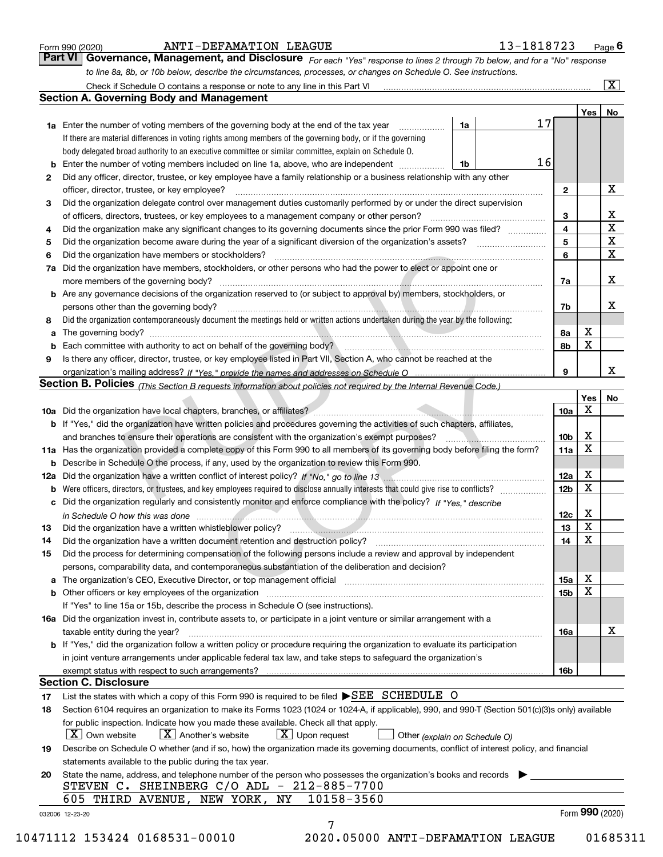|  | Form 990 (2020) |  |
|--|-----------------|--|
|  |                 |  |

#### ANTI-DEFAMATION LEAGUE 13-1818723

|--|

*For each "Yes" response to lines 2 through 7b below, and for a "No" response to line 8a, 8b, or 10b below, describe the circumstances, processes, or changes on Schedule O. See instructions.* Form 990 (2020) **ANTI-DEFAMATION LEAGUE** 13-1818723 Page 6<br>**Part VI Governance, Management, and Disclosure** For each "Yes" response to lines 2 through 7b below, and for a "No" response Check if Schedule O contains a response or note to any line in this Part VI

|    |                                                                                                                                                                                                                                |    |    |                 | Yes   No        |             |
|----|--------------------------------------------------------------------------------------------------------------------------------------------------------------------------------------------------------------------------------|----|----|-----------------|-----------------|-------------|
|    | <b>1a</b> Enter the number of voting members of the governing body at the end of the tax year <i>manumum</i>                                                                                                                   | 1a | 17 |                 |                 |             |
|    | If there are material differences in voting rights among members of the governing body, or if the governing                                                                                                                    |    |    |                 |                 |             |
|    | body delegated broad authority to an executive committee or similar committee, explain on Schedule O.                                                                                                                          |    |    |                 |                 |             |
|    | <b>b</b> Enter the number of voting members included on line 1a, above, who are independent <i>manumum</i>                                                                                                                     | 1b | 16 |                 |                 |             |
| 2  | Did any officer, director, trustee, or key employee have a family relationship or a business relationship with any other                                                                                                       |    |    |                 |                 |             |
|    | officer, director, trustee, or key employee?                                                                                                                                                                                   |    |    | $\mathbf{2}$    |                 | X           |
| 3  | Did the organization delegate control over management duties customarily performed by or under the direct supervision                                                                                                          |    |    |                 |                 |             |
|    |                                                                                                                                                                                                                                |    |    | 3               |                 | X           |
| 4  | Did the organization make any significant changes to its governing documents since the prior Form 990 was filed?                                                                                                               |    |    | $\overline{4}$  |                 | $\mathbf X$ |
| 5  |                                                                                                                                                                                                                                |    |    | 5               |                 | $\mathbf X$ |
| 6  |                                                                                                                                                                                                                                |    |    | 6               |                 | $\mathbf X$ |
| 7a | Did the organization have members, stockholders, or other persons who had the power to elect or appoint one or                                                                                                                 |    |    |                 |                 |             |
|    |                                                                                                                                                                                                                                |    |    | 7a              |                 | х           |
|    | <b>b</b> Are any governance decisions of the organization reserved to (or subject to approval by) members, stockholders, or                                                                                                    |    |    |                 |                 |             |
|    | persons other than the governing body?                                                                                                                                                                                         |    |    | 7b              |                 | х           |
| 8  | Did the organization contemporaneously document the meetings held or written actions undertaken during the year by the following:                                                                                              |    |    |                 |                 |             |
| a  |                                                                                                                                                                                                                                |    |    | 8a              | X               |             |
|    |                                                                                                                                                                                                                                |    |    | 8b              | X               |             |
| 9  | Is there any officer, director, trustee, or key employee listed in Part VII, Section A, who cannot be reached at the                                                                                                           |    |    |                 |                 |             |
|    |                                                                                                                                                                                                                                |    |    | 9               |                 | x           |
|    | Section B. Policies (This Section B requests information about policies not required by the Internal Revenue Code.)                                                                                                            |    |    |                 |                 |             |
|    |                                                                                                                                                                                                                                |    |    |                 | Yes             | No          |
|    |                                                                                                                                                                                                                                |    |    | 10a             | Х               |             |
|    | <b>b</b> If "Yes," did the organization have written policies and procedures governing the activities of such chapters, affiliates,                                                                                            |    |    |                 |                 |             |
|    |                                                                                                                                                                                                                                |    |    | 10 <sub>b</sub> | X               |             |
|    | 11a Has the organization provided a complete copy of this Form 990 to all members of its governing body before filing the form?                                                                                                |    |    | 11a             | $\mathbf X$     |             |
|    | <b>b</b> Describe in Schedule O the process, if any, used by the organization to review this Form 990.                                                                                                                         |    |    |                 |                 |             |
|    |                                                                                                                                                                                                                                |    |    | 12a             | X               |             |
|    |                                                                                                                                                                                                                                |    |    | 12 <sub>b</sub> | $\mathbf X$     |             |
| b  | c Did the organization regularly and consistently monitor and enforce compliance with the policy? If "Yes," describe                                                                                                           |    |    |                 |                 |             |
|    |                                                                                                                                                                                                                                |    |    |                 | X               |             |
|    | in Schedule O how this was done manufactured and contact the state of the state of the state of the state of the state of the state of the state of the state of the state of the state of the state of the state of the state |    |    | 12c             | X               |             |
| 13 |                                                                                                                                                                                                                                |    |    | 13              | X               |             |
| 14 | Did the organization have a written document retention and destruction policy? manufactured and the organization have a written document retention and destruction policy?                                                     |    |    | 14              |                 |             |
| 15 | Did the process for determining compensation of the following persons include a review and approval by independent                                                                                                             |    |    |                 |                 |             |
|    | persons, comparability data, and contemporaneous substantiation of the deliberation and decision?                                                                                                                              |    |    |                 |                 |             |
|    |                                                                                                                                                                                                                                |    |    | 15a             | X               |             |
|    |                                                                                                                                                                                                                                |    |    | 15 <sub>b</sub> | X               |             |
|    | If "Yes" to line 15a or 15b, describe the process in Schedule O (see instructions).                                                                                                                                            |    |    |                 |                 |             |
|    | 16a Did the organization invest in, contribute assets to, or participate in a joint venture or similar arrangement with a                                                                                                      |    |    |                 |                 |             |
|    | taxable entity during the year?                                                                                                                                                                                                |    |    | 16a             |                 | X           |
|    | b If "Yes," did the organization follow a written policy or procedure requiring the organization to evaluate its participation                                                                                                 |    |    |                 |                 |             |
|    | in joint venture arrangements under applicable federal tax law, and take steps to safeguard the organization's                                                                                                                 |    |    |                 |                 |             |
|    | exempt status with respect to such arrangements?                                                                                                                                                                               |    |    | 16 <sub>b</sub> |                 |             |
|    | <b>Section C. Disclosure</b>                                                                                                                                                                                                   |    |    |                 |                 |             |
| 17 | List the states with which a copy of this Form 990 is required to be filed SEE SCHEDULE O                                                                                                                                      |    |    |                 |                 |             |
| 18 | Section 6104 requires an organization to make its Forms 1023 (1024 or 1024-A, if applicable), 990, and 990-T (Section 501(c)(3)s only) available                                                                               |    |    |                 |                 |             |
|    | for public inspection. Indicate how you made these available. Check all that apply.                                                                                                                                            |    |    |                 |                 |             |
|    | $X$ Upon request<br>$ X $ Own website<br>$X$ Another's website<br>Other (explain on Schedule O)                                                                                                                                |    |    |                 |                 |             |
| 19 | Describe on Schedule O whether (and if so, how) the organization made its governing documents, conflict of interest policy, and financial                                                                                      |    |    |                 |                 |             |
|    | statements available to the public during the tax year.                                                                                                                                                                        |    |    |                 |                 |             |
| 20 | State the name, address, and telephone number of the person who possesses the organization's books and records                                                                                                                 |    |    |                 |                 |             |
|    | STEVEN C. SHEINBERG C/O ADL - 212-885-7700                                                                                                                                                                                     |    |    |                 |                 |             |
|    | 10158-3560<br>NY<br>605 THIRD AVENUE, NEW YORK,                                                                                                                                                                                |    |    |                 |                 |             |
|    |                                                                                                                                                                                                                                |    |    |                 | Form 990 (2020) |             |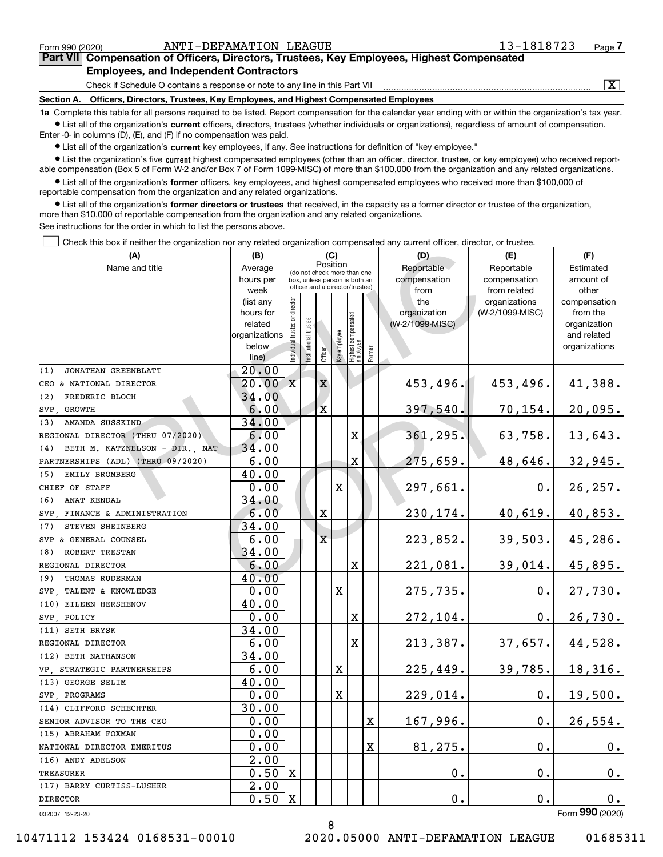032007 12-23-20

DIRECTOR

TREASURER

(9) THOMAS RUDERMAN

(10) EILEEN HERSHENOV

SVP, TALENT & KNOWLEDGE

(11) SETH BRYSK

REGIONAL DIRECTOR

SVP, POLICY

(12) BETH NATHANSON

(13) GEORGE SELIM

SVP, PROGRAMS

(14) CLIFFORD SCHECHTER

SENIOR ADVISOR TO THE CEO

NATIONAL DIRECTOR EMERITUS

VP, STRATEGIC PARTNERSHIPS

(17) BARRY CURTISS-LUSHER

(15) ABRAHAM FOXMAN

(16) ANDY ADELSON

| Form 990 (2020) |
|-----------------|
|                 |

0.

27,730.

26,730.

44,528.

18,316.

19,500.

26,554.

0.

0.

0.

0.

0.

 $0.1$ 

37,657.

39,785.

0.

0.

0.

Individual trustee or director Institutional trustee **Mficer** Key employee Highest compensated Highest co<br>employee Former (do not check more than one box, unless person is both an officer and a director/trustee) **•** List all of the organization's former officers, key employees, and highest compensated employees who received more than \$100,000 of **former directors or trustees**  ¥ List all of the organization's that received, in the capacity as a former director or trustee of the organization, **(A) (B) (C) (D) (E) (F)** See instructions for the order in which to list the persons above. Check this box if neither the organization nor any related organization compensated any current officer, director, or trustee. PositionName and title **Average** hours per week (list any hours for relatedorganizations belowline)**Reportable** compensationfrom theorganization (W-2/1099-MISC)Reportablecompensationfrom related organizations (W-2/1099-MISC)Estimatedamount of othercompensationfrom the organization and related organizations  $\mathcal{L}^{\text{max}}$ (1) JONATHAN GREENBLATT CEO & NATIONAL DIRECTOR (2) FREDERIC BLOCH (3) AMANDA SUSSKIND (4) BETH M. KATZNELSON - DIR., NAT (5) EMILY BROMBERG (6) ANAT KENDAL (7) STEVEN SHEINBERG (8) ROBERT TRESTAN SVP, GROWTH REGIONAL DIRECTOR (THRU 07/2020) PARTNERSHIPS (ADL) (THRU 09/2020) CHIEF OF STAFF SVP, FINANCE & ADMINISTRATION SVP & GENERAL COUNSEL REGIONAL DIRECTOR 20.00 34.00 34.00 34.00 40.00 34.00 34.00 34.00 40.00 X X X X X X X X X 453,496. 397,540. 361,295. 275,659. 297,661. 230,174. 223,852. 221,081. 453,496. 70,154. 63,758. 48,646. 0. 40,619. 39,503. 39,014. 41,388. 20,095. 13,643. 32,945. 26,257. 40,853. 45,286. 45,895. 20.00 6.00 6.00 6.00 0.00 6.00 6.00 6.00 **EXAMPLART ENERGY CONSULTER CONSULTS AND CONSULTS AND CONSULTS AND CONSULTS AND CONSULTS AND CONSULTS AND CONSULTS AND CONSULTS AND CONSULTS AND CONSULTS AND CONSULTS AND CONSULTS AND CONSULTS AND CONSULTS AND CONSULTS AN** COPY

X

X

275,735.

272,104.

213,387.

225,449.

229,014.

167,996.

81,275.

0.

0.

X

X

X

X

X

8

 $\bullet$  List all of the organization's  $\,$ current key employees, if any. See instructions for definition of "key employee." Enter -0- in columns (D), (E), and (F) if no compensation was paid.

40.00

0.00

0.00

6.00

6.00

34.00

34.00

40.00

0.00

30.00

0.00

0.00

0.00

2.00

0.50

X

X

2.00

0.50

**•** List the organization's five current highest compensated employees (other than an officer, director, trustee, or key employee) who received reportable compensation (Box 5 of Form W-2 and/or Box 7 of Form 1099-MISC) of more than \$100,000 from the organization and any related organizations.

**•** List all of the organization's current officers, directors, trustees (whether individuals or organizations), regardless of amount of compensation.

reportable compensation from the organization and any related organizations.

more than \$10,000 of reportable compensation from the organization and any related organizations.

### **Section A. Officers, Directors, Trustees, Key Employees, and Highest Compensated Employees 1a**  Complete this table for all persons required to be listed. Report compensation for the calendar year ending with or within the organization's tax year. Check if Schedule O contains a response or note to any line in this Part VII **Employees, and Independent Contractors**

 $\boxed{\text{X}}$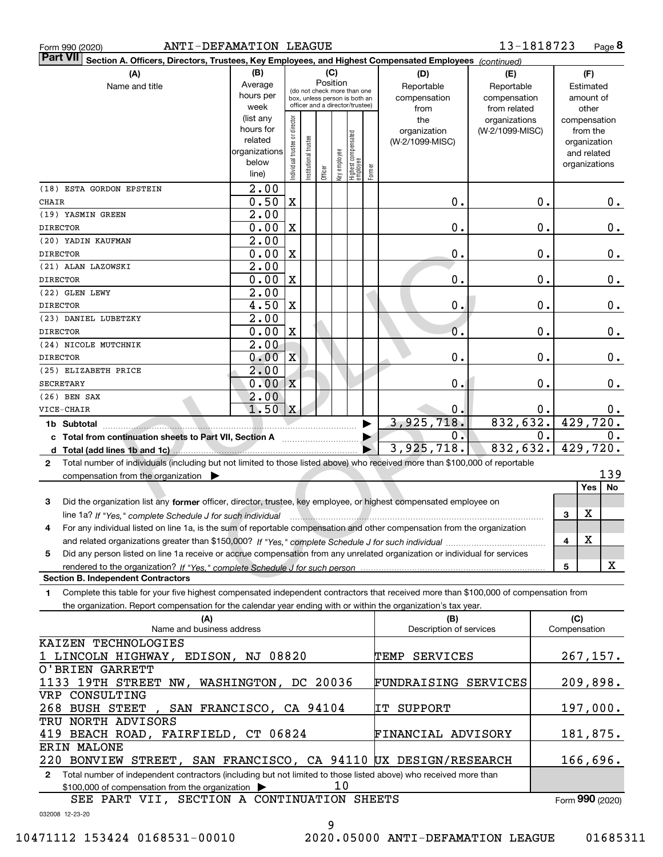|  | Form 990 (2020) |
|--|-----------------|
|  |                 |

| Part VII Section A. Officers, Directors, Trustees, Key Employees, and Highest Compensated Employees (continued)                           |                        |                                |                       |          |              |                                                              |        |                         |                 |    |               |
|-------------------------------------------------------------------------------------------------------------------------------------------|------------------------|--------------------------------|-----------------------|----------|--------------|--------------------------------------------------------------|--------|-------------------------|-----------------|----|---------------|
| (A)                                                                                                                                       | (B)                    |                                |                       |          | (C)          |                                                              |        | (D)                     | (E)             |    | (F)           |
| Name and title                                                                                                                            | Average                |                                |                       | Position |              |                                                              |        | Reportable              | Reportable      |    | Estimated     |
|                                                                                                                                           | hours per              |                                |                       |          |              | (do not check more than one<br>box, unless person is both an |        | compensation            | compensation    |    | amount of     |
|                                                                                                                                           | week                   |                                |                       |          |              | officer and a director/trustee)                              |        | from                    | from related    |    | other         |
|                                                                                                                                           | (list any              |                                |                       |          |              |                                                              |        | the                     | organizations   |    | compensation  |
|                                                                                                                                           | hours for              |                                |                       |          |              |                                                              |        | organization            | (W-2/1099-MISC) |    | from the      |
|                                                                                                                                           | related                |                                |                       |          |              |                                                              |        | (W-2/1099-MISC)         |                 |    | organization  |
|                                                                                                                                           | organizations<br>below |                                |                       |          |              |                                                              |        |                         |                 |    | and related   |
|                                                                                                                                           | line)                  | Individual trustee or director | Institutional trustee | Officer  | Key employee | Highest compensated<br>employee                              | Former |                         |                 |    | organizations |
|                                                                                                                                           | $\overline{2.00}$      |                                |                       |          |              |                                                              |        |                         |                 |    |               |
| (18) ESTA GORDON EPSTEIN<br><b>CHAIR</b>                                                                                                  | 0.50                   | $\mathbf X$                    |                       |          |              |                                                              |        | 0.                      |                 | 0. |               |
| (19) YASMIN GREEN                                                                                                                         | 2.00                   |                                |                       |          |              |                                                              |        |                         |                 |    | $0$ .         |
| <b>DIRECTOR</b>                                                                                                                           | 0.00                   | X                              |                       |          |              |                                                              |        | $0$ .                   |                 | 0. | 0.            |
| (20) YADIN KAUFMAN                                                                                                                        | 2.00                   |                                |                       |          |              |                                                              |        |                         |                 |    |               |
| <b>DIRECTOR</b>                                                                                                                           | 0.00                   | X                              |                       |          |              |                                                              |        | 0.                      |                 | 0. | 0.            |
| (21) ALAN LAZOWSKI                                                                                                                        | 2.00                   |                                |                       |          |              |                                                              |        |                         |                 |    |               |
| <b>DIRECTOR</b>                                                                                                                           | 0.00                   | X                              |                       |          |              |                                                              |        | 0.                      |                 | 0. | 0.            |
| (22) GLEN LEWY                                                                                                                            | 2.00                   |                                |                       |          |              |                                                              |        |                         |                 |    |               |
| <b>DIRECTOR</b>                                                                                                                           | 4.50                   | X                              |                       |          |              |                                                              |        | 0.                      |                 | 0. |               |
| (23) DANIEL LUBETZKY                                                                                                                      | 2.00                   |                                |                       |          |              |                                                              |        |                         |                 |    | 0.            |
| <b>DIRECTOR</b>                                                                                                                           | 0.00                   | X                              |                       |          |              |                                                              |        | 0.                      |                 | 0. | 0.            |
| (24) NICOLE MUTCHNIK                                                                                                                      | 2.00                   |                                |                       |          |              |                                                              |        |                         |                 |    |               |
| <b>DIRECTOR</b>                                                                                                                           | 0.00                   | $\mathbf{x}$                   |                       |          |              |                                                              |        | 0.                      |                 | 0. | 0.            |
| (25) ELIZABETH PRICE                                                                                                                      | 2.00                   |                                |                       |          |              |                                                              |        |                         |                 |    |               |
| <b>SECRETARY</b>                                                                                                                          | 0.00                   | $\mathbf X$                    |                       |          |              |                                                              |        | 0.                      |                 | 0. | 0.            |
| $(26)$ BEN SAX                                                                                                                            | 2.00                   |                                |                       |          |              |                                                              |        |                         |                 |    |               |
| VICE-CHAIR                                                                                                                                | 1.50                   | $\mathbf x$                    |                       |          |              |                                                              |        | 0.                      |                 | 0. | 0.            |
| 1b Subtotal                                                                                                                               |                        |                                |                       |          |              |                                                              |        | 3,925,718.              | 832,632.        |    | 429,720.      |
| c Total from continuation sheets to Part VII, Section A                                                                                   |                        |                                |                       |          |              |                                                              |        | $0$ .                   |                 | 0. | 0.            |
|                                                                                                                                           |                        |                                |                       |          |              |                                                              |        | 3,925,718.              | 832,632.        |    | 429,720.      |
| Total number of individuals (including but not limited to those listed above) who received more than \$100,000 of reportable<br>2         |                        |                                |                       |          |              |                                                              |        |                         |                 |    |               |
| compensation from the organization                                                                                                        |                        |                                |                       |          |              |                                                              |        |                         |                 |    | 139           |
|                                                                                                                                           |                        |                                |                       |          |              |                                                              |        |                         |                 |    | Yes<br>No     |
| Did the organization list any former officer, director, trustee, key employee, or highest compensated employee on<br>3                    |                        |                                |                       |          |              |                                                              |        |                         |                 |    |               |
| line 1a? If "Yes," complete Schedule J for such individual                                                                                |                        |                                |                       |          |              |                                                              |        |                         |                 |    | X<br>3        |
| For any individual listed on line 1a, is the sum of reportable compensation and other compensation from the organization<br>4             |                        |                                |                       |          |              |                                                              |        |                         |                 |    |               |
|                                                                                                                                           |                        |                                |                       |          |              |                                                              |        |                         |                 |    | X<br>4        |
| Did any person listed on line 1a receive or accrue compensation from any unrelated organization or individual for services<br>5           |                        |                                |                       |          |              |                                                              |        |                         |                 |    |               |
|                                                                                                                                           |                        |                                |                       |          |              |                                                              |        |                         |                 |    | X<br>5        |
| <b>Section B. Independent Contractors</b>                                                                                                 |                        |                                |                       |          |              |                                                              |        |                         |                 |    |               |
| Complete this table for your five highest compensated independent contractors that received more than \$100,000 of compensation from<br>1 |                        |                                |                       |          |              |                                                              |        |                         |                 |    |               |
| the organization. Report compensation for the calendar year ending with or within the organization's tax year.                            |                        |                                |                       |          |              |                                                              |        |                         |                 |    |               |
| (A)                                                                                                                                       |                        |                                |                       |          |              |                                                              |        | (B)                     |                 |    | (C)           |
| Name and business address                                                                                                                 |                        |                                |                       |          |              |                                                              |        | Description of services |                 |    | Compensation  |
| KAIZEN TECHNOLOGIES                                                                                                                       |                        |                                |                       |          |              |                                                              |        |                         |                 |    |               |
| 1 LINCOLN HIGHWAY, EDISON, NJ 08820                                                                                                       |                        |                                |                       |          |              |                                                              |        | TEMP SERVICES           |                 |    | 267, 157.     |
| O'BRIEN GARRETT                                                                                                                           |                        |                                |                       |          |              |                                                              |        |                         |                 |    |               |
| 1133 19TH STREET NW, WASHINGTON, DC 20036                                                                                                 |                        |                                |                       |          |              |                                                              |        | FUNDRAISING SERVICES    |                 |    | 209,898.      |
| VRP CONSULTING                                                                                                                            |                        |                                |                       |          |              |                                                              |        |                         |                 |    |               |
| 268 BUSH STEET<br>SAN FRANCISCO, CA 94104                                                                                                 |                        |                                |                       |          |              |                                                              |        | IT SUPPORT              |                 |    | 197,000.      |
| TRU NORTH ADVISORS                                                                                                                        |                        |                                |                       |          |              |                                                              |        |                         |                 |    |               |
| 419 BEACH ROAD, FAIRFIELD, CT 06824                                                                                                       |                        |                                |                       |          |              |                                                              |        | FINANCIAL ADVISORY      |                 |    | 181,875.      |
| ERIN MALONE                                                                                                                               |                        |                                |                       |          |              |                                                              |        |                         |                 |    | 166,696.      |
| 220 BONVIEW STREET, SAN FRANCISCO, CA 94110 UX DESIGN/RESEARCH                                                                            |                        |                                |                       |          |              |                                                              |        |                         |                 |    |               |

**2**Total number of independent contractors (including but not limited to those listed above) who received more than \$100,000 of compensation from the organization  $\blacktriangleright$ 10

SEE PART VII, SECTION A CONTINUATION SHEETS

032008 12-23-20

Form (2020) **990**

10471112 153424 0168531-00010 2020.05000 ANTI-DEFAMATION LEAGUE 01685311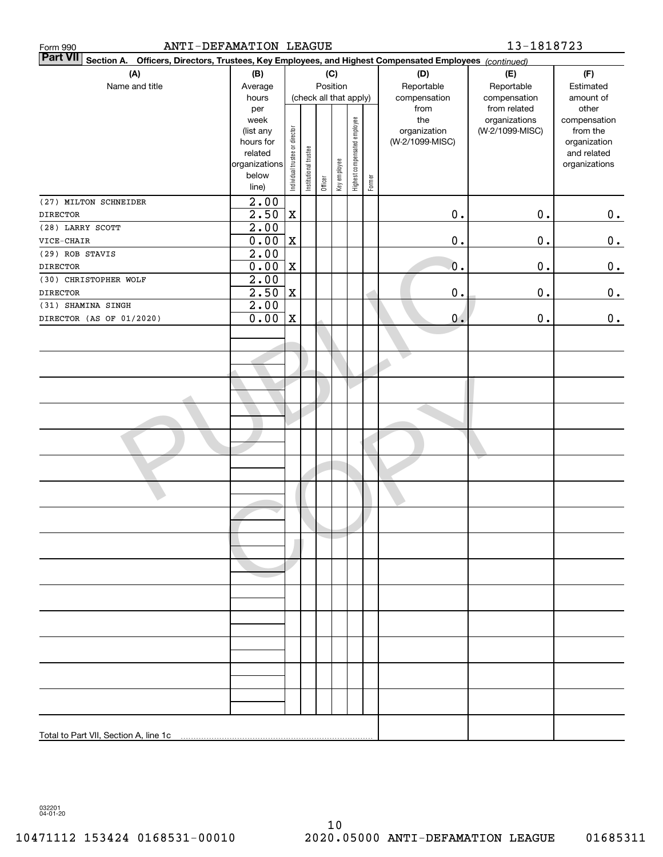| ANTI-DEFAMATION LEAGUE<br>Form 990                                                                                           |                                                                                     |                                           |                       |                                   |                                   |                               |        |                                                | 13-1818723                                       |                                                                                   |
|------------------------------------------------------------------------------------------------------------------------------|-------------------------------------------------------------------------------------|-------------------------------------------|-----------------------|-----------------------------------|-----------------------------------|-------------------------------|--------|------------------------------------------------|--------------------------------------------------|-----------------------------------------------------------------------------------|
| <b>Part VII</b><br>Officers, Directors, Trustees, Key Employees, and Highest Compensated Employees (continued)<br>Section A. |                                                                                     |                                           |                       |                                   |                                   |                               |        |                                                |                                                  |                                                                                   |
| (A)<br>Name and title                                                                                                        | (B)<br>Average<br>hours                                                             | (C)<br>Position<br>(check all that apply) |                       | (D)<br>Reportable<br>compensation | (E)<br>Reportable<br>compensation | (F)<br>Estimated<br>amount of |        |                                                |                                                  |                                                                                   |
|                                                                                                                              | per<br>week<br>(list any<br>hours for<br>related<br>organizations<br>below<br>line) | Individual trustee or director            | Institutional trustee | Officer                           | Key employee                      | Highest compensated employee  | Former | from<br>the<br>organization<br>(W-2/1099-MISC) | from related<br>organizations<br>(W-2/1099-MISC) | other<br>compensation<br>from the<br>organization<br>and related<br>organizations |
| (27) MILTON SCHNEIDER<br><b>DIRECTOR</b>                                                                                     | $\overline{2.00}$<br>2.50                                                           | $\mathbf X$                               |                       |                                   |                                   |                               |        | $\mathbf 0$ .                                  | $0$ .                                            | 0.                                                                                |
| (28) LARRY SCOTT                                                                                                             | $\overline{2.00}$                                                                   |                                           |                       |                                   |                                   |                               |        |                                                |                                                  |                                                                                   |
| VICE-CHAIR                                                                                                                   | 0.00                                                                                | $\mathbf X$                               |                       |                                   |                                   |                               |        | $\mathbf 0$ .                                  | 0.                                               | 0.                                                                                |
| (29) ROB STAVIS                                                                                                              | 2.00                                                                                |                                           |                       |                                   |                                   |                               |        |                                                |                                                  |                                                                                   |
| <b>DIRECTOR</b>                                                                                                              | 0.00                                                                                | $\mathbf X$                               |                       |                                   |                                   |                               |        | $\mathbf 0$ .                                  | $0$ .                                            | 0.                                                                                |
| (30) CHRISTOPHER WOLF                                                                                                        | $\overline{2.00}$                                                                   |                                           |                       |                                   |                                   |                               |        |                                                |                                                  |                                                                                   |
| <b>DIRECTOR</b>                                                                                                              | 2.50                                                                                | $\mathbf X$                               |                       |                                   |                                   |                               |        | 0.                                             | $0$ .                                            | 0.                                                                                |
| (31) SHAMINA SINGH                                                                                                           | 2.00                                                                                |                                           |                       |                                   |                                   |                               |        |                                                |                                                  |                                                                                   |
| DIRECTOR (AS OF 01/2020)                                                                                                     | 0.00                                                                                | $\mathbf X$                               |                       |                                   |                                   |                               |        | 0.                                             | $\mathbf 0$ .                                    | 0.                                                                                |
|                                                                                                                              |                                                                                     |                                           |                       |                                   |                                   |                               |        |                                                |                                                  |                                                                                   |
|                                                                                                                              |                                                                                     |                                           |                       |                                   |                                   |                               |        |                                                |                                                  |                                                                                   |
|                                                                                                                              |                                                                                     |                                           |                       |                                   |                                   |                               |        |                                                |                                                  |                                                                                   |
|                                                                                                                              |                                                                                     |                                           |                       |                                   |                                   |                               |        |                                                |                                                  |                                                                                   |
|                                                                                                                              |                                                                                     |                                           |                       |                                   |                                   |                               |        |                                                |                                                  |                                                                                   |
|                                                                                                                              |                                                                                     |                                           |                       |                                   |                                   |                               |        |                                                |                                                  |                                                                                   |
|                                                                                                                              |                                                                                     |                                           |                       |                                   |                                   |                               |        |                                                |                                                  |                                                                                   |
|                                                                                                                              |                                                                                     |                                           |                       |                                   |                                   |                               |        |                                                |                                                  |                                                                                   |
|                                                                                                                              |                                                                                     |                                           |                       |                                   |                                   |                               |        |                                                |                                                  |                                                                                   |
|                                                                                                                              |                                                                                     |                                           |                       |                                   |                                   |                               |        |                                                |                                                  |                                                                                   |
|                                                                                                                              |                                                                                     |                                           |                       |                                   |                                   |                               |        |                                                |                                                  |                                                                                   |
|                                                                                                                              |                                                                                     |                                           |                       |                                   |                                   |                               |        |                                                |                                                  |                                                                                   |
|                                                                                                                              |                                                                                     |                                           |                       |                                   |                                   |                               |        |                                                |                                                  |                                                                                   |
|                                                                                                                              |                                                                                     |                                           |                       |                                   |                                   |                               |        |                                                |                                                  |                                                                                   |
|                                                                                                                              |                                                                                     |                                           |                       |                                   |                                   |                               |        |                                                |                                                  |                                                                                   |
|                                                                                                                              |                                                                                     |                                           |                       |                                   |                                   |                               |        |                                                |                                                  |                                                                                   |
|                                                                                                                              |                                                                                     |                                           |                       |                                   |                                   |                               |        |                                                |                                                  |                                                                                   |
|                                                                                                                              |                                                                                     |                                           |                       |                                   |                                   |                               |        |                                                |                                                  |                                                                                   |
| Total to Part VII, Section A, line 1c                                                                                        |                                                                                     |                                           |                       |                                   |                                   |                               |        |                                                |                                                  |                                                                                   |

032201 04-01-20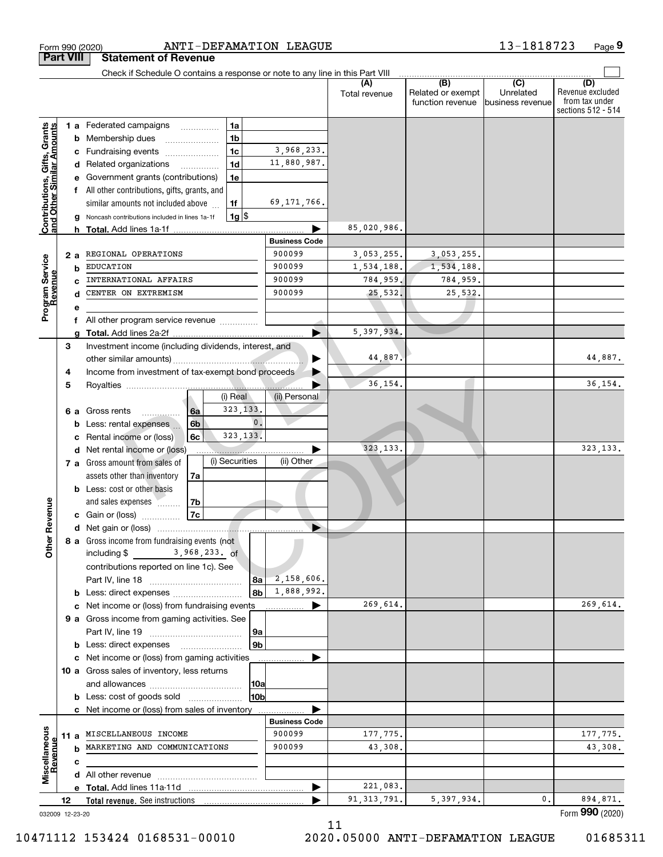|                                                                                                | Form 990 (2020)         | ANTI-DEFAMATION LEAGUE                                                                                                                                                                                                                                                                                                                                                                                                                                                                       |                                                                                                            |                                                                |                                                 | 13-1818723                                        | Page 9                                    |
|------------------------------------------------------------------------------------------------|-------------------------|----------------------------------------------------------------------------------------------------------------------------------------------------------------------------------------------------------------------------------------------------------------------------------------------------------------------------------------------------------------------------------------------------------------------------------------------------------------------------------------------|------------------------------------------------------------------------------------------------------------|----------------------------------------------------------------|-------------------------------------------------|---------------------------------------------------|-------------------------------------------|
|                                                                                                | <b>Part VIII</b>        | <b>Statement of Revenue</b>                                                                                                                                                                                                                                                                                                                                                                                                                                                                  |                                                                                                            |                                                                |                                                 |                                                   |                                           |
|                                                                                                |                         | Check if Schedule O contains a response or note to any line in this Part VIII                                                                                                                                                                                                                                                                                                                                                                                                                |                                                                                                            | (A)<br>Total revenue                                           | (B)<br>Related or exempt<br>function revenue    | $\overline{(C)}$<br>Unrelated<br>business revenue | (D)<br>Revenue excluded<br>from tax under |
| <b>Contributions, Gifts, Grants</b><br>and Other Similar Amounts<br>Program Service<br>Revenue | b<br>с<br>2 a<br>b<br>е | 1a<br>1 a Federated campaigns<br>.<br>1 <sub>b</sub><br>Membership dues<br>1 <sub>c</sub><br>Fundraising events<br>1 <sub>d</sub><br>d Related organizations<br>.<br>1e<br>Government grants (contributions)<br>f All other contributions, gifts, grants, and<br>similar amounts not included above<br>1f<br>$1g$ \$<br>Noncash contributions included in lines 1a-1f<br>h Total. Add lines 1a-1f<br>REGIONAL OPERATIONS<br><b>EDUCATION</b><br>INTERNATIONAL AFFAIRS<br>CENTER ON EXTREMISM | 3,968,233.<br>11,880,987.<br>69, 171, 766.<br><b>Business Code</b><br>900099<br>900099<br>900099<br>900099 | 85,020,986.<br>3,053,255.<br>1,534,188.<br>784,959.<br>25,532. | 3,053,255.<br>1,534,188.<br>784,959.<br>25,532. |                                                   | sections 512 - 514                        |
|                                                                                                |                         | All other program service revenue                                                                                                                                                                                                                                                                                                                                                                                                                                                            |                                                                                                            | 5,397,934.                                                     |                                                 |                                                   |                                           |
|                                                                                                | g<br>3<br>4             | Investment income (including dividends, interest, and<br>Income from investment of tax-exempt bond proceeds                                                                                                                                                                                                                                                                                                                                                                                  |                                                                                                            | 44,887.                                                        |                                                 |                                                   | 44,887.                                   |
|                                                                                                | 5<br>6а<br>b            | (i) Real<br>323, 133.<br>Gross rents<br>6a<br>. <b>.</b><br>$\mathbf{0}$ .<br>6b<br>Less: rental expenses                                                                                                                                                                                                                                                                                                                                                                                    | (ii) Personal                                                                                              | 36,154.                                                        |                                                 |                                                   | 36, 154.                                  |
|                                                                                                | d                       | 323, 133.<br>6c<br>Rental income or (loss)<br>Net rental income or (loss)<br>(i) Securities<br>7 a Gross amount from sales of                                                                                                                                                                                                                                                                                                                                                                | (ii) Other                                                                                                 | 323, 133.                                                      |                                                 |                                                   | 323, 133.                                 |
| enueve                                                                                         |                         | assets other than inventory<br>7a<br><b>b</b> Less: cost or other basis<br>and sales expenses <b>Manager</b><br>7b<br>7c<br>c Gain or (loss)                                                                                                                                                                                                                                                                                                                                                 |                                                                                                            |                                                                |                                                 |                                                   |                                           |
| č<br>Other                                                                                     |                         | 8 a Gross income from fundraising events (not<br>3,968,233. of<br>including \$<br>contributions reported on line 1c). See<br>8а<br>8b<br><b>b</b> Less: direct expenses                                                                                                                                                                                                                                                                                                                      | 2,158,606.<br>1,888,992.                                                                                   |                                                                |                                                 |                                                   |                                           |
|                                                                                                |                         | c Net income or (loss) from fundraising events                                                                                                                                                                                                                                                                                                                                                                                                                                               |                                                                                                            | 269,614.                                                       |                                                 |                                                   | 269,614.                                  |
|                                                                                                |                         | 9 a Gross income from gaming activities. See<br>9а                                                                                                                                                                                                                                                                                                                                                                                                                                           |                                                                                                            |                                                                |                                                 |                                                   |                                           |
|                                                                                                |                         | 9 <sub>b</sub><br>c Net income or (loss) from gaming activities<br>10 a Gross sales of inventory, less returns<br> 10a<br>10bl<br><b>b</b> Less: cost of goods sold                                                                                                                                                                                                                                                                                                                          |                                                                                                            |                                                                |                                                 |                                                   |                                           |
|                                                                                                |                         | c Net income or (loss) from sales of inventory                                                                                                                                                                                                                                                                                                                                                                                                                                               | <b>Business Code</b>                                                                                       |                                                                |                                                 |                                                   |                                           |
| Miscellaneous<br>Revenue                                                                       |                         | 11 a MISCELLANEOUS INCOME<br>MARKETING AND COMMUNICATIONS                                                                                                                                                                                                                                                                                                                                                                                                                                    | 900099<br>900099                                                                                           | 177,775.<br>43,308.                                            |                                                 |                                                   | 177,775.<br>43,308.                       |
|                                                                                                | c                       |                                                                                                                                                                                                                                                                                                                                                                                                                                                                                              |                                                                                                            |                                                                |                                                 |                                                   |                                           |
|                                                                                                |                         |                                                                                                                                                                                                                                                                                                                                                                                                                                                                                              |                                                                                                            |                                                                |                                                 |                                                   |                                           |
|                                                                                                |                         |                                                                                                                                                                                                                                                                                                                                                                                                                                                                                              |                                                                                                            | 221,083.                                                       |                                                 |                                                   |                                           |
|                                                                                                | 12                      | Total revenue. See instructions                                                                                                                                                                                                                                                                                                                                                                                                                                                              |                                                                                                            | 91, 313, 791.                                                  | 5, 397, 934.                                    | 0.                                                | 894,871.<br>Form 990 (2020)               |
|                                                                                                | 032009 12-23-20         |                                                                                                                                                                                                                                                                                                                                                                                                                                                                                              |                                                                                                            |                                                                |                                                 |                                                   |                                           |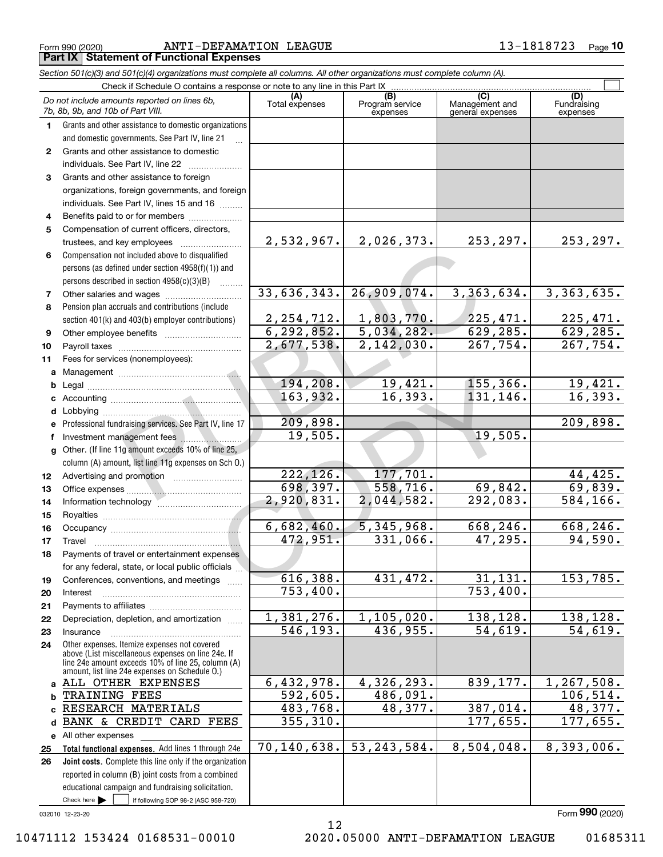Form 990 (2020) ANTI-DEFAMATION LEAGUE 1 3-1818723 page **Part IX Statement of Functional Expenses**

|              | Section 501(c)(3) and 501(c)(4) organizations must complete all columns. All other organizations must complete column (A).                                                                                 |                        |                                    |                                           |                                |
|--------------|------------------------------------------------------------------------------------------------------------------------------------------------------------------------------------------------------------|------------------------|------------------------------------|-------------------------------------------|--------------------------------|
|              | Check if Schedule O contains a response or note to any line in this Part IX                                                                                                                                |                        |                                    |                                           |                                |
|              | Do not include amounts reported on lines 6b,<br>7b, 8b, 9b, and 10b of Part VIII.                                                                                                                          | (A)<br>Total expenses  | (B)<br>Program service<br>expenses | (C)<br>Management and<br>general expenses | (D)<br>Fundraising<br>expenses |
| 1.           | Grants and other assistance to domestic organizations                                                                                                                                                      |                        |                                    |                                           |                                |
|              | and domestic governments. See Part IV, line 21                                                                                                                                                             |                        |                                    |                                           |                                |
| $\mathbf{2}$ | Grants and other assistance to domestic                                                                                                                                                                    |                        |                                    |                                           |                                |
|              | individuals. See Part IV, line 22                                                                                                                                                                          |                        |                                    |                                           |                                |
| 3            | Grants and other assistance to foreign                                                                                                                                                                     |                        |                                    |                                           |                                |
|              | organizations, foreign governments, and foreign                                                                                                                                                            |                        |                                    |                                           |                                |
|              | individuals. See Part IV, lines 15 and 16                                                                                                                                                                  |                        |                                    |                                           |                                |
| 4            | Benefits paid to or for members                                                                                                                                                                            |                        |                                    |                                           |                                |
| 5            | Compensation of current officers, directors,                                                                                                                                                               |                        |                                    |                                           |                                |
|              | trustees, and key employees                                                                                                                                                                                | 2,532,967.             | 2,026,373.                         | 253, 297.                                 | 253, 297.                      |
| 6            | Compensation not included above to disqualified                                                                                                                                                            |                        |                                    |                                           |                                |
|              | persons (as defined under section 4958(f)(1)) and                                                                                                                                                          |                        |                                    |                                           |                                |
|              | persons described in section 4958(c)(3)(B)<br>1.1.1.1.1.1.1                                                                                                                                                |                        |                                    |                                           |                                |
| 7            |                                                                                                                                                                                                            | 33,636,343.            | 26,909,074.                        | 3, 363, 634.                              | 3,363,635.                     |
| 8            | Pension plan accruals and contributions (include                                                                                                                                                           |                        |                                    |                                           |                                |
|              | section 401(k) and 403(b) employer contributions)                                                                                                                                                          | 2, 254, 712.           | 1,803,770.                         | 225, 471.                                 | $\frac{225,471}{629,285}$      |
| 9            |                                                                                                                                                                                                            | 6, 292, 852.           | 5,034,282.                         | 629, 285.                                 |                                |
| 10           |                                                                                                                                                                                                            | 2,677,538.             | 2, 142, 030.                       | 267,754.                                  | 267,754.                       |
| 11           | Fees for services (nonemployees):                                                                                                                                                                          |                        |                                    |                                           |                                |
|              |                                                                                                                                                                                                            |                        |                                    |                                           |                                |
| b            |                                                                                                                                                                                                            | 194,208.               | 19,421.                            | 155, 366.                                 | $\frac{19,421}{16,393}$ .      |
| c            |                                                                                                                                                                                                            | 163,932.               | 16,393.                            | 131,146.                                  |                                |
| d            |                                                                                                                                                                                                            |                        |                                    |                                           |                                |
|              | Professional fundraising services. See Part IV, line 17                                                                                                                                                    | 209,898.               |                                    |                                           | 209,898.                       |
| f            |                                                                                                                                                                                                            | 19,505.                |                                    | 19,505.                                   |                                |
|              | g Other. (If line 11g amount exceeds 10% of line 25,                                                                                                                                                       |                        |                                    |                                           |                                |
|              | column (A) amount, list line 11g expenses on Sch 0.)                                                                                                                                                       |                        |                                    |                                           |                                |
| 12           |                                                                                                                                                                                                            | $\overline{222,126}$ . | 177,701.                           |                                           | 44,425.                        |
| 13           |                                                                                                                                                                                                            | 698,397.               | 558, 716.                          | 69,842.                                   | 69,839.                        |
| 14           |                                                                                                                                                                                                            | 2,920,831.             | 2,044,582.                         | 292,083.                                  | 584, 166.                      |
| 15           |                                                                                                                                                                                                            |                        |                                    |                                           |                                |
| 16           |                                                                                                                                                                                                            | 6,682,460.             | 5,345,968.                         | 668, 246.                                 | 668,246.                       |
| 17           |                                                                                                                                                                                                            | 472,951.               | 331,066.                           | 47,295.                                   | 94,590.                        |
| 18           | Payments of travel or entertainment expenses                                                                                                                                                               |                        |                                    |                                           |                                |
|              | for any federal, state, or local public officials                                                                                                                                                          |                        |                                    |                                           |                                |
| 19           | Conferences, conventions, and meetings                                                                                                                                                                     | 616,388.               | 431,472.                           | 31, 131.                                  | 153,785.                       |
| 20           | Interest                                                                                                                                                                                                   | 753,400.               |                                    | 753,400.                                  |                                |
| 21           |                                                                                                                                                                                                            |                        |                                    |                                           |                                |
| 22           | Depreciation, depletion, and amortization                                                                                                                                                                  | 1,381,276.             | 1, 105, 020.                       | 138,128.                                  | 138,128.                       |
| 23           | Insurance                                                                                                                                                                                                  | 546, 193.              | 436,955.                           | 54,619.                                   | 54,619.                        |
| 24           | Other expenses. Itemize expenses not covered<br>above (List miscellaneous expenses on line 24e. If<br>line 24e amount exceeds 10% of line 25, column (A)<br>amount, list line 24e expenses on Schedule 0.) |                        |                                    |                                           |                                |
|              | a ALL OTHER EXPENSES                                                                                                                                                                                       | 6,432,978.             | 4,326,293.                         | 839,177.                                  | 1,267,508.                     |
| b            | TRAINING FEES                                                                                                                                                                                              | 592,605.               | 486,091.                           |                                           | 106, 514.                      |
| c            | RESEARCH MATERIALS                                                                                                                                                                                         | 483,768.               | 48,377.                            | 387,014.                                  | 48,377.                        |
| d            | BANK & CREDIT CARD FEES                                                                                                                                                                                    | 355, 310.              |                                    | 177,655.                                  | 177,655.                       |
|              | e All other expenses                                                                                                                                                                                       |                        |                                    |                                           |                                |
| 25           | Total functional expenses. Add lines 1 through 24e                                                                                                                                                         | 70,140,638.            | 53, 243, 584.                      | 8,504,048.                                | 8,393,006.                     |
| 26           | <b>Joint costs.</b> Complete this line only if the organization                                                                                                                                            |                        |                                    |                                           |                                |
|              | reported in column (B) joint costs from a combined                                                                                                                                                         |                        |                                    |                                           |                                |
|              | educational campaign and fundraising solicitation.                                                                                                                                                         |                        |                                    |                                           |                                |
|              | Check here $\blacktriangleright$<br>if following SOP 98-2 (ASC 958-720)                                                                                                                                    |                        |                                    |                                           |                                |

032010 12-23-20

Form (2020) **990**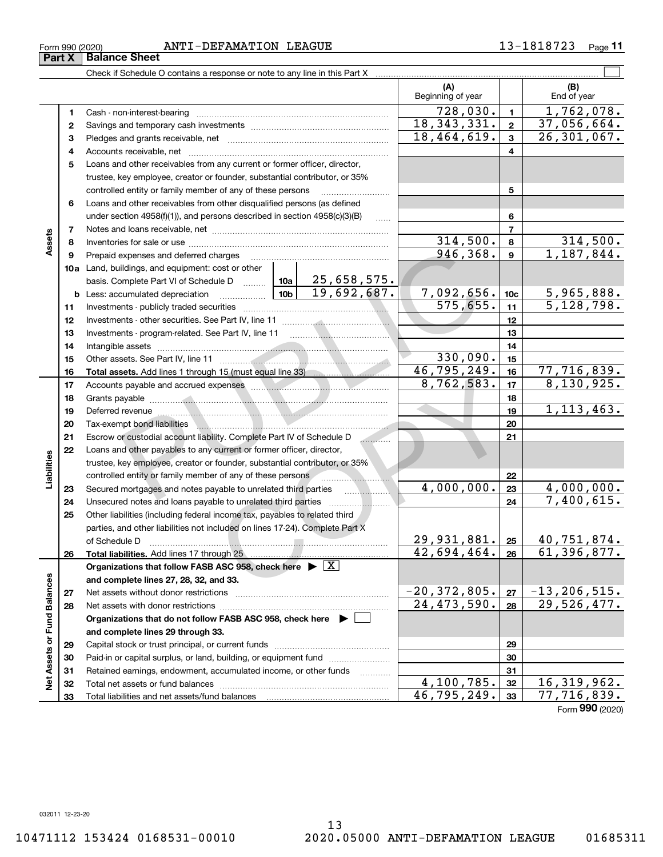Form (2020) **990**

Form 990 (2020) ANTI-DEFAMATION LEAGUE 1 3-1818723 page

**11**

|                             |    |                                                                                                                                                                                                                                 |                               | (A)<br>Beginning of year |                           | (B)<br>End of year       |
|-----------------------------|----|---------------------------------------------------------------------------------------------------------------------------------------------------------------------------------------------------------------------------------|-------------------------------|--------------------------|---------------------------|--------------------------|
|                             | 1. |                                                                                                                                                                                                                                 |                               | 728,030.                 | $\mathbf{1}$              | 1,762,078.               |
|                             | 2  |                                                                                                                                                                                                                                 |                               | 18,343,331.              | $\mathbf{2}$              | 37,056,664.              |
|                             | з  |                                                                                                                                                                                                                                 | 18,464,619.                   | $\mathbf{3}$             | $\overline{26,301,067}$ . |                          |
|                             | 4  |                                                                                                                                                                                                                                 |                               |                          | 4                         |                          |
|                             | 5  | Loans and other receivables from any current or former officer, director,                                                                                                                                                       |                               |                          |                           |                          |
|                             |    | trustee, key employee, creator or founder, substantial contributor, or 35%                                                                                                                                                      |                               |                          |                           |                          |
|                             |    | controlled entity or family member of any of these persons                                                                                                                                                                      |                               | 5                        |                           |                          |
|                             | 6  | Loans and other receivables from other disqualified persons (as defined                                                                                                                                                         |                               |                          |                           |                          |
|                             |    | under section 4958(f)(1)), and persons described in section 4958(c)(3)(B)                                                                                                                                                       | .                             |                          | 6                         |                          |
|                             | 7  |                                                                                                                                                                                                                                 |                               |                          | $\overline{7}$            |                          |
| Assets                      | 8  |                                                                                                                                                                                                                                 |                               | 314,500.                 | 8                         | 314,500.                 |
|                             | 9  | Prepaid expenses and deferred charges                                                                                                                                                                                           |                               | 946,368.                 | 9                         | 1,187,844.               |
|                             |    | 10a Land, buildings, and equipment: cost or other                                                                                                                                                                               |                               |                          |                           |                          |
|                             |    | basis. Complete Part VI of Schedule D    10a   25,658,575.                                                                                                                                                                      |                               |                          |                           |                          |
|                             |    | <b>b</b> Less: accumulated depreciation                                                                                                                                                                                         | $\frac{10b}{100}$ 19,692,687. | 7,092,656.               | 10 <sub>c</sub>           | 5,965,888.               |
|                             | 11 |                                                                                                                                                                                                                                 |                               | $\overline{575,655}$ .   | 11                        | $\overline{5,128,798}$ . |
|                             | 12 |                                                                                                                                                                                                                                 |                               |                          | 12                        |                          |
|                             | 13 |                                                                                                                                                                                                                                 |                               |                          | 13                        |                          |
|                             | 14 |                                                                                                                                                                                                                                 |                               |                          | 14                        |                          |
|                             | 15 |                                                                                                                                                                                                                                 |                               | 330,090.                 | 15                        |                          |
|                             | 16 |                                                                                                                                                                                                                                 |                               | 46, 795, 249.            | 16                        | 77,716,839.              |
|                             | 17 | Accounts payable and accrued expenses <b>manufactures</b> and accrued expenses <b>manufactures</b>                                                                                                                              |                               | 8,762,583.               | 17                        | 8,130,925.               |
|                             | 18 |                                                                                                                                                                                                                                 |                               |                          | 18                        |                          |
|                             | 19 | Deferred revenue <b>construction of the construction of the construction</b> of the construction of the construction of                                                                                                         |                               |                          | 19                        | 1, 113, 463.             |
|                             | 20 | Tax-exempt bond liabilities<br>inductions and continuum and continuum and continuum and continuum and continuum and continuum and continuum and continuum and continuum and continuum and continuum and continuum and continuum |                               |                          | 20                        |                          |
|                             | 21 | Escrow or custodial account liability. Complete Part IV of Schedule D                                                                                                                                                           |                               |                          | 21                        |                          |
|                             | 22 | Loans and other payables to any current or former officer, director,                                                                                                                                                            |                               |                          |                           |                          |
| Liabilities                 |    | trustee, key employee, creator or founder, substantial contributor, or 35%                                                                                                                                                      |                               |                          |                           |                          |
|                             |    | controlled entity or family member of any of these persons <b>controlled</b> entity or family member of any of these persons                                                                                                    |                               |                          | 22                        |                          |
|                             | 23 | Secured mortgages and notes payable to unrelated third parties                                                                                                                                                                  |                               | $\overline{4,000}$ ,000. | 23                        | 4,000,000.               |
|                             | 24 | Unsecured notes and loans payable to unrelated third parties                                                                                                                                                                    |                               |                          | 24                        | 7,400,615.               |
|                             | 25 | Other liabilities (including federal income tax, payables to related third                                                                                                                                                      |                               |                          |                           |                          |
|                             |    | parties, and other liabilities not included on lines 17-24). Complete Part X                                                                                                                                                    |                               |                          |                           |                          |
|                             |    | of Schedule D                                                                                                                                                                                                                   |                               | 29,931,881.  25          |                           | 40,751,874.              |
|                             | 26 | Total liabilities. Add lines 17 through 25                                                                                                                                                                                      |                               | 42,694,464.              | 26                        | 61,396,877.              |
|                             |    | Organizations that follow FASB ASC 958, check here $\triangleright$ $\lfloor X \rfloor$                                                                                                                                         |                               |                          |                           |                          |
|                             |    | and complete lines 27, 28, 32, and 33.                                                                                                                                                                                          |                               |                          |                           |                          |
|                             | 27 |                                                                                                                                                                                                                                 |                               | $-20, 372, 805.$         | 27                        | $-13, 206, 515.$         |
|                             | 28 |                                                                                                                                                                                                                                 |                               | 24, 473, 590.            | 28                        | 29,526,477.              |
|                             |    | Organizations that do not follow FASB ASC 958, check here $\blacktriangleright$                                                                                                                                                 |                               |                          |                           |                          |
|                             |    | and complete lines 29 through 33.                                                                                                                                                                                               |                               |                          |                           |                          |
| Net Assets or Fund Balances | 29 |                                                                                                                                                                                                                                 |                               |                          | 29                        |                          |
|                             | 30 | Paid-in or capital surplus, or land, building, or equipment fund                                                                                                                                                                |                               |                          | 30                        |                          |
|                             | 31 | Retained earnings, endowment, accumulated income, or other funds                                                                                                                                                                |                               |                          | 31                        |                          |
|                             | 32 |                                                                                                                                                                                                                                 |                               | 4,100,785.               | 32                        | 16, 319, 962.            |
|                             | 33 |                                                                                                                                                                                                                                 |                               | 46, 795, 249.            | 33                        | 77,716,839.              |

**Part X Balance Sheet**<br>**Part X Balance Sheet**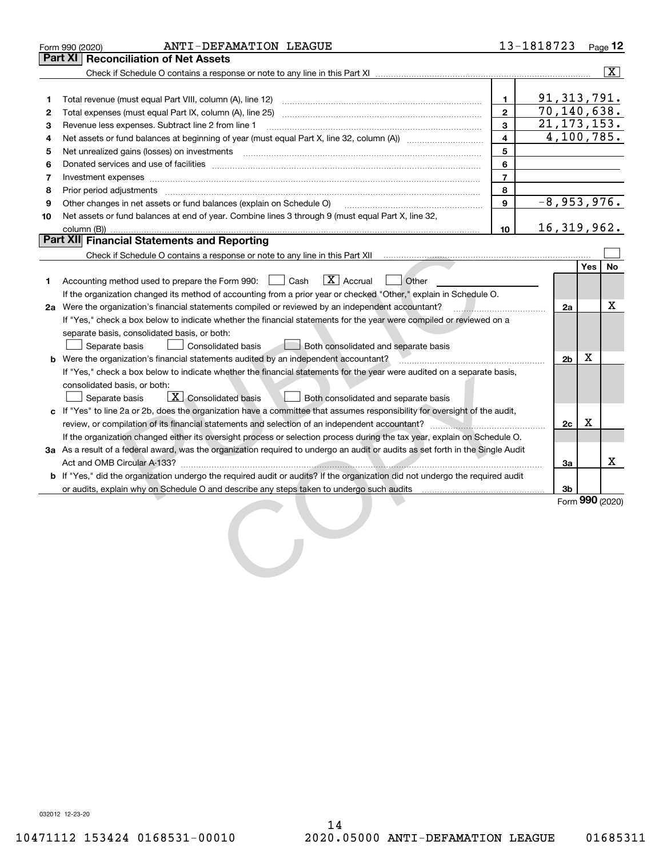|    | ANTI-DEFAMATION LEAGUE<br>Form 990 (2020)                                                                                                                                                                                           |                | 13-1818723 |                           |            | Page 12                 |
|----|-------------------------------------------------------------------------------------------------------------------------------------------------------------------------------------------------------------------------------------|----------------|------------|---------------------------|------------|-------------------------|
|    | Part XI   Reconciliation of Net Assets                                                                                                                                                                                              |                |            |                           |            |                         |
|    |                                                                                                                                                                                                                                     |                |            |                           |            | $\overline{\mathbf{x}}$ |
|    |                                                                                                                                                                                                                                     |                |            |                           |            |                         |
| 1  | Total revenue (must equal Part VIII, column (A), line 12)                                                                                                                                                                           | $\mathbf{1}$   |            | 91, 313, 791.             |            |                         |
| 2  |                                                                                                                                                                                                                                     | $\mathbf{2}$   |            | 70, 140, 638.             |            |                         |
| з  | Revenue less expenses. Subtract line 2 from line 1                                                                                                                                                                                  | 3              |            | $\overline{21,173,153}$ . |            |                         |
| 4  |                                                                                                                                                                                                                                     | 4              |            | 4,100,785.                |            |                         |
| 5  | Net unrealized gains (losses) on investments [11] matter continuum matter is a set of the set of the set of the                                                                                                                     | 5              |            |                           |            |                         |
| 6  |                                                                                                                                                                                                                                     | 6              |            |                           |            |                         |
| 7  | Investment expenses www.communication.communication.com/www.communication.com/www.communication.com                                                                                                                                 | $\overline{7}$ |            |                           |            |                         |
| 8  | Prior period adjustments <b>communications</b> and contract the contract of the contract of the contract of the contract of the contract of the contract of the contract of the contract of the contract of the contract of the con | 8              |            |                           |            |                         |
| 9  | Other changes in net assets or fund balances (explain on Schedule O)                                                                                                                                                                | 9              |            | $-8,953,976.$             |            |                         |
| 10 | Net assets or fund balances at end of year. Combine lines 3 through 9 (must equal Part X, line 32,                                                                                                                                  |                |            |                           |            |                         |
|    | column (B))                                                                                                                                                                                                                         | 10             |            | 16, 319, 962.             |            |                         |
|    | <b>Part XII</b> Financial Statements and Reporting                                                                                                                                                                                  |                |            |                           |            |                         |
|    | Check if Schedule O contains a response or note to any line in this Part XII [11] [11] [11] [11] [11] [11] Check if Schedule O contains a response or note to any line in this Part XII                                             |                |            |                           |            |                         |
|    |                                                                                                                                                                                                                                     |                |            |                           | <b>Yes</b> | No                      |
| 1  | $\boxed{\mathbf{X}}$ Accrual<br>Other<br>Accounting method used to prepare the Form 990: <u>II</u> Cash                                                                                                                             |                |            |                           |            |                         |
|    | If the organization changed its method of accounting from a prior year or checked "Other," explain in Schedule O.                                                                                                                   |                |            |                           |            |                         |
|    | 2a Were the organization's financial statements compiled or reviewed by an independent accountant?                                                                                                                                  |                |            | 2a                        |            | x                       |
|    | If "Yes," check a box below to indicate whether the financial statements for the year were compiled or reviewed on a                                                                                                                |                |            |                           |            |                         |
|    | separate basis, consolidated basis, or both:                                                                                                                                                                                        |                |            |                           |            |                         |
|    | Separate basis<br><b>Consolidated basis</b><br>Both consolidated and separate basis                                                                                                                                                 |                |            |                           |            |                         |
|    | <b>b</b> Were the organization's financial statements audited by an independent accountant?                                                                                                                                         |                |            | 2 <sub>b</sub>            | X          |                         |
|    | If "Yes," check a box below to indicate whether the financial statements for the year were audited on a separate basis,                                                                                                             |                |            |                           |            |                         |
|    | consolidated basis, or both:                                                                                                                                                                                                        |                |            |                           |            |                         |
|    | $\overline{X}$ Consolidated basis<br>Both consolidated and separate basis<br>Separate basis                                                                                                                                         |                |            |                           |            |                         |
|    | c If "Yes" to line 2a or 2b, does the organization have a committee that assumes responsibility for oversight of the audit,                                                                                                         |                |            |                           |            |                         |
|    |                                                                                                                                                                                                                                     |                |            | 2c                        | X          |                         |
|    | If the organization changed either its oversight process or selection process during the tax year, explain on Schedule O.                                                                                                           |                |            |                           |            |                         |
|    | 3a As a result of a federal award, was the organization required to undergo an audit or audits as set forth in the Single Audit                                                                                                     |                |            |                           |            |                         |
|    |                                                                                                                                                                                                                                     |                |            | За                        |            | x                       |
|    | <b>b</b> If "Yes," did the organization undergo the required audit or audits? If the organization did not undergo the required audit                                                                                                |                |            |                           |            |                         |
|    | or audits, explain why on Schedule O and describe any steps taken to undergo such audits matures and the matur                                                                                                                      |                |            | 3b                        |            |                         |
|    |                                                                                                                                                                                                                                     |                |            |                           |            | Form 990 (2020)         |
|    |                                                                                                                                                                                                                                     |                |            |                           |            |                         |
|    |                                                                                                                                                                                                                                     |                |            |                           |            |                         |
|    |                                                                                                                                                                                                                                     |                |            |                           |            |                         |
|    |                                                                                                                                                                                                                                     |                |            |                           |            |                         |
|    |                                                                                                                                                                                                                                     |                |            |                           |            |                         |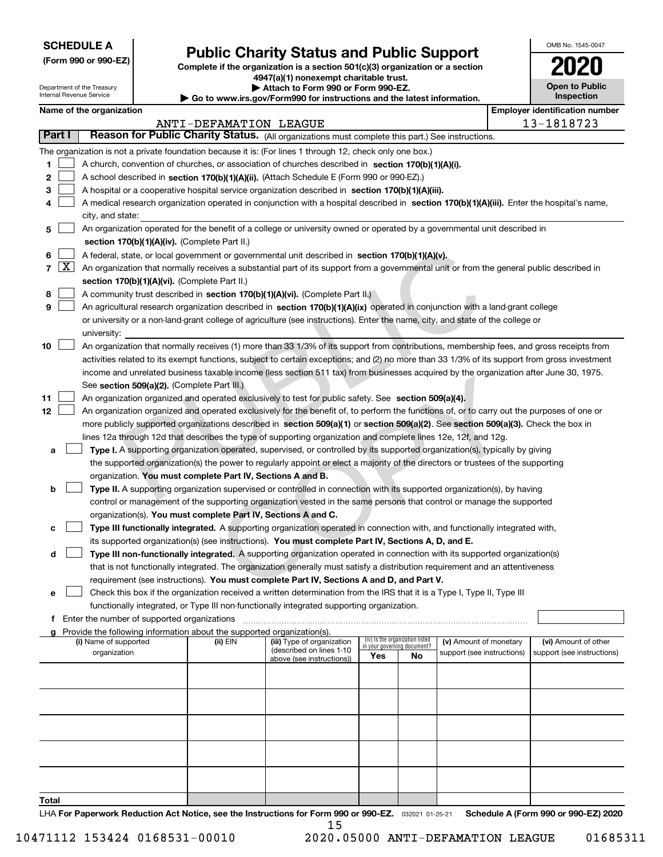| <b>SCHEDULE A</b> |
|-------------------|
|-------------------|

Department of the Treasury Internal Revenue Service

**(Form 990 or 990-EZ)**

# **Public Charity Status and Public Support**

**Complete if the organization is a section 501(c)(3) organization or a section 4947(a)(1) nonexempt charitable trust.**

**| Attach to Form 990 or Form 990-EZ.** 

**| Go to www.irs.gov/Form990 for instructions and the latest information.**

| OMB No 1545-0047                    |
|-------------------------------------|
| 12<br>l                             |
| <b>Open to Public</b><br>Inspection |

|  | Name of the organization |
|--|--------------------------|
|--|--------------------------|

|                                       | Name of the organization                                                                                                                                                                                             |                        |                                                       |                             |                                 |                            |  | <b>Employer identification number</b> |  |  |
|---------------------------------------|----------------------------------------------------------------------------------------------------------------------------------------------------------------------------------------------------------------------|------------------------|-------------------------------------------------------|-----------------------------|---------------------------------|----------------------------|--|---------------------------------------|--|--|
|                                       |                                                                                                                                                                                                                      | ANTI-DEFAMATION LEAGUE |                                                       |                             |                                 |                            |  | 13-1818723                            |  |  |
| Part I                                | Reason for Public Charity Status. (All organizations must complete this part.) See instructions.                                                                                                                     |                        |                                                       |                             |                                 |                            |  |                                       |  |  |
|                                       | The organization is not a private foundation because it is: (For lines 1 through 12, check only one box.)                                                                                                            |                        |                                                       |                             |                                 |                            |  |                                       |  |  |
| 1                                     | A church, convention of churches, or association of churches described in section $170(b)(1)(A)(i)$ .                                                                                                                |                        |                                                       |                             |                                 |                            |  |                                       |  |  |
| 2                                     | A school described in section 170(b)(1)(A)(ii). (Attach Schedule E (Form 990 or 990-EZ).)                                                                                                                            |                        |                                                       |                             |                                 |                            |  |                                       |  |  |
| з                                     | A hospital or a cooperative hospital service organization described in section $170(b)(1)(A)(iii)$ .                                                                                                                 |                        |                                                       |                             |                                 |                            |  |                                       |  |  |
|                                       | A medical research organization operated in conjunction with a hospital described in section 170(b)(1)(A)(iii). Enter the hospital's name,<br>city, and state:                                                       |                        |                                                       |                             |                                 |                            |  |                                       |  |  |
| 5                                     | An organization operated for the benefit of a college or university owned or operated by a governmental unit described in<br>section 170(b)(1)(A)(iv). (Complete Part II.)                                           |                        |                                                       |                             |                                 |                            |  |                                       |  |  |
| 6                                     | A federal, state, or local government or governmental unit described in section 170(b)(1)(A)(v).                                                                                                                     |                        |                                                       |                             |                                 |                            |  |                                       |  |  |
| $\lfloor x \rfloor$<br>$\overline{7}$ | An organization that normally receives a substantial part of its support from a governmental unit or from the general public described in                                                                            |                        |                                                       |                             |                                 |                            |  |                                       |  |  |
|                                       | section 170(b)(1)(A)(vi). (Complete Part II.)                                                                                                                                                                        |                        |                                                       |                             |                                 |                            |  |                                       |  |  |
| 8                                     | A community trust described in section 170(b)(1)(A)(vi). (Complete Part II.)                                                                                                                                         |                        |                                                       |                             |                                 |                            |  |                                       |  |  |
| 9                                     | An agricultural research organization described in section 170(b)(1)(A)(ix) operated in conjunction with a land-grant college                                                                                        |                        |                                                       |                             |                                 |                            |  |                                       |  |  |
|                                       | or university or a non-land-grant college of agriculture (see instructions). Enter the name, city, and state of the college or                                                                                       |                        |                                                       |                             |                                 |                            |  |                                       |  |  |
|                                       | university:                                                                                                                                                                                                          |                        |                                                       |                             |                                 |                            |  |                                       |  |  |
| 10                                    | An organization that normally receives (1) more than 33 1/3% of its support from contributions, membership fees, and gross receipts from                                                                             |                        |                                                       |                             |                                 |                            |  |                                       |  |  |
|                                       | activities related to its exempt functions, subject to certain exceptions; and (2) no more than 33 1/3% of its support from gross investment                                                                         |                        |                                                       |                             |                                 |                            |  |                                       |  |  |
|                                       | income and unrelated business taxable income (less section 511 tax) from businesses acquired by the organization after June 30, 1975.                                                                                |                        |                                                       |                             |                                 |                            |  |                                       |  |  |
|                                       | See section 509(a)(2). (Complete Part III.)                                                                                                                                                                          |                        |                                                       |                             |                                 |                            |  |                                       |  |  |
| 11                                    | An organization organized and operated exclusively to test for public safety. See section 509(a)(4).                                                                                                                 |                        |                                                       |                             |                                 |                            |  |                                       |  |  |
| 12                                    | An organization organized and operated exclusively for the benefit of, to perform the functions of, or to carry out the purposes of one or                                                                           |                        |                                                       |                             |                                 |                            |  |                                       |  |  |
|                                       | more publicly supported organizations described in section 509(a)(1) or section 509(a)(2). See section 509(a)(3). Check the box in                                                                                   |                        |                                                       |                             |                                 |                            |  |                                       |  |  |
|                                       | lines 12a through 12d that describes the type of supporting organization and complete lines 12e, 12f, and 12g.                                                                                                       |                        |                                                       |                             |                                 |                            |  |                                       |  |  |
| a                                     | Type I. A supporting organization operated, supervised, or controlled by its supported organization(s), typically by giving                                                                                          |                        |                                                       |                             |                                 |                            |  |                                       |  |  |
|                                       | the supported organization(s) the power to regularly appoint or elect a majority of the directors or trustees of the supporting                                                                                      |                        |                                                       |                             |                                 |                            |  |                                       |  |  |
|                                       | organization. You must complete Part IV, Sections A and B.                                                                                                                                                           |                        |                                                       |                             |                                 |                            |  |                                       |  |  |
| b                                     | Type II. A supporting organization supervised or controlled in connection with its supported organization(s), by having                                                                                              |                        |                                                       |                             |                                 |                            |  |                                       |  |  |
|                                       | control or management of the supporting organization vested in the same persons that control or manage the supported                                                                                                 |                        |                                                       |                             |                                 |                            |  |                                       |  |  |
|                                       | organization(s). You must complete Part IV, Sections A and C.                                                                                                                                                        |                        |                                                       |                             |                                 |                            |  |                                       |  |  |
| c                                     | Type III functionally integrated. A supporting organization operated in connection with, and functionally integrated with,                                                                                           |                        |                                                       |                             |                                 |                            |  |                                       |  |  |
|                                       | its supported organization(s) (see instructions). You must complete Part IV, Sections A, D, and E.                                                                                                                   |                        |                                                       |                             |                                 |                            |  |                                       |  |  |
| d                                     | Type III non-functionally integrated. A supporting organization operated in connection with its supported organization(s)                                                                                            |                        |                                                       |                             |                                 |                            |  |                                       |  |  |
|                                       | that is not functionally integrated. The organization generally must satisfy a distribution requirement and an attentiveness                                                                                         |                        |                                                       |                             |                                 |                            |  |                                       |  |  |
|                                       | requirement (see instructions). You must complete Part IV, Sections A and D, and Part V.                                                                                                                             |                        |                                                       |                             |                                 |                            |  |                                       |  |  |
|                                       | Check this box if the organization received a written determination from the IRS that it is a Type I, Type II, Type III<br>functionally integrated, or Type III non-functionally integrated supporting organization. |                        |                                                       |                             |                                 |                            |  |                                       |  |  |
|                                       | <b>f</b> Enter the number of supported organizations                                                                                                                                                                 |                        |                                                       |                             |                                 |                            |  |                                       |  |  |
|                                       | Provide the following information about the supported organization(s).                                                                                                                                               |                        |                                                       |                             |                                 |                            |  |                                       |  |  |
|                                       | (i) Name of supported                                                                                                                                                                                                | (ii) EIN               | (iii) Type of organization                            | in your governing document? | (iv) Is the organization listed | (v) Amount of monetary     |  | (vi) Amount of other                  |  |  |
|                                       | organization                                                                                                                                                                                                         |                        | (described on lines 1-10<br>above (see instructions)) | Yes                         | No                              | support (see instructions) |  | support (see instructions)            |  |  |
|                                       |                                                                                                                                                                                                                      |                        |                                                       |                             |                                 |                            |  |                                       |  |  |
|                                       |                                                                                                                                                                                                                      |                        |                                                       |                             |                                 |                            |  |                                       |  |  |
|                                       |                                                                                                                                                                                                                      |                        |                                                       |                             |                                 |                            |  |                                       |  |  |
|                                       |                                                                                                                                                                                                                      |                        |                                                       |                             |                                 |                            |  |                                       |  |  |
|                                       |                                                                                                                                                                                                                      |                        |                                                       |                             |                                 |                            |  |                                       |  |  |
|                                       |                                                                                                                                                                                                                      |                        |                                                       |                             |                                 |                            |  |                                       |  |  |
|                                       |                                                                                                                                                                                                                      |                        |                                                       |                             |                                 |                            |  |                                       |  |  |
|                                       |                                                                                                                                                                                                                      |                        |                                                       |                             |                                 |                            |  |                                       |  |  |
| Total                                 |                                                                                                                                                                                                                      |                        |                                                       |                             |                                 |                            |  |                                       |  |  |

LHA For Paperwork Reduction Act Notice, see the Instructions for Form 990 or 990-EZ. <sub>032021</sub> o1-25-21 Schedule A (Form 990 or 990-EZ) 2020 15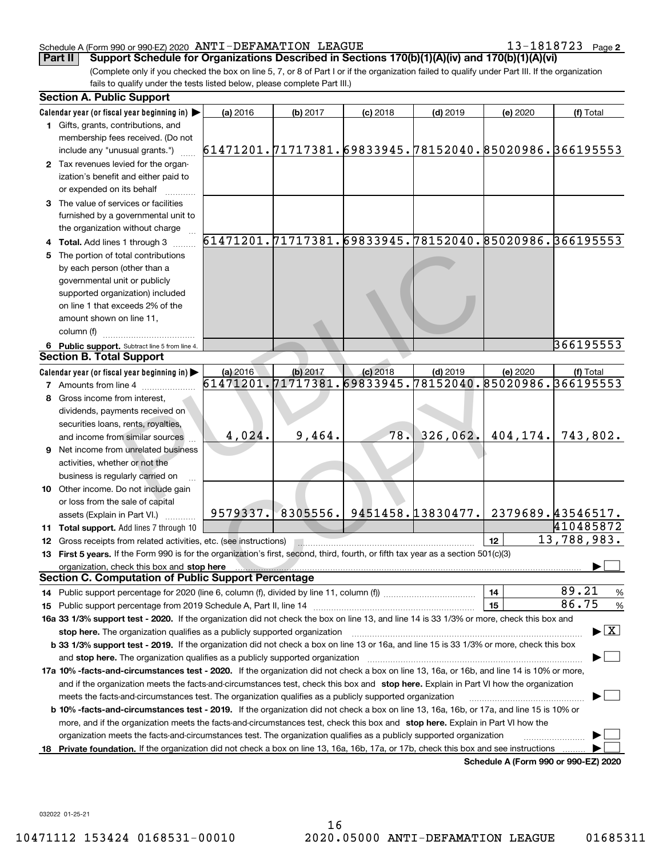13-1818723 Page 2

(Complete only if you checked the box on line 5, 7, or 8 of Part I or if the organization failed to qualify under Part III. If the organization fails to qualify under the tests listed below, please complete Part III.) **Part II Support Schedule for Organizations Described in Sections 170(b)(1)(A)(iv) and 170(b)(1)(A)(vi)**

|     | <b>Section A. Public Support</b>                                                                                                               |                                                        |            |                             |            |                                      |                                                             |
|-----|------------------------------------------------------------------------------------------------------------------------------------------------|--------------------------------------------------------|------------|-----------------------------|------------|--------------------------------------|-------------------------------------------------------------|
|     | Calendar year (or fiscal year beginning in)                                                                                                    | (a) 2016                                               | $(b)$ 2017 | $(c)$ 2018                  | $(d)$ 2019 | (e) 2020                             | (f) Total                                                   |
|     | 1 Gifts, grants, contributions, and<br>membership fees received. (Do not                                                                       |                                                        |            |                             |            |                                      |                                                             |
|     | include any "unusual grants.")                                                                                                                 | 61471201.71717381.69833945.78152040.85020986.366195553 |            |                             |            |                                      |                                                             |
|     | 2 Tax revenues levied for the organ-<br>ization's benefit and either paid to<br>or expended on its behalf                                      |                                                        |            |                             |            |                                      |                                                             |
|     | 3 The value of services or facilities<br>furnished by a governmental unit to                                                                   |                                                        |            |                             |            |                                      |                                                             |
|     | the organization without charge                                                                                                                |                                                        |            |                             |            |                                      |                                                             |
|     | 4 Total. Add lines 1 through 3                                                                                                                 |                                                        |            |                             |            |                                      | 61471201.71717381.69833945.78152040.85020986.366195553      |
| 5   | The portion of total contributions                                                                                                             |                                                        |            |                             |            |                                      |                                                             |
|     | by each person (other than a                                                                                                                   |                                                        |            |                             |            |                                      |                                                             |
|     | governmental unit or publicly                                                                                                                  |                                                        |            |                             |            |                                      |                                                             |
|     | supported organization) included                                                                                                               |                                                        |            |                             |            |                                      |                                                             |
|     | on line 1 that exceeds 2% of the                                                                                                               |                                                        |            |                             |            |                                      |                                                             |
|     | amount shown on line 11,                                                                                                                       |                                                        |            |                             |            |                                      |                                                             |
|     | column (f)                                                                                                                                     |                                                        |            |                             |            |                                      | 366195553                                                   |
|     | 6 Public support. Subtract line 5 from line 4.<br><b>Section B. Total Support</b>                                                              |                                                        |            |                             |            |                                      |                                                             |
|     | Calendar year (or fiscal year beginning in)                                                                                                    | (a) 2016                                               | (b) 2017   | $(c)$ 2018                  | $(d)$ 2019 | (e) 2020                             | (f) Total                                                   |
|     | <b>7</b> Amounts from line 4                                                                                                                   |                                                        |            |                             |            |                                      | 61471201, 71717381, 69833945, 78152040, 85020986, 366195553 |
|     | Gross income from interest,                                                                                                                    |                                                        |            |                             |            |                                      |                                                             |
|     | dividends, payments received on                                                                                                                |                                                        |            |                             |            |                                      |                                                             |
|     | securities loans, rents, royalties,                                                                                                            |                                                        |            |                             |            |                                      |                                                             |
|     | and income from similar sources                                                                                                                | 4,024.                                                 | 9,464.     | 78.                         | 326,062.   | 404,174.                             | 743,802.                                                    |
|     | 9 Net income from unrelated business                                                                                                           |                                                        |            |                             |            |                                      |                                                             |
|     | activities, whether or not the                                                                                                                 |                                                        |            |                             |            |                                      |                                                             |
|     | business is regularly carried on                                                                                                               |                                                        |            |                             |            |                                      |                                                             |
|     | 10 Other income. Do not include gain                                                                                                           |                                                        |            |                             |            |                                      |                                                             |
|     | or loss from the sale of capital                                                                                                               |                                                        |            |                             |            |                                      |                                                             |
|     | assets (Explain in Part VI.)                                                                                                                   | 9579337.                                               |            | 8305556. 9451458. 13830477. |            |                                      | 2379689.43546517.                                           |
|     | 11 Total support. Add lines 7 through 10                                                                                                       |                                                        |            |                             |            |                                      | 410485872                                                   |
|     | <b>12</b> Gross receipts from related activities, etc. (see instructions)                                                                      |                                                        |            |                             |            | 12                                   | 13,788,983.                                                 |
|     | 13 First 5 years. If the Form 990 is for the organization's first, second, third, fourth, or fifth tax year as a section 501(c)(3)             |                                                        |            |                             |            |                                      |                                                             |
|     | organization, check this box and stop here                                                                                                     |                                                        |            |                             |            |                                      |                                                             |
|     | <b>Section C. Computation of Public Support Percentage</b>                                                                                     |                                                        |            |                             |            |                                      |                                                             |
|     |                                                                                                                                                |                                                        |            |                             |            | 14                                   | 89.21<br>%                                                  |
|     |                                                                                                                                                |                                                        |            |                             |            | 15                                   | 86.75<br>$\%$                                               |
|     | 16a 33 1/3% support test - 2020. If the organization did not check the box on line 13, and line 14 is 33 1/3% or more, check this box and      |                                                        |            |                             |            |                                      |                                                             |
|     | stop here. The organization qualifies as a publicly supported organization                                                                     |                                                        |            |                             |            |                                      | $\blacktriangleright$ $\boxed{\text{X}}$                    |
|     | b 33 1/3% support test - 2019. If the organization did not check a box on line 13 or 16a, and line 15 is 33 1/3% or more, check this box       |                                                        |            |                             |            |                                      |                                                             |
|     | and stop here. The organization qualifies as a publicly supported organization                                                                 |                                                        |            |                             |            |                                      |                                                             |
|     | 17a 10% -facts-and-circumstances test - 2020. If the organization did not check a box on line 13, 16a, or 16b, and line 14 is 10% or more,     |                                                        |            |                             |            |                                      |                                                             |
|     | and if the organization meets the facts-and-circumstances test, check this box and stop here. Explain in Part VI how the organization          |                                                        |            |                             |            |                                      |                                                             |
|     | meets the facts-and-circumstances test. The organization qualifies as a publicly supported organization                                        |                                                        |            |                             |            |                                      |                                                             |
|     | <b>b 10% -facts-and-circumstances test - 2019.</b> If the organization did not check a box on line 13, 16a, 16b, or 17a, and line 15 is 10% or |                                                        |            |                             |            |                                      |                                                             |
|     | more, and if the organization meets the facts-and-circumstances test, check this box and stop here. Explain in Part VI how the                 |                                                        |            |                             |            |                                      |                                                             |
|     | organization meets the facts-and-circumstances test. The organization qualifies as a publicly supported organization                           |                                                        |            |                             |            |                                      |                                                             |
| 18. | Private foundation. If the organization did not check a box on line 13, 16a, 16b, 17a, or 17b, check this box and see instructions             |                                                        |            |                             |            |                                      |                                                             |
|     |                                                                                                                                                |                                                        |            |                             |            | Schedule A (Form 990 or 990-EZ) 2020 |                                                             |

032022 01-25-21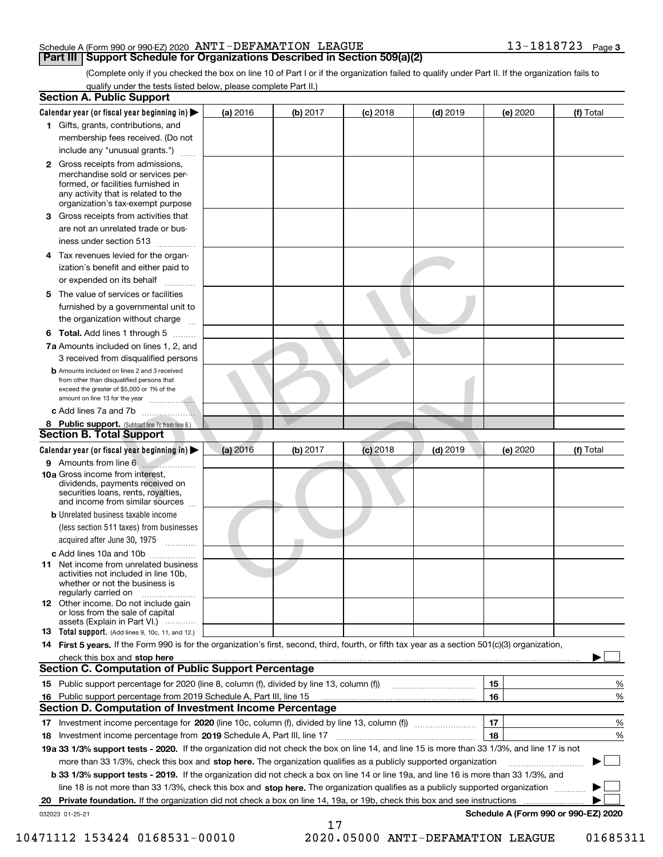(Complete only if you checked the box on line 10 of Part I or if the organization failed to qualify under Part II. If the organization fails to qualify under the tests listed below, please complete Part II.)

|    | <b>Section A. Public Support</b>                                                                                                                                                         |          |          |            |            |          |                                      |
|----|------------------------------------------------------------------------------------------------------------------------------------------------------------------------------------------|----------|----------|------------|------------|----------|--------------------------------------|
|    | Calendar year (or fiscal year beginning in) $\blacktriangleright$                                                                                                                        | (a) 2016 | (b) 2017 | $(c)$ 2018 | $(d)$ 2019 | (e) 2020 | (f) Total                            |
|    | 1 Gifts, grants, contributions, and                                                                                                                                                      |          |          |            |            |          |                                      |
|    | membership fees received. (Do not                                                                                                                                                        |          |          |            |            |          |                                      |
|    | include any "unusual grants.")                                                                                                                                                           |          |          |            |            |          |                                      |
|    | 2 Gross receipts from admissions,<br>merchandise sold or services per-<br>formed, or facilities furnished in<br>any activity that is related to the<br>organization's tax-exempt purpose |          |          |            |            |          |                                      |
| 3. | Gross receipts from activities that<br>are not an unrelated trade or bus-                                                                                                                |          |          |            |            |          |                                      |
|    | iness under section 513                                                                                                                                                                  |          |          |            |            |          |                                      |
| 4  | Tax revenues levied for the organ-<br>ization's benefit and either paid to<br>or expended on its behalf                                                                                  |          |          |            |            |          |                                      |
| 5. | The value of services or facilities<br>furnished by a governmental unit to                                                                                                               |          |          |            |            |          |                                      |
|    | the organization without charge                                                                                                                                                          |          |          |            |            |          |                                      |
|    | <b>6 Total.</b> Add lines 1 through 5                                                                                                                                                    |          |          |            |            |          |                                      |
|    | 7a Amounts included on lines 1, 2, and<br>3 received from disqualified persons                                                                                                           |          |          |            |            |          |                                      |
|    | <b>b</b> Amounts included on lines 2 and 3 received<br>from other than disqualified persons that<br>exceed the greater of \$5,000 or 1% of the                                           |          |          |            |            |          |                                      |
|    |                                                                                                                                                                                          |          |          |            |            |          |                                      |
|    | 8 Public support. (Subtract line 7c from line 6.)<br><b>Section B. Total Support</b>                                                                                                     |          |          |            |            |          |                                      |
|    | Calendar year (or fiscal year beginning in)                                                                                                                                              | (a) 2016 | (b) 2017 | $(c)$ 2018 | $(d)$ 2019 | (e) 2020 | (f) Total                            |
|    | 9 Amounts from line 6                                                                                                                                                                    |          |          |            |            |          |                                      |
|    | <b>10a</b> Gross income from interest,<br>dividends, payments received on<br>securities loans, rents, royalties,<br>and income from similar sources                                      |          |          |            |            |          |                                      |
|    | <b>b</b> Unrelated business taxable income<br>(less section 511 taxes) from businesses<br>acquired after June 30, 1975                                                                   |          |          |            |            |          |                                      |
|    | c Add lines 10a and 10b                                                                                                                                                                  |          |          |            |            |          |                                      |
|    | 11 Net income from unrelated business<br>activities not included in line 10b.<br>whether or not the business is<br>regularly carried on                                                  |          |          |            |            |          |                                      |
|    | 12 Other income. Do not include gain<br>or loss from the sale of capital<br>assets (Explain in Part VI.)                                                                                 |          |          |            |            |          |                                      |
|    | <b>13</b> Total support. (Add lines 9, 10c, 11, and 12.)                                                                                                                                 |          |          |            |            |          |                                      |
|    | 14 First 5 years. If the Form 990 is for the organization's first, second, third, fourth, or fifth tax year as a section 501(c)(3) organization,                                         |          |          |            |            |          |                                      |
|    | check this box and stop here with an intermediate control to the control of the control of the control of the c                                                                          |          |          |            |            |          |                                      |
|    | <b>Section C. Computation of Public Support Percentage</b>                                                                                                                               |          |          |            |            |          |                                      |
|    |                                                                                                                                                                                          |          |          |            |            | 15       | %                                    |
|    | 16 Public support percentage from 2019 Schedule A, Part III, line 15                                                                                                                     |          |          |            |            | 16       | %                                    |
|    | <b>Section D. Computation of Investment Income Percentage</b>                                                                                                                            |          |          |            |            |          |                                      |
|    | 17 Investment income percentage for 2020 (line 10c, column (f), divided by line 13, column (f))                                                                                          |          |          |            |            | 17       | %                                    |
|    | 18 Investment income percentage from 2019 Schedule A, Part III, line 17                                                                                                                  |          |          |            |            | 18       | %                                    |
|    | 19a 33 1/3% support tests - 2020. If the organization did not check the box on line 14, and line 15 is more than 33 1/3%, and line 17 is not                                             |          |          |            |            |          |                                      |
|    | more than 33 1/3%, check this box and stop here. The organization qualifies as a publicly supported organization                                                                         |          |          |            |            |          | ▶                                    |
|    | b 33 1/3% support tests - 2019. If the organization did not check a box on line 14 or line 19a, and line 16 is more than 33 1/3%, and                                                    |          |          |            |            |          |                                      |
|    | line 18 is not more than 33 1/3%, check this box and stop here. The organization qualifies as a publicly supported organization                                                          |          |          |            |            |          |                                      |
|    | 20 Private foundation. If the organization did not check a box on line 14, 19a, or 19b, check this box and see instructions                                                              |          |          |            |            |          |                                      |
|    | 032023 01-25-21                                                                                                                                                                          |          | 17       |            |            |          | Schedule A (Form 990 or 990-EZ) 2020 |

10471112 153424 0168531-00010 2020.05000 ANTI-DEFAMATION LEAGUE 01685311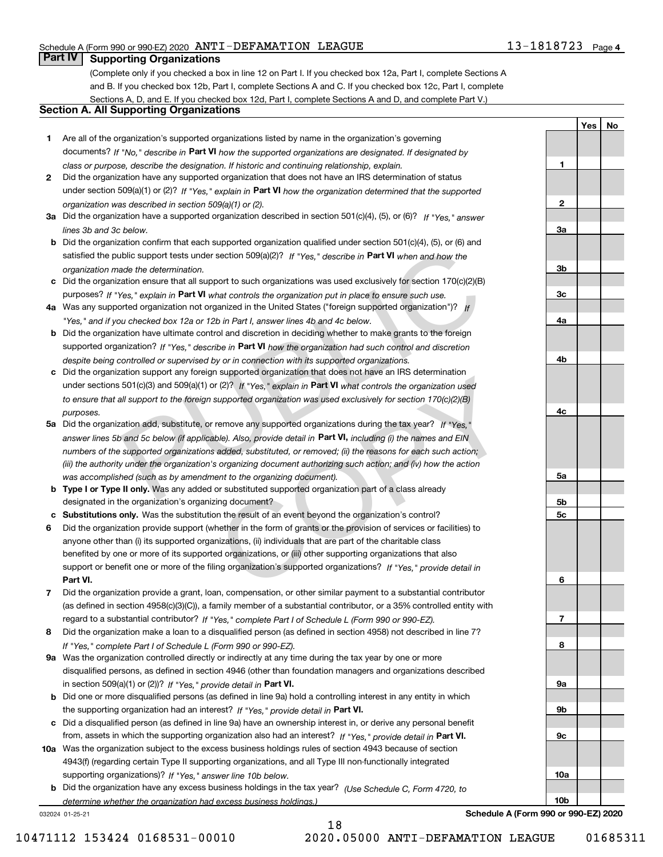**1**

**2**

**3a**

**3b**

**3c**

**4a**

**4b**

**4c**

**5a**

**5b5c**

**6**

**7**

**8**

**9a**

**9b**

**9c**

**10a**

**10b**

**YesNo**

## **Part IV Supporting Organizations**

(Complete only if you checked a box in line 12 on Part I. If you checked box 12a, Part I, complete Sections A and B. If you checked box 12b, Part I, complete Sections A and C. If you checked box 12c, Part I, complete Sections A, D, and E. If you checked box 12d, Part I, complete Sections A and D, and complete Part V.)

### **Section A. All Supporting Organizations**

- **1** Are all of the organization's supported organizations listed by name in the organization's governing documents? If "No," describe in **Part VI** how the supported organizations are designated. If designated by *class or purpose, describe the designation. If historic and continuing relationship, explain.*
- **2** Did the organization have any supported organization that does not have an IRS determination of status under section 509(a)(1) or (2)? If "Yes," explain in Part VI how the organization determined that the supported *organization was described in section 509(a)(1) or (2).*
- **3a** Did the organization have a supported organization described in section 501(c)(4), (5), or (6)? If "Yes," answer *lines 3b and 3c below.*
- **b** Did the organization confirm that each supported organization qualified under section 501(c)(4), (5), or (6) and satisfied the public support tests under section 509(a)(2)? If "Yes," describe in **Part VI** when and how the *organization made the determination.*
- **c**Did the organization ensure that all support to such organizations was used exclusively for section 170(c)(2)(B) purposes? If "Yes," explain in **Part VI** what controls the organization put in place to ensure such use.
- **4a**Was any supported organization not organized in the United States ("foreign supported organization")? *If "Yes," and if you checked box 12a or 12b in Part I, answer lines 4b and 4c below.*
- **b** Did the organization have ultimate control and discretion in deciding whether to make grants to the foreign supported organization? If "Yes," describe in Part VI how the organization had such control and discretion *despite being controlled or supervised by or in connection with its supported organizations.*
- **c** Did the organization support any foreign supported organization that does not have an IRS determination under sections 501(c)(3) and 509(a)(1) or (2)? If "Yes," explain in **Part VI** what controls the organization used *to ensure that all support to the foreign supported organization was used exclusively for section 170(c)(2)(B) purposes.*
- **5a** Did the organization add, substitute, or remove any supported organizations during the tax year? If "Yes," answer lines 5b and 5c below (if applicable). Also, provide detail in **Part VI,** including (i) the names and EIN *numbers of the supported organizations added, substituted, or removed; (ii) the reasons for each such action; (iii) the authority under the organization's organizing document authorizing such action; and (iv) how the action was accomplished (such as by amendment to the organizing document).* about commin that each supported organization vast used exclusively for section and for the action and for the distance and for the distance and for the distance of the distance and for the distance and for the distance an In supported organization trial does not nave an instancement (2)? If "Yes," explain in **Part VI** what controls the organization used supported organization was used exclusively for section 170(c)(2)(B) remove any support
- **b** Type I or Type II only. Was any added or substituted supported organization part of a class already designated in the organization's organizing document?
- **cSubstitutions only.**  Was the substitution the result of an event beyond the organization's control?
- **6** Did the organization provide support (whether in the form of grants or the provision of services or facilities) to **Part VI.** *If "Yes," provide detail in* support or benefit one or more of the filing organization's supported organizations? anyone other than (i) its supported organizations, (ii) individuals that are part of the charitable class benefited by one or more of its supported organizations, or (iii) other supporting organizations that also
- **7**Did the organization provide a grant, loan, compensation, or other similar payment to a substantial contributor *If "Yes," complete Part I of Schedule L (Form 990 or 990-EZ).* regard to a substantial contributor? (as defined in section 4958(c)(3)(C)), a family member of a substantial contributor, or a 35% controlled entity with
- **8** Did the organization make a loan to a disqualified person (as defined in section 4958) not described in line 7? *If "Yes," complete Part I of Schedule L (Form 990 or 990-EZ).*
- **9a** Was the organization controlled directly or indirectly at any time during the tax year by one or more in section 509(a)(1) or (2))? If "Yes," *provide detail in* <code>Part VI.</code> disqualified persons, as defined in section 4946 (other than foundation managers and organizations described
- **b** Did one or more disqualified persons (as defined in line 9a) hold a controlling interest in any entity in which the supporting organization had an interest? If "Yes," provide detail in P**art VI**.
- **c**Did a disqualified person (as defined in line 9a) have an ownership interest in, or derive any personal benefit from, assets in which the supporting organization also had an interest? If "Yes," provide detail in P**art VI.**
- **10a** Was the organization subject to the excess business holdings rules of section 4943 because of section supporting organizations)? If "Yes," answer line 10b below. 4943(f) (regarding certain Type II supporting organizations, and all Type III non-functionally integrated
- **b** Did the organization have any excess business holdings in the tax year? (Use Schedule C, Form 4720, to *determine whether the organization had excess business holdings.)*

18

032024 01-25-21

**Schedule A (Form 990 or 990-EZ) 2020**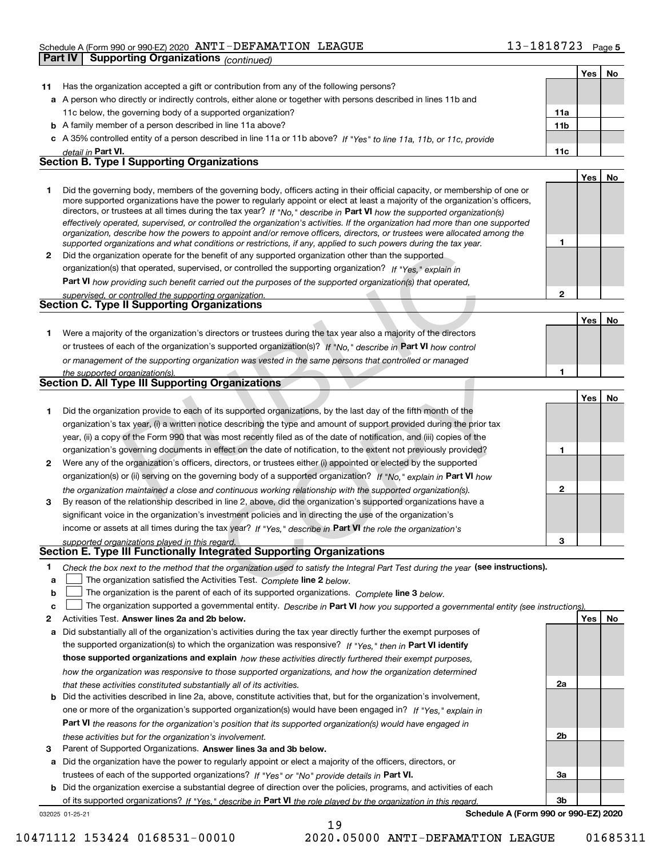#### Schedule A (Form 990 or 990-EZ) 2020 Page ANTI-DEFAMATION LEAGUE 13-1818723 **Part IV Supporting Organizations** *(continued)*

|    |                                                                                                                                                                                                                                                          |                 | Yes | No |
|----|----------------------------------------------------------------------------------------------------------------------------------------------------------------------------------------------------------------------------------------------------------|-----------------|-----|----|
| 11 | Has the organization accepted a gift or contribution from any of the following persons?                                                                                                                                                                  |                 |     |    |
|    | a A person who directly or indirectly controls, either alone or together with persons described in lines 11b and                                                                                                                                         |                 |     |    |
|    | 11c below, the governing body of a supported organization?                                                                                                                                                                                               | 11a             |     |    |
|    | <b>b</b> A family member of a person described in line 11a above?                                                                                                                                                                                        | 11 <sub>b</sub> |     |    |
|    | c A 35% controlled entity of a person described in line 11a or 11b above? If "Yes" to line 11a, 11b, or 11c, provide                                                                                                                                     |                 |     |    |
|    | detail in Part VI.                                                                                                                                                                                                                                       | 11c             |     |    |
|    | <b>Section B. Type I Supporting Organizations</b>                                                                                                                                                                                                        |                 |     |    |
|    |                                                                                                                                                                                                                                                          |                 | Yes | No |
| 1  | Did the governing body, members of the governing body, officers acting in their official capacity, or membership of one or                                                                                                                               |                 |     |    |
|    | more supported organizations have the power to regularly appoint or elect at least a majority of the organization's officers,<br>directors, or trustees at all times during the tax year? If "No," describe in Part VI how the supported organization(s) |                 |     |    |
|    | effectively operated, supervised, or controlled the organization's activities. If the organization had more than one supported                                                                                                                           |                 |     |    |
|    | organization, describe how the powers to appoint and/or remove officers, directors, or trustees were allocated among the                                                                                                                                 |                 |     |    |
|    | supported organizations and what conditions or restrictions, if any, applied to such powers during the tax year.                                                                                                                                         | 1               |     |    |
| 2  | Did the organization operate for the benefit of any supported organization other than the supported                                                                                                                                                      |                 |     |    |
|    | organization(s) that operated, supervised, or controlled the supporting organization? If "Yes," explain in                                                                                                                                               |                 |     |    |
|    | Part VI how providing such benefit carried out the purposes of the supported organization(s) that operated,                                                                                                                                              |                 |     |    |
|    | supervised, or controlled the supporting organization.<br><b>Section C. Type II Supporting Organizations</b>                                                                                                                                             | $\mathbf{2}$    |     |    |
|    |                                                                                                                                                                                                                                                          |                 |     |    |
|    |                                                                                                                                                                                                                                                          |                 | Yes | No |
| 1. | Were a majority of the organization's directors or trustees during the tax year also a majority of the directors                                                                                                                                         |                 |     |    |
|    | or trustees of each of the organization's supported organization(s)? If "No," describe in Part VI how control                                                                                                                                            |                 |     |    |
|    | or management of the supporting organization was vested in the same persons that controlled or managed                                                                                                                                                   | 1               |     |    |
|    | the supported organization(s).<br><b>Section D. All Type III Supporting Organizations</b>                                                                                                                                                                |                 |     |    |
|    |                                                                                                                                                                                                                                                          |                 | Yes | No |
| 1  | Did the organization provide to each of its supported organizations, by the last day of the fifth month of the                                                                                                                                           |                 |     |    |
|    | organization's tax year, (i) a written notice describing the type and amount of support provided during the prior tax                                                                                                                                    |                 |     |    |
|    | year, (ii) a copy of the Form 990 that was most recently filed as of the date of notification, and (iii) copies of the                                                                                                                                   |                 |     |    |
|    | organization's governing documents in effect on the date of notification, to the extent not previously provided?                                                                                                                                         | 1               |     |    |
| 2  | Were any of the organization's officers, directors, or trustees either (i) appointed or elected by the supported                                                                                                                                         |                 |     |    |
|    | organization(s) or (ii) serving on the governing body of a supported organization? If "No," explain in Part VI how                                                                                                                                       |                 |     |    |
|    | the organization maintained a close and continuous working relationship with the supported organization(s).                                                                                                                                              | $\mathbf{2}$    |     |    |
| 3  | By reason of the relationship described in line 2, above, did the organization's supported organizations have a                                                                                                                                          |                 |     |    |
|    | significant voice in the organization's investment policies and in directing the use of the organization's                                                                                                                                               |                 |     |    |
|    | income or assets at all times during the tax year? If "Yes," describe in Part VI the role the organization's                                                                                                                                             |                 |     |    |
|    | supported organizations played in this regard.                                                                                                                                                                                                           | з               |     |    |
|    | Section E. Type III Functionally Integrated Supporting Organizations                                                                                                                                                                                     |                 |     |    |
| 1  | Check the box next to the method that the organization used to satisfy the Integral Part Test during the year (see instructions).                                                                                                                        |                 |     |    |
| a  | The organization satisfied the Activities Test. Complete line 2 below.                                                                                                                                                                                   |                 |     |    |
| b  | The organization is the parent of each of its supported organizations. Complete line 3 below.                                                                                                                                                            |                 |     |    |
| c  | The organization supported a governmental entity. Describe in Part VI how you supported a governmental entity (see instructions).                                                                                                                        |                 |     |    |
| 2  | Activities Test. Answer lines 2a and 2b below.                                                                                                                                                                                                           |                 | Yes | No |
| a  | Did substantially all of the organization's activities during the tax year directly further the exempt purposes of                                                                                                                                       |                 |     |    |
|    | the supported organization(s) to which the organization was responsive? If "Yes," then in Part VI identify                                                                                                                                               |                 |     |    |
|    | those supported organizations and explain how these activities directly furthered their exempt purposes,                                                                                                                                                 |                 |     |    |
|    | how the organization was responsive to those supported organizations, and how the organization determined                                                                                                                                                | 2a              |     |    |
|    | that these activities constituted substantially all of its activities.                                                                                                                                                                                   |                 |     |    |
| b  | Did the activities described in line 2a, above, constitute activities that, but for the organization's involvement,                                                                                                                                      |                 |     |    |
|    | one or more of the organization's supported organization(s) would have been engaged in? If "Yes," explain in                                                                                                                                             |                 |     |    |
|    | <b>Part VI</b> the reasons for the organization's position that its supported organization(s) would have engaged in                                                                                                                                      | 2b              |     |    |
| 3  | these activities but for the organization's involvement.<br>Parent of Supported Organizations. Answer lines 3a and 3b below.                                                                                                                             |                 |     |    |
| a  | Did the organization have the power to regularly appoint or elect a majority of the officers, directors, or                                                                                                                                              |                 |     |    |
|    | trustees of each of the supported organizations? If "Yes" or "No" provide details in Part VI.                                                                                                                                                            | За              |     |    |

**b** Did the organization exercise a substantial degree of direction over the policies, programs, and activities of each of its supported organizations? If "Yes," describe in Part VI the role played by the organization in this regard.

19

032025 01-25-21

**Schedule A (Form 990 or 990-EZ) 2020**

**3b**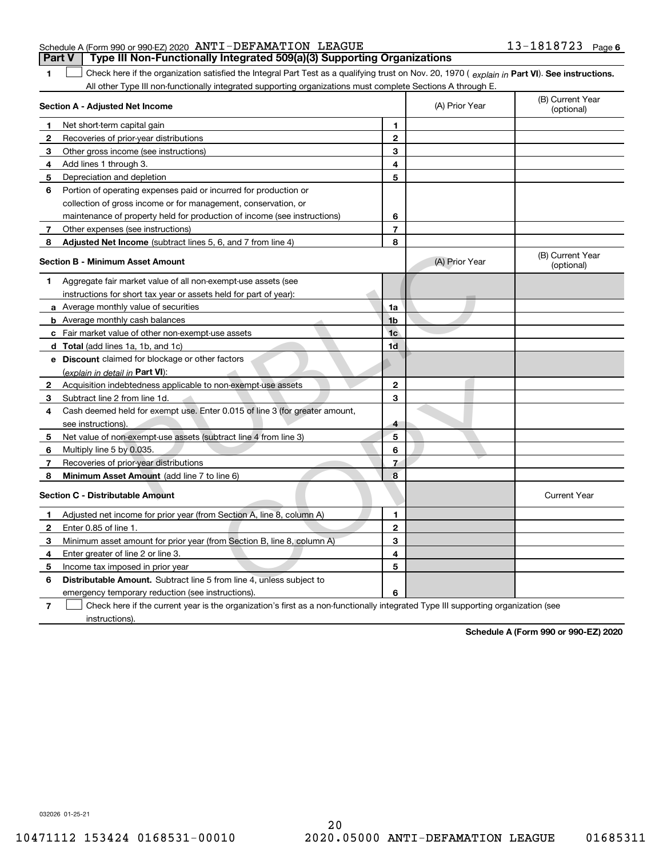| <b>Part V</b> Type III Non-Functionally Integrated 509(a)(3) Supporting Organizations |                       |  |
|---------------------------------------------------------------------------------------|-----------------------|--|
| Schedule A (Form 990 or 990-EZ) 2020 ANTI-DEFAMATION LEAGUE                           | $13 - 1818723$ Page 6 |  |

1 Check here if the organization satisfied the Integral Part Test as a qualifying trust on Nov. 20, 1970 (explain in Part VI). See instructions. All other Type III non-functionally integrated supporting organizations must complete Sections A through E.

|                | Section A - Adjusted Net Income                                                                                                   |                | (A) Prior Year | (B) Current Year<br>(optional) |
|----------------|-----------------------------------------------------------------------------------------------------------------------------------|----------------|----------------|--------------------------------|
| 1.             | Net short-term capital gain                                                                                                       | 1              |                |                                |
| 2              | Recoveries of prior-year distributions                                                                                            | $\overline{2}$ |                |                                |
| 3              | Other gross income (see instructions)                                                                                             | 3              |                |                                |
| 4              | Add lines 1 through 3.                                                                                                            | 4              |                |                                |
| 5              | Depreciation and depletion                                                                                                        | 5              |                |                                |
| 6              | Portion of operating expenses paid or incurred for production or                                                                  |                |                |                                |
|                | collection of gross income or for management, conservation, or                                                                    |                |                |                                |
|                | maintenance of property held for production of income (see instructions)                                                          | 6              |                |                                |
| 7              | Other expenses (see instructions)                                                                                                 | 7              |                |                                |
| 8              | Adjusted Net Income (subtract lines 5, 6, and 7 from line 4)                                                                      | 8              |                |                                |
|                | <b>Section B - Minimum Asset Amount</b>                                                                                           |                | (A) Prior Year | (B) Current Year<br>(optional) |
| 1              | Aggregate fair market value of all non-exempt-use assets (see                                                                     |                |                |                                |
|                | instructions for short tax year or assets held for part of year):                                                                 |                |                |                                |
|                | <b>a</b> Average monthly value of securities                                                                                      | 1a             |                |                                |
|                | <b>b</b> Average monthly cash balances                                                                                            | 1 <sub>b</sub> |                |                                |
|                | c Fair market value of other non-exempt-use assets                                                                                | 1 <sub>c</sub> |                |                                |
|                | d Total (add lines 1a, 1b, and 1c)                                                                                                | 1d             |                |                                |
|                | e Discount claimed for blockage or other factors                                                                                  |                |                |                                |
|                | (explain in detail in Part VI):                                                                                                   |                |                |                                |
| 2              | Acquisition indebtedness applicable to non-exempt-use assets                                                                      | $\mathbf{2}$   |                |                                |
| 3              | Subtract line 2 from line 1d.                                                                                                     | 3              |                |                                |
| 4              | Cash deemed held for exempt use. Enter 0.015 of line 3 (for greater amount,                                                       |                |                |                                |
|                | see instructions)                                                                                                                 | 4              |                |                                |
| 5              | Net value of non-exempt-use assets (subtract line 4 from line 3)                                                                  | 5              |                |                                |
| 6              | Multiply line 5 by 0.035.                                                                                                         | 6              |                |                                |
| 7              | Recoveries of prior-year distributions                                                                                            | 7              |                |                                |
| 8              | Minimum Asset Amount (add line 7 to line 6)                                                                                       | 8              |                |                                |
|                | <b>Section C - Distributable Amount</b>                                                                                           |                |                | <b>Current Year</b>            |
| 1              | Adjusted net income for prior year (from Section A, line 8, column A)                                                             | 1              |                |                                |
| 2              | Enter 0.85 of line 1.                                                                                                             | $\overline{2}$ |                |                                |
| 3              | Minimum asset amount for prior year (from Section B, line 8, column A)                                                            | 3              |                |                                |
| 4              | Enter greater of line 2 or line 3.                                                                                                | 4              |                |                                |
| 5              | Income tax imposed in prior year                                                                                                  | 5              |                |                                |
| 6              | <b>Distributable Amount.</b> Subtract line 5 from line 4, unless subject to                                                       |                |                |                                |
|                | emergency temporary reduction (see instructions).                                                                                 | 6              |                |                                |
| $\overline{7}$ | Check here if the current year is the organization's first as a non-functionally integrated Type III supporting organization (see |                |                |                                |

instructions).

**1**

**Schedule A (Form 990 or 990-EZ) 2020**

032026 01-25-21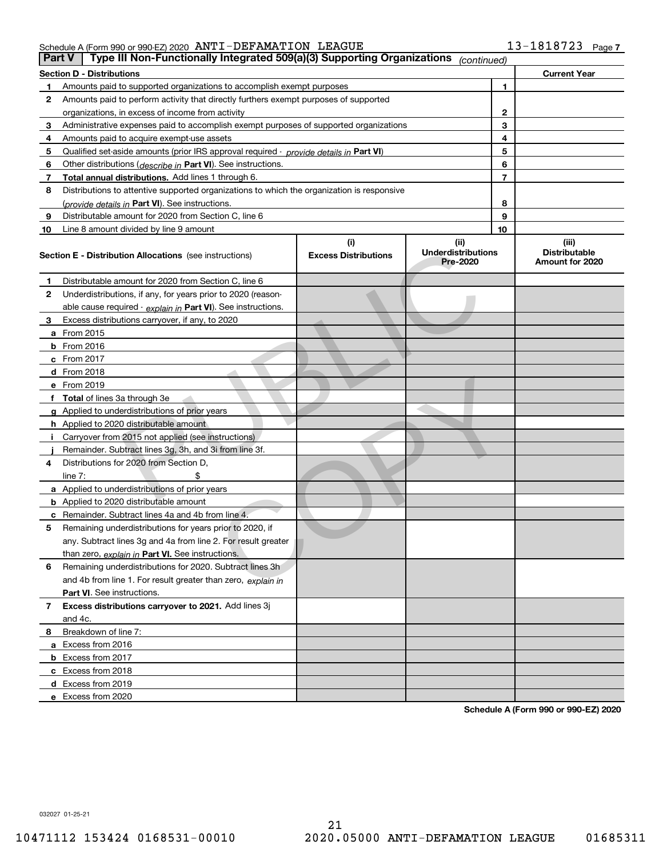| Part V | Type III Non-Functionally Integrated 509(a)(3) Supporting Organizations                    |                                    | (continued)                                   |    |                                                  |
|--------|--------------------------------------------------------------------------------------------|------------------------------------|-----------------------------------------------|----|--------------------------------------------------|
|        | <b>Section D - Distributions</b>                                                           |                                    |                                               |    | <b>Current Year</b>                              |
| 1      | Amounts paid to supported organizations to accomplish exempt purposes                      |                                    |                                               | 1  |                                                  |
| 2      | Amounts paid to perform activity that directly furthers exempt purposes of supported       |                                    |                                               |    |                                                  |
|        | organizations, in excess of income from activity                                           |                                    |                                               | 2  |                                                  |
| 3      | Administrative expenses paid to accomplish exempt purposes of supported organizations      |                                    |                                               | 3  |                                                  |
| 4      | Amounts paid to acquire exempt-use assets                                                  |                                    |                                               | 4  |                                                  |
| 5      | Qualified set-aside amounts (prior IRS approval required - provide details in Part VI)     |                                    |                                               | 5  |                                                  |
| 6      | Other distributions ( <i>describe in</i> Part VI). See instructions.                       |                                    |                                               | 6  |                                                  |
| 7      | Total annual distributions. Add lines 1 through 6.                                         |                                    |                                               | 7  |                                                  |
| 8      | Distributions to attentive supported organizations to which the organization is responsive |                                    |                                               |    |                                                  |
|        | (provide details in Part VI). See instructions.                                            |                                    |                                               | 8  |                                                  |
| 9      | Distributable amount for 2020 from Section C, line 6                                       |                                    |                                               | 9  |                                                  |
| 10     | Line 8 amount divided by line 9 amount                                                     |                                    |                                               | 10 |                                                  |
|        | <b>Section E - Distribution Allocations</b> (see instructions)                             | (i)<br><b>Excess Distributions</b> | (ii)<br><b>Underdistributions</b><br>Pre-2020 |    | (iii)<br><b>Distributable</b><br>Amount for 2020 |
| 1      | Distributable amount for 2020 from Section C, line 6                                       |                                    |                                               |    |                                                  |
| 2      | Underdistributions, if any, for years prior to 2020 (reason-                               |                                    |                                               |    |                                                  |
|        | able cause required - explain in Part VI). See instructions.                               |                                    |                                               |    |                                                  |
| 3      | Excess distributions carryover, if any, to 2020                                            |                                    |                                               |    |                                                  |
|        | <b>a</b> From 2015                                                                         |                                    |                                               |    |                                                  |
|        | <b>b</b> From 2016                                                                         |                                    |                                               |    |                                                  |
|        | c From 2017                                                                                |                                    |                                               |    |                                                  |
|        | d From 2018                                                                                |                                    |                                               |    |                                                  |
|        | e From 2019                                                                                |                                    |                                               |    |                                                  |
|        | f Total of lines 3a through 3e                                                             |                                    |                                               |    |                                                  |
|        | g Applied to underdistributions of prior years                                             |                                    |                                               |    |                                                  |
|        | <b>h</b> Applied to 2020 distributable amount                                              |                                    |                                               |    |                                                  |
|        | Carryover from 2015 not applied (see instructions)                                         |                                    |                                               |    |                                                  |
|        | Remainder. Subtract lines 3g, 3h, and 3i from line 3f.                                     |                                    |                                               |    |                                                  |
| 4      | Distributions for 2020 from Section D,                                                     |                                    |                                               |    |                                                  |
|        | line $7:$                                                                                  |                                    |                                               |    |                                                  |
|        | a Applied to underdistributions of prior years                                             |                                    |                                               |    |                                                  |
|        | <b>b</b> Applied to 2020 distributable amount                                              |                                    |                                               |    |                                                  |
|        | c Remainder. Subtract lines 4a and 4b from line 4.                                         |                                    |                                               |    |                                                  |
| 5      | Remaining underdistributions for years prior to 2020, if                                   |                                    |                                               |    |                                                  |
|        | any. Subtract lines 3g and 4a from line 2. For result greater                              |                                    |                                               |    |                                                  |
|        | than zero, explain in Part VI. See instructions.                                           |                                    |                                               |    |                                                  |
| 6      | Remaining underdistributions for 2020. Subtract lines 3h                                   |                                    |                                               |    |                                                  |
|        | and 4b from line 1. For result greater than zero, explain in                               |                                    |                                               |    |                                                  |
|        | Part VI. See instructions.                                                                 |                                    |                                               |    |                                                  |
| 7      | Excess distributions carryover to 2021. Add lines 3j                                       |                                    |                                               |    |                                                  |
|        | and 4c.                                                                                    |                                    |                                               |    |                                                  |
| 8      | Breakdown of line 7:                                                                       |                                    |                                               |    |                                                  |
|        | a Excess from 2016                                                                         |                                    |                                               |    |                                                  |
|        | <b>b</b> Excess from 2017                                                                  |                                    |                                               |    |                                                  |
|        | c Excess from 2018                                                                         |                                    |                                               |    |                                                  |
|        | d Excess from 2019                                                                         |                                    |                                               |    |                                                  |
|        | e Excess from 2020                                                                         |                                    |                                               |    |                                                  |

**Schedule A (Form 990 or 990-EZ) 2020**

032027 01-25-21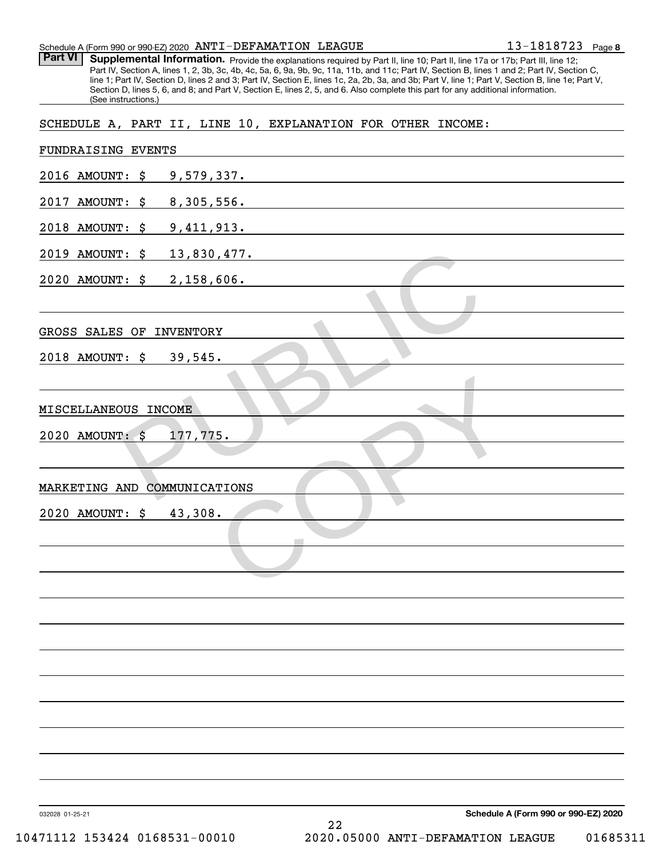Part VI | Supplemental Information. Provide the explanations required by Part II, line 10; Part II, line 17a or 17b; Part III, line 12; Part IV, Section A, lines 1, 2, 3b, 3c, 4b, 4c, 5a, 6, 9a, 9b, 9c, 11a, 11b, and 11c; Part IV, Section B, lines 1 and 2; Part IV, Section C, line 1; Part IV, Section D, lines 2 and 3; Part IV, Section E, lines 1c, 2a, 2b, 3a, and 3b; Part V, line 1; Part V, Section B, line 1e; Part V, Section D, lines 5, 6, and 8; and Part V, Section E, lines 2, 5, and 6. Also complete this part for any additional information. (See instructions.)

SCHEDULE A, PART II, LINE 10, EXPLANATION FOR OTHER INCOME:

| FUNDRAISING EVENTS                                      |
|---------------------------------------------------------|
| 2016 AMOUNT: \$ 9,579,337.                              |
| 2017 AMOUNT: \$ 8,305,556.                              |
| 2018 AMOUNT: \$9,411,913.                               |
| 2019 AMOUNT: \$ 13,830,477.                             |
| 2020 AMOUNT: \$ 2,158,606.                              |
|                                                         |
| GROSS SALES OF INVENTORY                                |
| 2018 AMOUNT: \$ 39,545.                                 |
|                                                         |
| MISCELLANEOUS INCOME                                    |
| 2020 AMOUNT: \$<br>177,775.                             |
|                                                         |
| MARKETING AND COMMUNICATIONS                            |
| 2020 AMOUNT: \$ 43,308.                                 |
|                                                         |
|                                                         |
|                                                         |
|                                                         |
|                                                         |
|                                                         |
|                                                         |
|                                                         |
|                                                         |
|                                                         |
|                                                         |
| Schedule A (Form 990 or 990-EZ) 2020<br>032028 01-25-21 |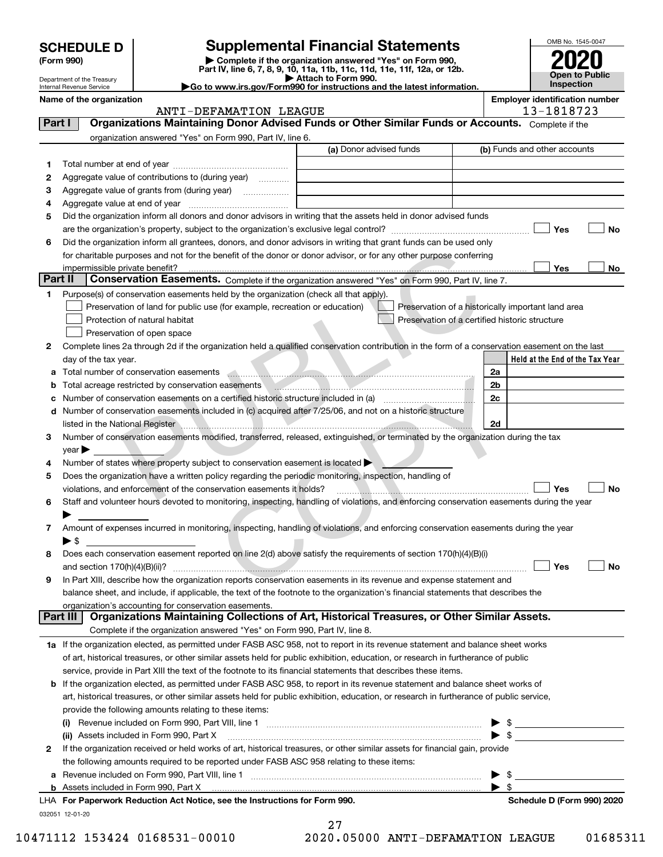|                                                                                                                                                         |                                                                                                                                         |                                                                                                                                                |                                                                                                                       |                                                    |                         | OMB No. 1545-0047                     |  |  |
|---------------------------------------------------------------------------------------------------------------------------------------------------------|-----------------------------------------------------------------------------------------------------------------------------------------|------------------------------------------------------------------------------------------------------------------------------------------------|-----------------------------------------------------------------------------------------------------------------------|----------------------------------------------------|-------------------------|---------------------------------------|--|--|
|                                                                                                                                                         | <b>Supplemental Financial Statements</b><br><b>SCHEDULE D</b><br>Complete if the organization answered "Yes" on Form 990,<br>(Form 990) |                                                                                                                                                |                                                                                                                       |                                                    |                         |                                       |  |  |
|                                                                                                                                                         | Part IV, line 6, 7, 8, 9, 10, 11a, 11b, 11c, 11d, 11e, 11f, 12a, or 12b.                                                                |                                                                                                                                                |                                                                                                                       |                                                    |                         |                                       |  |  |
| Attach to Form 990.<br>Department of the Treasury<br>Go to www.irs.gov/Form990 for instructions and the latest information.<br>Internal Revenue Service |                                                                                                                                         |                                                                                                                                                |                                                                                                                       |                                                    |                         | <b>Public</b><br><b>Inspection</b>    |  |  |
|                                                                                                                                                         | Name of the organization                                                                                                                |                                                                                                                                                |                                                                                                                       |                                                    |                         | <b>Employer identification number</b> |  |  |
|                                                                                                                                                         |                                                                                                                                         | ANTI-DEFAMATION LEAGUE                                                                                                                         |                                                                                                                       |                                                    |                         | 13-1818723                            |  |  |
| Part I                                                                                                                                                  |                                                                                                                                         | Organizations Maintaining Donor Advised Funds or Other Similar Funds or Accounts. Complete if the                                              |                                                                                                                       |                                                    |                         |                                       |  |  |
|                                                                                                                                                         |                                                                                                                                         | organization answered "Yes" on Form 990, Part IV, line 6.                                                                                      | (a) Donor advised funds                                                                                               |                                                    |                         |                                       |  |  |
|                                                                                                                                                         |                                                                                                                                         |                                                                                                                                                |                                                                                                                       |                                                    |                         | (b) Funds and other accounts          |  |  |
| 1                                                                                                                                                       |                                                                                                                                         |                                                                                                                                                |                                                                                                                       |                                                    |                         |                                       |  |  |
| 2                                                                                                                                                       |                                                                                                                                         | Aggregate value of contributions to (during year)                                                                                              |                                                                                                                       |                                                    |                         |                                       |  |  |
| з                                                                                                                                                       |                                                                                                                                         |                                                                                                                                                | <u> 1980 - Johann Barbara, martin amerikan basal dan berasal dalam basal dalam basal dalam basal dalam basal dala</u> |                                                    |                         |                                       |  |  |
| 4<br>5                                                                                                                                                  |                                                                                                                                         | Did the organization inform all donors and donor advisors in writing that the assets held in donor advised funds                               |                                                                                                                       |                                                    |                         |                                       |  |  |
|                                                                                                                                                         |                                                                                                                                         |                                                                                                                                                |                                                                                                                       |                                                    |                         | Yes<br>No                             |  |  |
| 6                                                                                                                                                       |                                                                                                                                         | Did the organization inform all grantees, donors, and donor advisors in writing that grant funds can be used only                              |                                                                                                                       |                                                    |                         |                                       |  |  |
|                                                                                                                                                         |                                                                                                                                         | for charitable purposes and not for the benefit of the donor or donor advisor, or for any other purpose conferring                             |                                                                                                                       |                                                    |                         |                                       |  |  |
|                                                                                                                                                         | impermissible private benefit?                                                                                                          |                                                                                                                                                |                                                                                                                       |                                                    |                         | Yes<br>No                             |  |  |
| Part II                                                                                                                                                 |                                                                                                                                         | Conservation Easements. Complete if the organization answered "Yes" on Form 990, Part IV, line 7.                                              |                                                                                                                       |                                                    |                         |                                       |  |  |
| 1.                                                                                                                                                      |                                                                                                                                         | Purpose(s) of conservation easements held by the organization (check all that apply).                                                          |                                                                                                                       |                                                    |                         |                                       |  |  |
|                                                                                                                                                         |                                                                                                                                         | Preservation of land for public use (for example, recreation or education)                                                                     |                                                                                                                       | Preservation of a historically important land area |                         |                                       |  |  |
|                                                                                                                                                         |                                                                                                                                         | Protection of natural habitat                                                                                                                  |                                                                                                                       | Preservation of a certified historic structure     |                         |                                       |  |  |
|                                                                                                                                                         |                                                                                                                                         | Preservation of open space                                                                                                                     |                                                                                                                       |                                                    |                         |                                       |  |  |
| 2                                                                                                                                                       |                                                                                                                                         | Complete lines 2a through 2d if the organization held a qualified conservation contribution in the form of a conservation easement on the last |                                                                                                                       |                                                    |                         |                                       |  |  |
|                                                                                                                                                         | day of the tax year.                                                                                                                    |                                                                                                                                                |                                                                                                                       |                                                    |                         | Held at the End of the Tax Year       |  |  |
| a                                                                                                                                                       |                                                                                                                                         | Total number of conservation easements <b>Conservation</b> example.                                                                            |                                                                                                                       |                                                    | 2a                      |                                       |  |  |
| b                                                                                                                                                       |                                                                                                                                         | Total acreage restricted by conservation easements [1999] [1999] Total acreage restricted by conservation easements                            |                                                                                                                       |                                                    | 2 <sub>b</sub>          |                                       |  |  |
| c                                                                                                                                                       |                                                                                                                                         |                                                                                                                                                |                                                                                                                       |                                                    | 2c                      |                                       |  |  |
| d                                                                                                                                                       |                                                                                                                                         | Number of conservation easements included in (c) acquired after 7/25/06, and not on a historic structure                                       |                                                                                                                       |                                                    |                         |                                       |  |  |
|                                                                                                                                                         |                                                                                                                                         |                                                                                                                                                |                                                                                                                       |                                                    | 2d                      |                                       |  |  |
| з                                                                                                                                                       |                                                                                                                                         | Number of conservation easements modified, transferred, released, extinguished, or terminated by the organization during the tax               |                                                                                                                       |                                                    |                         |                                       |  |  |
|                                                                                                                                                         | $\mathsf{year}$                                                                                                                         |                                                                                                                                                |                                                                                                                       |                                                    |                         |                                       |  |  |
| 4                                                                                                                                                       |                                                                                                                                         | Number of states where property subject to conservation easement is located                                                                    |                                                                                                                       |                                                    |                         |                                       |  |  |
| 5                                                                                                                                                       |                                                                                                                                         | Does the organization have a written policy regarding the periodic monitoring, inspection, handling of                                         |                                                                                                                       |                                                    |                         |                                       |  |  |
|                                                                                                                                                         |                                                                                                                                         | violations, and enforcement of the conservation easements it holds?                                                                            |                                                                                                                       |                                                    |                         | Yes<br>No                             |  |  |
| 6                                                                                                                                                       |                                                                                                                                         | Staff and volunteer hours devoted to monitoring, inspecting, handling of violations, and enforcing conservation easements during the year      |                                                                                                                       |                                                    |                         |                                       |  |  |
|                                                                                                                                                         |                                                                                                                                         |                                                                                                                                                |                                                                                                                       |                                                    |                         |                                       |  |  |
| 7                                                                                                                                                       |                                                                                                                                         | Amount of expenses incurred in monitoring, inspecting, handling of violations, and enforcing conservation easements during the year            |                                                                                                                       |                                                    |                         |                                       |  |  |
| 8                                                                                                                                                       | $\blacktriangleright$ \$                                                                                                                | Does each conservation easement reported on line 2(d) above satisfy the requirements of section 170(h)(4)(B)(i)                                |                                                                                                                       |                                                    |                         |                                       |  |  |
|                                                                                                                                                         |                                                                                                                                         |                                                                                                                                                |                                                                                                                       |                                                    |                         | Yes<br>No                             |  |  |
| 9                                                                                                                                                       |                                                                                                                                         | In Part XIII, describe how the organization reports conservation easements in its revenue and expense statement and                            |                                                                                                                       |                                                    |                         |                                       |  |  |
|                                                                                                                                                         |                                                                                                                                         | balance sheet, and include, if applicable, the text of the footnote to the organization's financial statements that describes the              |                                                                                                                       |                                                    |                         |                                       |  |  |
|                                                                                                                                                         |                                                                                                                                         | organization's accounting for conservation easements.                                                                                          |                                                                                                                       |                                                    |                         |                                       |  |  |
|                                                                                                                                                         | Part III                                                                                                                                | Organizations Maintaining Collections of Art, Historical Treasures, or Other Similar Assets.                                                   |                                                                                                                       |                                                    |                         |                                       |  |  |
|                                                                                                                                                         |                                                                                                                                         | Complete if the organization answered "Yes" on Form 990, Part IV, line 8.                                                                      |                                                                                                                       |                                                    |                         |                                       |  |  |
|                                                                                                                                                         |                                                                                                                                         | 1a If the organization elected, as permitted under FASB ASC 958, not to report in its revenue statement and balance sheet works                |                                                                                                                       |                                                    |                         |                                       |  |  |
|                                                                                                                                                         |                                                                                                                                         | of art, historical treasures, or other similar assets held for public exhibition, education, or research in furtherance of public              |                                                                                                                       |                                                    |                         |                                       |  |  |
|                                                                                                                                                         |                                                                                                                                         | service, provide in Part XIII the text of the footnote to its financial statements that describes these items.                                 |                                                                                                                       |                                                    |                         |                                       |  |  |
|                                                                                                                                                         |                                                                                                                                         | <b>b</b> If the organization elected, as permitted under FASB ASC 958, to report in its revenue statement and balance sheet works of           |                                                                                                                       |                                                    |                         |                                       |  |  |
|                                                                                                                                                         |                                                                                                                                         | art, historical treasures, or other similar assets held for public exhibition, education, or research in furtherance of public service,        |                                                                                                                       |                                                    |                         |                                       |  |  |
|                                                                                                                                                         |                                                                                                                                         | provide the following amounts relating to these items:                                                                                         |                                                                                                                       |                                                    |                         |                                       |  |  |
|                                                                                                                                                         |                                                                                                                                         |                                                                                                                                                |                                                                                                                       |                                                    | \$                      |                                       |  |  |
|                                                                                                                                                         |                                                                                                                                         | (ii) Assets included in Form 990, Part X                                                                                                       |                                                                                                                       |                                                    | $\blacktriangleright$ s |                                       |  |  |
| 2                                                                                                                                                       |                                                                                                                                         | If the organization received or held works of art, historical treasures, or other similar assets for financial gain, provide                   |                                                                                                                       |                                                    |                         |                                       |  |  |
|                                                                                                                                                         |                                                                                                                                         | the following amounts required to be reported under FASB ASC 958 relating to these items:                                                      |                                                                                                                       |                                                    |                         |                                       |  |  |

**a**Revenue included on Form 990, Part VIII, line 1 ~~~~~~~~~~~~~~~~~~~~~~~~~~~~~~**b** Assets included in Form 990, Part X 

032051 12-01-20 **For Paperwork Reduction Act Notice, see the Instructions for Form 990. Schedule D (Form 990) 2020** LHA

 $\blacktriangleright$  \$

 $\blacktriangleright$  \$

27 10471112 153424 0168531-00010 2020.05000 ANTI-DEFAMATION LEAGUE 01685311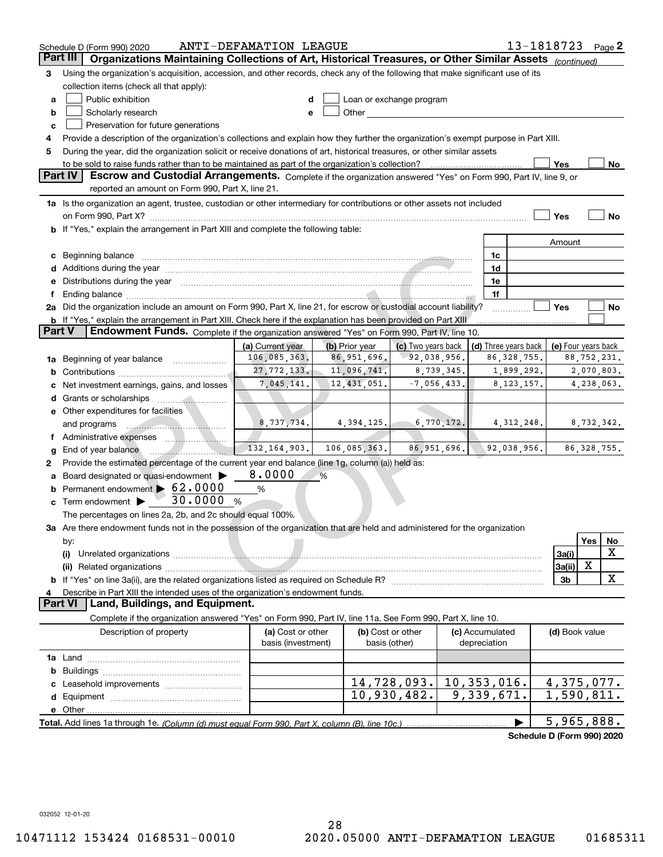|               | 13-1818723<br>ANTI-DEFAMATION LEAGUE<br>Page $2$<br>Schedule D (Form 990) 2020                                                                                                                                                 |                    |                |                          |             |                 |                            |                          |               |    |
|---------------|--------------------------------------------------------------------------------------------------------------------------------------------------------------------------------------------------------------------------------|--------------------|----------------|--------------------------|-------------|-----------------|----------------------------|--------------------------|---------------|----|
| Part II       | Organizations Maintaining Collections of Art, Historical Treasures, or Other Similar Assets (continued)                                                                                                                        |                    |                |                          |             |                 |                            |                          |               |    |
| 3             | Using the organization's acquisition, accession, and other records, check any of the following that make significant use of its                                                                                                |                    |                |                          |             |                 |                            |                          |               |    |
|               | collection items (check all that apply):                                                                                                                                                                                       |                    |                |                          |             |                 |                            |                          |               |    |
| a             | Public exhibition                                                                                                                                                                                                              |                    |                | Loan or exchange program |             |                 |                            |                          |               |    |
| b             | Scholarly research                                                                                                                                                                                                             | e                  |                |                          |             |                 |                            |                          |               |    |
| c             | Preservation for future generations                                                                                                                                                                                            |                    |                |                          |             |                 |                            |                          |               |    |
| 4             | Provide a description of the organization's collections and explain how they further the organization's exempt purpose in Part XIII.                                                                                           |                    |                |                          |             |                 |                            |                          |               |    |
| 5             | During the year, did the organization solicit or receive donations of art, historical treasures, or other similar assets                                                                                                       |                    |                |                          |             |                 |                            |                          |               |    |
|               |                                                                                                                                                                                                                                |                    |                |                          |             |                 |                            | Yes                      |               | No |
|               | <b>Part IV</b><br>Escrow and Custodial Arrangements. Complete if the organization answered "Yes" on Form 990, Part IV, line 9, or<br>reported an amount on Form 990, Part X, line 21.                                          |                    |                |                          |             |                 |                            |                          |               |    |
|               | 1a Is the organization an agent, trustee, custodian or other intermediary for contributions or other assets not included                                                                                                       |                    |                |                          |             |                 |                            |                          |               |    |
|               | on Form 990, Part X? [11] matter and the contract of the contract of the contract of the contract of the contract of the contract of the contract of the contract of the contract of the contract of the contract of the contr |                    |                |                          |             |                 |                            | Yes                      |               | No |
|               | b If "Yes," explain the arrangement in Part XIII and complete the following table:                                                                                                                                             |                    |                |                          |             |                 |                            |                          |               |    |
|               |                                                                                                                                                                                                                                |                    |                |                          |             |                 |                            | Amount                   |               |    |
| c             | Beginning balance                                                                                                                                                                                                              |                    |                |                          |             | 1c              |                            |                          |               |    |
| d             | Additions during the year manufactured and an account of the state of the state of the state of the state of the state of the state of the state of the state of the state of the state of the state of the state of the state |                    |                |                          |             | 1d              |                            |                          |               |    |
| е             | Distributions during the year manufactured and an account of the year manufactured and the year manufactured and the year manufactured and the year manufactured and the year manufactured and the year manufactured and the y |                    |                |                          |             | 1e              |                            |                          |               |    |
| f             |                                                                                                                                                                                                                                |                    |                |                          |             | 1f              |                            |                          |               |    |
|               | 2a Did the organization include an amount on Form 990, Part X, line 21, for escrow or custodial account liability?                                                                                                             |                    |                |                          |             |                 |                            | Yes                      |               | No |
|               | b If "Yes," explain the arrangement in Part XIII. Check here if the explanation has been provided on Part XIII                                                                                                                 |                    |                |                          |             |                 |                            |                          |               |    |
| <b>Part V</b> | <b>Endowment Funds.</b> Complete if the organization answered "Yes" on Form 990, Part IV, line 10.                                                                                                                             |                    |                |                          |             |                 |                            |                          |               |    |
|               |                                                                                                                                                                                                                                | (a) Current year   | (b) Prior year | (c) Two years back       |             |                 | (d) Three years back       | (e) Four years back      |               |    |
| 1a            | Beginning of year balance <i>manumman</i>                                                                                                                                                                                      | 106,085,363.       | 86,951,696.    | 92,038,956.              |             |                 | 86, 328, 755.              |                          | 88,752,231.   |    |
| b             |                                                                                                                                                                                                                                | 27, 772, 133.      | 11,096,741.    | 8,739,345.               |             |                 | 1,899,292.                 |                          | 2,070,803.    |    |
|               | Net investment earnings, gains, and losses                                                                                                                                                                                     | 7,045,141.         | 12, 431, 051.  | $-7,056,433.$            |             |                 | 8, 123, 157.               |                          | 4,238,063.    |    |
| d             |                                                                                                                                                                                                                                |                    |                |                          |             |                 |                            |                          |               |    |
|               | e Other expenditures for facilities                                                                                                                                                                                            |                    |                |                          |             |                 |                            |                          |               |    |
|               | and programs                                                                                                                                                                                                                   | 8,737,734.         | 4,394,125.     | 6,770,172.               |             |                 | 4, 312, 248.               |                          | 8,732,342.    |    |
|               |                                                                                                                                                                                                                                | 132, 164, 903.     | 106,085,363.   | 86, 951, 696.            |             |                 | 92,038,956.                |                          | 86, 328, 755. |    |
| g             | End of year balance<br>Provide the estimated percentage of the current year end balance (line 1g, column (a)) held as:                                                                                                         |                    |                |                          |             |                 |                            |                          |               |    |
| 2             | Board designated or quasi-endowment                                                                                                                                                                                            | 8.0000             | %              |                          |             |                 |                            |                          |               |    |
|               | Permanent endowment > 62.0000                                                                                                                                                                                                  | %                  |                |                          |             |                 |                            |                          |               |    |
|               | 30.0000<br>Term endowment $\blacktriangleright$                                                                                                                                                                                | %                  |                |                          |             |                 |                            |                          |               |    |
|               | The percentages on lines 2a, 2b, and 2c should equal 100%.                                                                                                                                                                     |                    |                |                          |             |                 |                            |                          |               |    |
|               | 3a Are there endowment funds not in the possession of the organization that are held and administered for the organization                                                                                                     |                    |                |                          |             |                 |                            |                          |               |    |
|               | by:                                                                                                                                                                                                                            |                    |                |                          |             |                 |                            |                          | Yes           | No |
|               | (i)                                                                                                                                                                                                                            |                    |                |                          |             |                 |                            | 3a(i)                    |               | X  |
|               |                                                                                                                                                                                                                                |                    |                |                          |             |                 |                            | 3a(ii)                   | х             |    |
|               |                                                                                                                                                                                                                                |                    |                |                          |             |                 |                            | 3 <sub>b</sub>           |               | X  |
|               | Describe in Part XIII the intended uses of the organization's endowment funds.                                                                                                                                                 |                    |                |                          |             |                 |                            |                          |               |    |
|               | <b>Part VI</b><br>Land, Buildings, and Equipment.                                                                                                                                                                              |                    |                |                          |             |                 |                            |                          |               |    |
|               | Complete if the organization answered "Yes" on Form 990, Part IV, line 11a. See Form 990, Part X, line 10.                                                                                                                     |                    |                |                          |             |                 |                            |                          |               |    |
|               | Description of property                                                                                                                                                                                                        | (a) Cost or other  |                | (b) Cost or other        |             | (c) Accumulated |                            | (d) Book value           |               |    |
|               |                                                                                                                                                                                                                                | basis (investment) |                | basis (other)            |             | depreciation    |                            |                          |               |    |
|               |                                                                                                                                                                                                                                |                    |                |                          |             |                 |                            |                          |               |    |
| b             |                                                                                                                                                                                                                                |                    |                |                          |             |                 |                            |                          |               |    |
|               |                                                                                                                                                                                                                                |                    |                | 14,728,093.              | 10,353,016. |                 |                            | $\overline{4,375,077}$ . |               |    |
| d             |                                                                                                                                                                                                                                |                    |                | 10,930,482.              |             | 9,339,671.      |                            | 1,590,811.               |               |    |
|               |                                                                                                                                                                                                                                |                    |                |                          |             |                 |                            |                          |               |    |
|               |                                                                                                                                                                                                                                |                    |                |                          |             |                 |                            | 5,965,888.               |               |    |
|               |                                                                                                                                                                                                                                |                    |                |                          |             |                 | Schedule D (Form 990) 2020 |                          |               |    |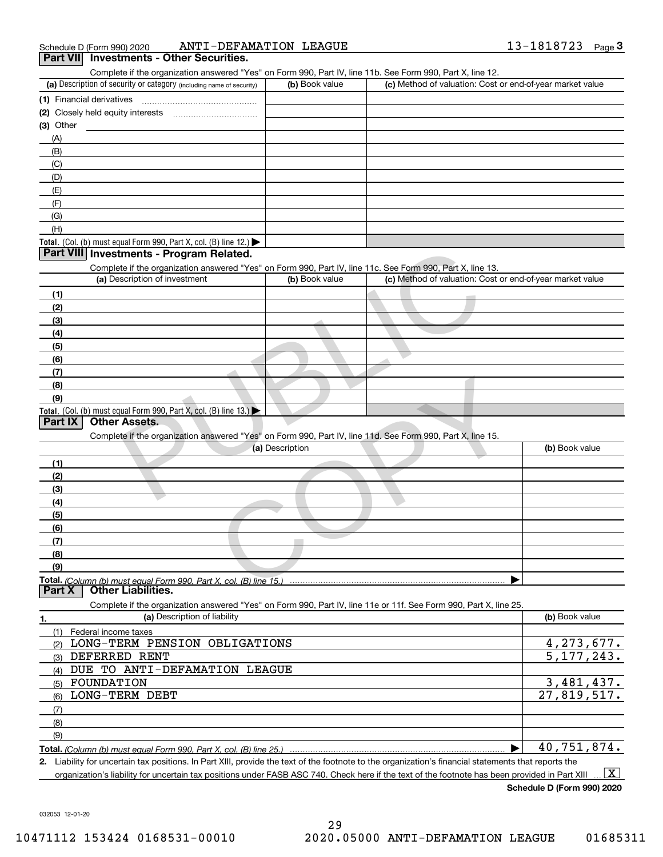| Schedule D (Form 990) 2020 | ANTI-DEFAMATION LEAGUE                | 1818723 | Page |
|----------------------------|---------------------------------------|---------|------|
| <b>Part VII</b>            | <b>Investments - Other Securities</b> |         |      |

| Complete if the organization answered "Yes" on Form 990, Part IV, line 11b. See Form 990, Part X, line 12.        |                 |                                                           |                          |
|-------------------------------------------------------------------------------------------------------------------|-----------------|-----------------------------------------------------------|--------------------------|
| (a) Description of security or category (including name of security)                                              | (b) Book value  | (c) Method of valuation: Cost or end-of-year market value |                          |
| (1) Financial derivatives                                                                                         |                 |                                                           |                          |
|                                                                                                                   |                 |                                                           |                          |
| $(3)$ Other                                                                                                       |                 |                                                           |                          |
| (A)                                                                                                               |                 |                                                           |                          |
| (B)                                                                                                               |                 |                                                           |                          |
| (C)                                                                                                               |                 |                                                           |                          |
| (D)                                                                                                               |                 |                                                           |                          |
| (E)                                                                                                               |                 |                                                           |                          |
| (F)                                                                                                               |                 |                                                           |                          |
| (G)                                                                                                               |                 |                                                           |                          |
| (H)                                                                                                               |                 |                                                           |                          |
| Total. (Col. (b) must equal Form 990, Part X, col. (B) line 12.) $\blacktriangleright$                            |                 |                                                           |                          |
| Part VIII Investments - Program Related.                                                                          |                 |                                                           |                          |
| Complete if the organization answered "Yes" on Form 990, Part IV, line 11c. See Form 990, Part X, line 13.        |                 |                                                           |                          |
| (a) Description of investment                                                                                     | (b) Book value  | (c) Method of valuation: Cost or end-of-year market value |                          |
| (1)                                                                                                               |                 |                                                           |                          |
| (2)                                                                                                               |                 |                                                           |                          |
| (3)                                                                                                               |                 |                                                           |                          |
| (4)                                                                                                               |                 |                                                           |                          |
| (5)                                                                                                               |                 |                                                           |                          |
| (6)                                                                                                               |                 |                                                           |                          |
| (7)                                                                                                               |                 |                                                           |                          |
| (8)                                                                                                               |                 |                                                           |                          |
| (9)                                                                                                               |                 |                                                           |                          |
| Total. (Col. (b) must equal Form 990, Part X, col. (B) line $13.$ )<br><b>Part IX</b><br><b>Other Assets.</b>     |                 |                                                           |                          |
| Complete if the organization answered "Yes" on Form 990, Part IV, line 11d. See Form 990, Part X, line 15.        |                 |                                                           |                          |
|                                                                                                                   | (a) Description |                                                           | (b) Book value           |
| (1)                                                                                                               |                 |                                                           |                          |
| (2)                                                                                                               |                 |                                                           |                          |
|                                                                                                                   |                 |                                                           |                          |
| (3)<br>(4)                                                                                                        |                 |                                                           |                          |
|                                                                                                                   |                 |                                                           |                          |
| (5)<br>(6)                                                                                                        |                 |                                                           |                          |
| (7)                                                                                                               |                 |                                                           |                          |
| (8)                                                                                                               |                 |                                                           |                          |
| (9)                                                                                                               |                 |                                                           |                          |
|                                                                                                                   |                 |                                                           |                          |
| <b>Other Liabilities.</b><br>Part X                                                                               |                 |                                                           |                          |
| Complete if the organization answered "Yes" on Form 990, Part IV, line 11e or 11f. See Form 990, Part X, line 25. |                 |                                                           |                          |
| (a) Description of liability<br>1.                                                                                |                 |                                                           | (b) Book value           |
| Federal income taxes<br>(1)                                                                                       |                 |                                                           |                          |
| LONG-TERM PENSION OBLIGATIONS<br>(2)                                                                              |                 |                                                           | 4, 273, 677.             |
| DEFERRED RENT<br>(3)                                                                                              |                 |                                                           | $\overline{5,177}, 243.$ |
| DUE TO ANTI-DEFAMATION LEAGUE<br>(4)                                                                              |                 |                                                           |                          |
| FOUNDATION<br>(5)                                                                                                 |                 |                                                           | $\overline{3,481,437}$ . |
| LONG-TERM DEBT                                                                                                    |                 |                                                           | 27,819,517.              |
| (6)                                                                                                               |                 |                                                           |                          |
| (7)                                                                                                               |                 |                                                           |                          |
| (8)                                                                                                               |                 |                                                           |                          |
| (9)                                                                                                               |                 |                                                           | 40,751,874.              |
| <b>Total.</b> (Column (b) must equal Form 990. Part X, col. (B) line 25.)                                         |                 |                                                           |                          |

**2.** Liability for uncertain tax positions. In Part XIII, provide the text of the footnote to the organization's financial statements that reports the organization's liability for uncertain tax positions under FASB ASC 740. Check here if the text of the footnote has been provided in Part XIII  $\boxed{\text{X}}$ 

**Schedule D (Form 990) 2020**

032053 12-01-20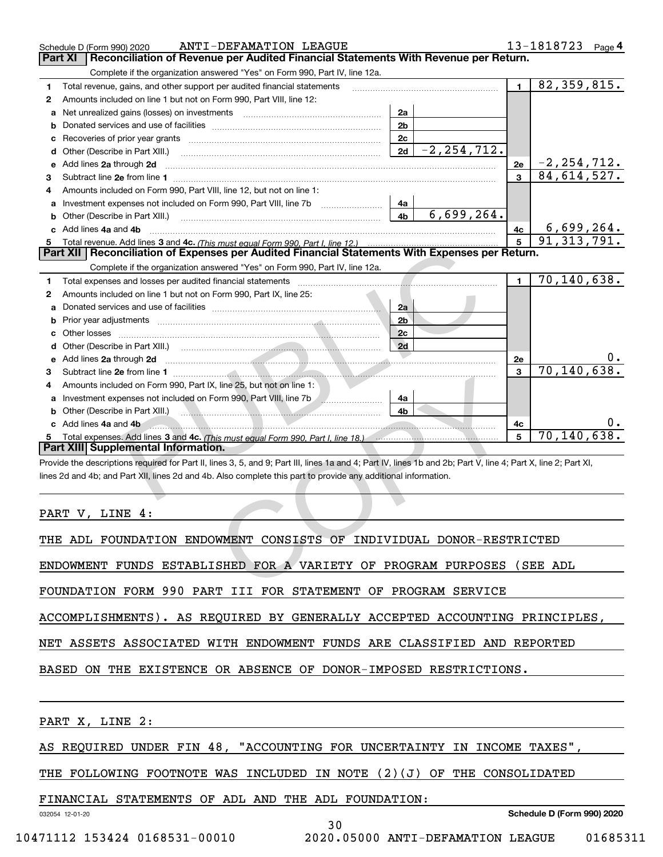|    | ANTI-DEFAMATION LEAGUE<br>Schedule D (Form 990) 2020                                                                                                                                                                                                              |                |                 |                | 13-1818723<br>Page 4 |  |  |
|----|-------------------------------------------------------------------------------------------------------------------------------------------------------------------------------------------------------------------------------------------------------------------|----------------|-----------------|----------------|----------------------|--|--|
|    | Reconciliation of Revenue per Audited Financial Statements With Revenue per Return.<br>Part XI                                                                                                                                                                    |                |                 |                |                      |  |  |
|    | Complete if the organization answered "Yes" on Form 990, Part IV, line 12a.                                                                                                                                                                                       |                |                 |                |                      |  |  |
| 1. | Total revenue, gains, and other support per audited financial statements                                                                                                                                                                                          |                |                 | $\blacksquare$ | 82, 359, 815.        |  |  |
| 2  | Amounts included on line 1 but not on Form 990, Part VIII, line 12:                                                                                                                                                                                               |                |                 |                |                      |  |  |
|    | a Net unrealized gains (losses) on investments [11] [12] Net unrealized gains (losses) on investments                                                                                                                                                             | 2a             |                 |                |                      |  |  |
|    |                                                                                                                                                                                                                                                                   | 2 <sub>b</sub> |                 |                |                      |  |  |
| с  |                                                                                                                                                                                                                                                                   | 2c             |                 |                |                      |  |  |
|    | <b>d</b> Other (Describe in Part XIII.)                                                                                                                                                                                                                           | 2d             | $-2, 254, 712.$ |                |                      |  |  |
| е  | Add lines 2a through 2d                                                                                                                                                                                                                                           |                |                 | 2e             | $-2, 254, 712.$      |  |  |
| 3  |                                                                                                                                                                                                                                                                   |                |                 | 3              | 84,614,527.          |  |  |
| 4  | Amounts included on Form 990, Part VIII, line 12, but not on line 1:                                                                                                                                                                                              |                |                 |                |                      |  |  |
| a  | Investment expenses not included on Form 990, Part VIII, line 7b                                                                                                                                                                                                  | 4a             |                 |                |                      |  |  |
|    | <b>b</b> Other (Describe in Part XIII.)                                                                                                                                                                                                                           | 4b             | 6,699,264.      |                |                      |  |  |
|    | c Add lines 4a and 4b                                                                                                                                                                                                                                             |                |                 | 4c             | 6,699,264.           |  |  |
|    | Total revenue. Add lines 3 and 4c. (This must equal Form 990. Part I. line 12.)                                                                                                                                                                                   |                |                 | 5              | 91, 313, 791.        |  |  |
|    | Part XII   Reconciliation of Expenses per Audited Financial Statements With Expenses per Return.                                                                                                                                                                  |                |                 |                |                      |  |  |
|    | Complete if the organization answered "Yes" on Form 990, Part IV, line 12a.                                                                                                                                                                                       |                |                 |                |                      |  |  |
| 1  | Total expenses and losses per audited financial statements                                                                                                                                                                                                        |                |                 | $\blacksquare$ | 70, 140, 638.        |  |  |
| 2  | Amounts included on line 1 but not on Form 990, Part IX, line 25:                                                                                                                                                                                                 |                |                 |                |                      |  |  |
| a  |                                                                                                                                                                                                                                                                   | 2a             |                 |                |                      |  |  |
|    |                                                                                                                                                                                                                                                                   | 2 <sub>b</sub> |                 |                |                      |  |  |
|    | c Other losses                                                                                                                                                                                                                                                    | 2c             |                 |                |                      |  |  |
|    |                                                                                                                                                                                                                                                                   | 2d             |                 |                |                      |  |  |
|    | e Add lines 2a through 2d<br><u> Elizabeth Communication de la communication de la communication de la communication de la communication de la communication de la communication de la communication de la communication de la communication de la communicat</u> |                |                 | 2e             |                      |  |  |
| 3  |                                                                                                                                                                                                                                                                   |                |                 | 3              | 70, 140, 638.        |  |  |
| 4  | Amounts included on Form 990, Part IX, line 25, but not on line 1:                                                                                                                                                                                                |                |                 |                |                      |  |  |
|    | a Investment expenses not included on Form 990, Part VIII, line 7b                                                                                                                                                                                                | 4a             |                 |                |                      |  |  |
|    | b Other (Describe in Part XIII.) <b>Consumer and Consumer Active Consumer Act Other (Describe in Part XIII.)</b>                                                                                                                                                  | 4b             |                 |                |                      |  |  |
|    | c Add lines 4a and 4b<br><u> 23. mars - Andrew Mars - Andrew Mars - Andrew Mars - Andrew Mars - Andrew Mars - Andrew Mars - Andrew Mars - </u>                                                                                                                    |                |                 | 4c             | Ο.                   |  |  |
| 5  | Part XIII Supplemental Information.                                                                                                                                                                                                                               |                |                 | 5              | 70, 140, 638.        |  |  |
|    | Provide the descriptions required for Part II, lines 3, 5, and 9; Part III, lines 1a and 4; Part IV, lines 1b and 2b; Part V, line 4; Part X, line 2; Part XI,                                                                                                    |                |                 |                |                      |  |  |
|    | lines 2d and 4b; and Part XII, lines 2d and 4b. Also complete this part to provide any additional information.                                                                                                                                                    |                |                 |                |                      |  |  |
|    |                                                                                                                                                                                                                                                                   |                |                 |                |                      |  |  |
|    | PART V, LINE 4:                                                                                                                                                                                                                                                   |                |                 |                |                      |  |  |
|    |                                                                                                                                                                                                                                                                   |                |                 |                |                      |  |  |
|    | THE ADL FOUNDATION ENDOWMENT CONSISTS OF INDIVIDUAL DONOR-RESTRICTED                                                                                                                                                                                              |                |                 |                |                      |  |  |
|    | ENDOWMENT FUNDS ESTABLISHED FOR A VARIETY OF PROGRAM PURPOSES (SEE ADL                                                                                                                                                                                            |                |                 |                |                      |  |  |
|    |                                                                                                                                                                                                                                                                   |                |                 |                |                      |  |  |
|    | <b>EQIBID 3 ELONE</b><br>חת הח<br>TTT DOD<br>CONFINITION OF DROCAM AFTITCH                                                                                                                                                                                        |                |                 |                |                      |  |  |

FOUNDATION FORM 990 PART III FOR STATEMENT OF PROGRAM SERVICE

ACCOMPLISHMENTS). AS REQUIRED BY GENERALLY ACCEPTED ACCOUNTING PRINCIPLES,

NET ASSETS ASSOCIATED WITH ENDOWMENT FUNDS ARE CLASSIFIED AND REPORTED

BASED ON THE EXISTENCE OR ABSENCE OF DONOR-IMPOSED RESTRICTIONS.

PART X, LINE 2:

AS REQUIRED UNDER FIN 48, "ACCOUNTING FOR UNCERTAINTY IN INCOME TAXES",

THE FOLLOWING FOOTNOTE WAS INCLUDED IN NOTE (2)(J) OF THE CONSOLIDATED

FINANCIAL STATEMENTS OF ADL AND THE ADL FOUNDATION:

032054 12-01-20

30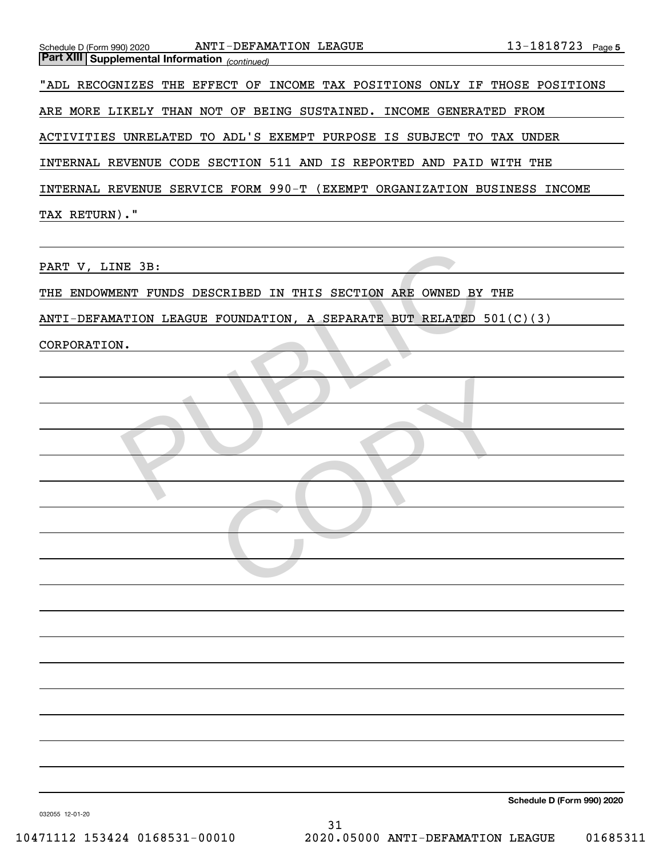| ANTI-DEFAMATION LEAGUE<br>Schedule D (Form 990) 2020<br><b>Part XIII Supplemental Information</b> (continued) | 13-1818723 Page 5                 |
|---------------------------------------------------------------------------------------------------------------|-----------------------------------|
| "ADL RECOGNIZES THE EFFECT OF INCOME TAX POSITIONS ONLY IF THOSE POSITIONS                                    |                                   |
|                                                                                                               |                                   |
| ARE MORE LIKELY THAN NOT OF BEING SUSTAINED. INCOME GENERATED FROM                                            |                                   |
| ACTIVITIES UNRELATED TO ADL'S EXEMPT PURPOSE IS SUBJECT TO TAX UNDER                                          |                                   |
| INTERNAL REVENUE CODE SECTION 511 AND IS REPORTED AND PAID WITH THE                                           |                                   |
| INTERNAL REVENUE SERVICE FORM 990-T (EXEMPT ORGANIZATION BUSINESS INCOME                                      |                                   |
| TAX RETURN)."                                                                                                 |                                   |
|                                                                                                               |                                   |
| PART V, LINE 3B:                                                                                              |                                   |
| THE ENDOWMENT FUNDS DESCRIBED IN THIS SECTION ARE OWNED BY THE                                                |                                   |
| ANTI-DEFAMATION LEAGUE FOUNDATION, A SEPARATE BUT RELATED 501(C)(3)                                           |                                   |
| CORPORATION.                                                                                                  |                                   |
|                                                                                                               |                                   |
|                                                                                                               |                                   |
|                                                                                                               |                                   |
|                                                                                                               |                                   |
|                                                                                                               |                                   |
|                                                                                                               |                                   |
|                                                                                                               |                                   |
|                                                                                                               |                                   |
|                                                                                                               |                                   |
|                                                                                                               |                                   |
|                                                                                                               |                                   |
|                                                                                                               |                                   |
|                                                                                                               |                                   |
|                                                                                                               |                                   |
|                                                                                                               |                                   |
|                                                                                                               |                                   |
|                                                                                                               |                                   |
|                                                                                                               |                                   |
|                                                                                                               | <b>Cabadula D /Earm 000) 2020</b> |

**Schedule D (Form 990) 2020**

032055 12-01-20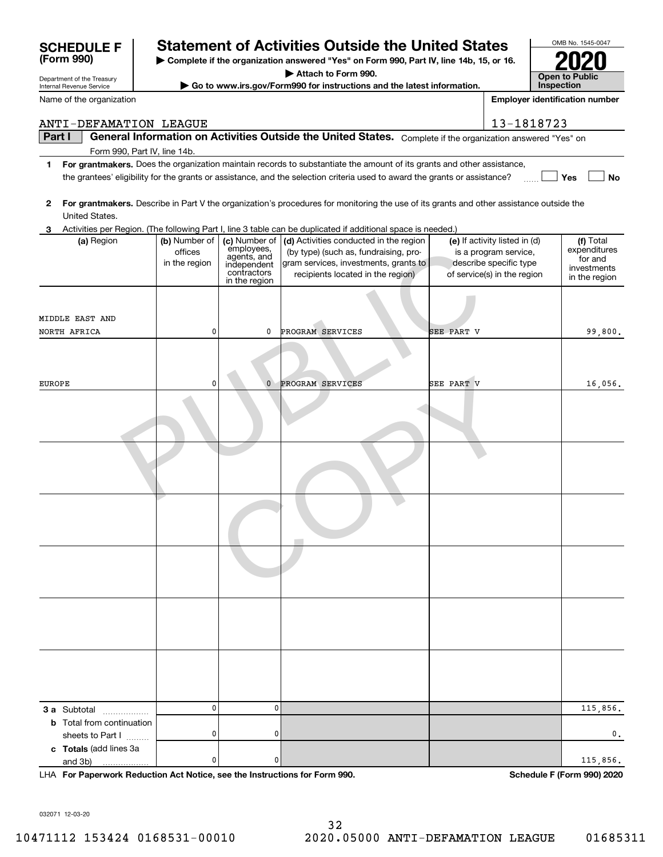| Department of the Treasury                 |                                           | <b>Open to Public</b>                                                                     |                                                                                                                                                                                                                                                      |            |                                                                                                                 |                                                                      |
|--------------------------------------------|-------------------------------------------|-------------------------------------------------------------------------------------------|------------------------------------------------------------------------------------------------------------------------------------------------------------------------------------------------------------------------------------------------------|------------|-----------------------------------------------------------------------------------------------------------------|----------------------------------------------------------------------|
| Internal Revenue Service                   |                                           |                                                                                           | Go to www.irs.gov/Form990 for instructions and the latest information.                                                                                                                                                                               |            |                                                                                                                 | Inspection                                                           |
| Name of the organization                   |                                           |                                                                                           |                                                                                                                                                                                                                                                      |            |                                                                                                                 | <b>Employer identification number</b>                                |
| ANTI-DEFAMATION LEAGUE                     |                                           |                                                                                           |                                                                                                                                                                                                                                                      |            | 13-1818723                                                                                                      |                                                                      |
| Part I                                     |                                           |                                                                                           | General Information on Activities Outside the United States. Complete if the organization answered "Yes" on                                                                                                                                          |            |                                                                                                                 |                                                                      |
| Form 990, Part IV, line 14b.               |                                           |                                                                                           |                                                                                                                                                                                                                                                      |            |                                                                                                                 |                                                                      |
| 1                                          |                                           |                                                                                           | For grantmakers. Does the organization maintain records to substantiate the amount of its grants and other assistance,<br>the grantees' eligibility for the grants or assistance, and the selection criteria used to award the grants or assistance? |            |                                                                                                                 | Yes<br>No                                                            |
| 2<br>United States.                        |                                           |                                                                                           | For grantmakers. Describe in Part V the organization's procedures for monitoring the use of its grants and other assistance outside the                                                                                                              |            |                                                                                                                 |                                                                      |
| 3                                          |                                           |                                                                                           | Activities per Region. (The following Part I, line 3 table can be duplicated if additional space is needed.)<br>(d) Activities conducted in the region                                                                                               |            |                                                                                                                 |                                                                      |
| (a) Region                                 | (b) Number of<br>offices<br>in the region | (c) Number of<br>employees,<br>agents, and<br>independent<br>contractors<br>in the region | (by type) (such as, fundraising, pro-<br>gram services, investments, grants to<br>recipients located in the region)                                                                                                                                  |            | (e) If activity listed in (d)<br>is a program service,<br>describe specific type<br>of service(s) in the region | (f) Total<br>expenditures<br>for and<br>investments<br>in the region |
|                                            |                                           |                                                                                           |                                                                                                                                                                                                                                                      |            |                                                                                                                 |                                                                      |
| MIDDLE EAST AND<br>NORTH AFRICA            | 0                                         | 0                                                                                         | PROGRAM SERVICES                                                                                                                                                                                                                                     | SEE PART V |                                                                                                                 | 99,800,                                                              |
|                                            |                                           |                                                                                           |                                                                                                                                                                                                                                                      |            |                                                                                                                 |                                                                      |
|                                            |                                           |                                                                                           |                                                                                                                                                                                                                                                      |            |                                                                                                                 |                                                                      |
| EUROPE                                     | 0                                         | 0                                                                                         | PROGRAM SERVICES                                                                                                                                                                                                                                     | SEE PART V |                                                                                                                 | 16,056.                                                              |
|                                            |                                           |                                                                                           |                                                                                                                                                                                                                                                      |            |                                                                                                                 |                                                                      |
|                                            |                                           |                                                                                           |                                                                                                                                                                                                                                                      |            |                                                                                                                 |                                                                      |
|                                            |                                           |                                                                                           |                                                                                                                                                                                                                                                      |            |                                                                                                                 |                                                                      |
|                                            |                                           |                                                                                           |                                                                                                                                                                                                                                                      |            |                                                                                                                 |                                                                      |
|                                            |                                           |                                                                                           |                                                                                                                                                                                                                                                      |            |                                                                                                                 |                                                                      |
|                                            |                                           |                                                                                           |                                                                                                                                                                                                                                                      |            |                                                                                                                 |                                                                      |
|                                            |                                           |                                                                                           |                                                                                                                                                                                                                                                      |            |                                                                                                                 |                                                                      |
|                                            |                                           |                                                                                           |                                                                                                                                                                                                                                                      |            |                                                                                                                 |                                                                      |
|                                            |                                           |                                                                                           |                                                                                                                                                                                                                                                      |            |                                                                                                                 |                                                                      |
|                                            |                                           |                                                                                           |                                                                                                                                                                                                                                                      |            |                                                                                                                 |                                                                      |
| 3 a Subtotal                               | 0                                         | $\mathbf{0}$                                                                              |                                                                                                                                                                                                                                                      |            |                                                                                                                 | 115,856.                                                             |
| <b>b</b> Total from continuation           |                                           |                                                                                           |                                                                                                                                                                                                                                                      |            |                                                                                                                 |                                                                      |
| sheets to Part I<br>c Totals (add lines 3a | 0                                         | 0                                                                                         |                                                                                                                                                                                                                                                      |            |                                                                                                                 | 0,                                                                   |
| and 3b)<br>.                               | 0                                         | 0                                                                                         |                                                                                                                                                                                                                                                      |            |                                                                                                                 | 115,856.                                                             |

**| Complete if the organization answered "Yes" on Form 990, Part IV, line 14b, 15, or 16. | Attach to Form 990.**

**Statement of Activities Outside the United States** 

**For Paperwork Reduction Act Notice, see the Instructions for Form 990. Schedule F (Form 990) 2020** LHA

032071 12-03-20

**(Form 990)**

OMB No. 1545-0047

**2020**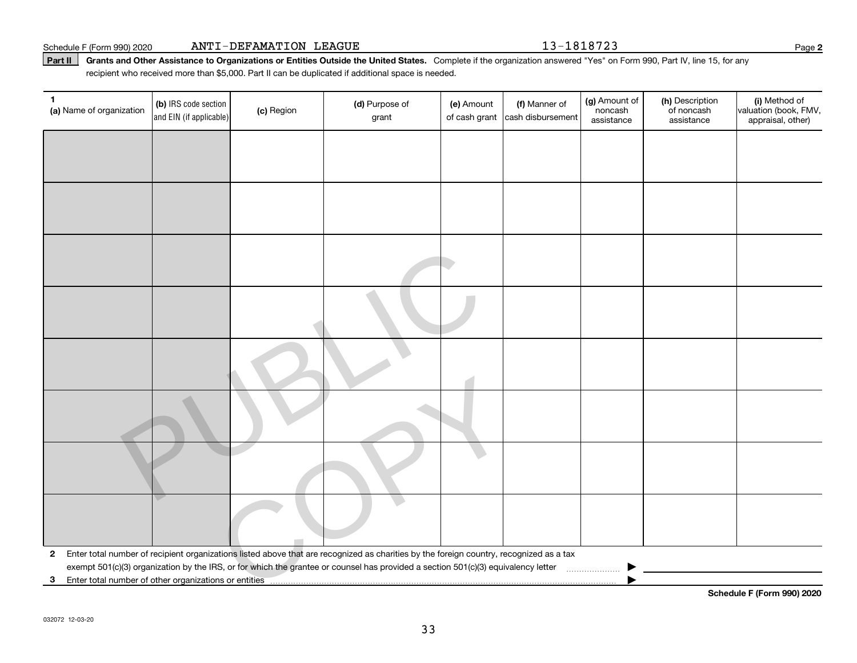Part II | Grants and Other Assistance to Organizations or Entities Outside the United States. Complete if the organization answered "Yes" on Form 990, Part IV, line 15, for any recipient who received more than \$5,000. Part II can be duplicated if additional space is needed.

| (a) Name of organization | (b) IRS code section<br>and EIN (if applicable) | (c) Region | (d) Purpose of<br>grant                                                                                                                                                                                                                                                      | (e) Amount<br>of cash grant | (f) Manner of<br>cash disbursement | (g) Amount of<br>noncash<br>assistance | (h) Description<br>of noncash<br>assistance | (i) Method of<br>valuation (book, FMV,<br>appraisal, other) |
|--------------------------|-------------------------------------------------|------------|------------------------------------------------------------------------------------------------------------------------------------------------------------------------------------------------------------------------------------------------------------------------------|-----------------------------|------------------------------------|----------------------------------------|---------------------------------------------|-------------------------------------------------------------|
|                          |                                                 |            |                                                                                                                                                                                                                                                                              |                             |                                    |                                        |                                             |                                                             |
|                          |                                                 |            |                                                                                                                                                                                                                                                                              |                             |                                    |                                        |                                             |                                                             |
|                          |                                                 |            |                                                                                                                                                                                                                                                                              |                             |                                    |                                        |                                             |                                                             |
|                          |                                                 |            |                                                                                                                                                                                                                                                                              |                             |                                    |                                        |                                             |                                                             |
|                          |                                                 |            |                                                                                                                                                                                                                                                                              |                             |                                    |                                        |                                             |                                                             |
|                          |                                                 |            |                                                                                                                                                                                                                                                                              |                             |                                    |                                        |                                             |                                                             |
|                          |                                                 |            |                                                                                                                                                                                                                                                                              |                             |                                    |                                        |                                             |                                                             |
|                          |                                                 |            |                                                                                                                                                                                                                                                                              |                             |                                    |                                        |                                             |                                                             |
|                          |                                                 |            |                                                                                                                                                                                                                                                                              |                             |                                    |                                        |                                             |                                                             |
|                          |                                                 |            |                                                                                                                                                                                                                                                                              |                             |                                    |                                        |                                             |                                                             |
|                          |                                                 |            |                                                                                                                                                                                                                                                                              |                             |                                    |                                        |                                             |                                                             |
| $\mathbf{2}$             |                                                 |            | Enter total number of recipient organizations listed above that are recognized as charities by the foreign country, recognized as a tax<br>exempt 501(c)(3) organization by the IRS, or for which the grantee or counsel has provided a section 501(c)(3) equivalency letter |                             |                                    |                                        |                                             |                                                             |
| 3                        |                                                 |            |                                                                                                                                                                                                                                                                              |                             |                                    |                                        |                                             |                                                             |

**Schedule F (Form 990) 2020**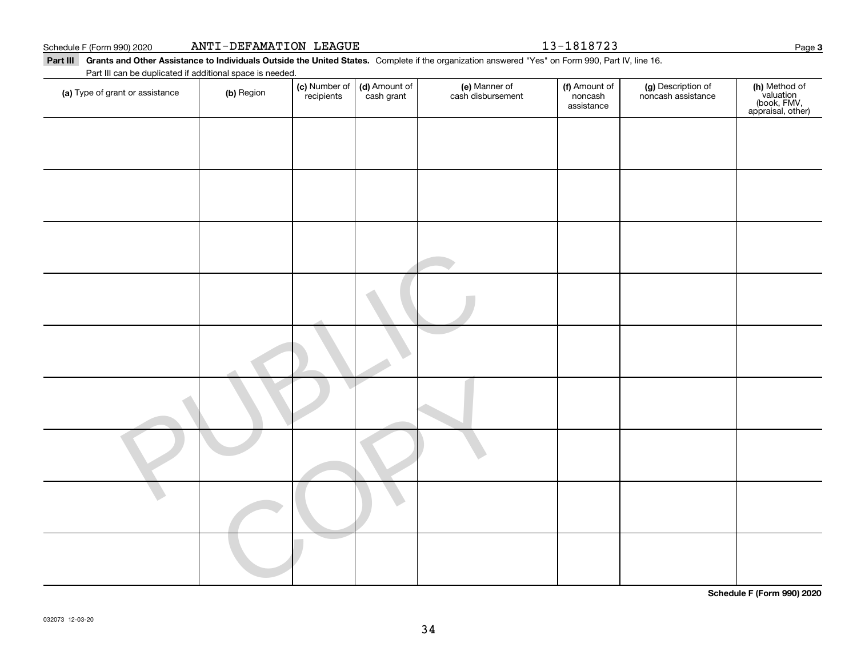| Schedule F (Form 990) 2020 | ANTI-DEFAMATION LEAGUE |  |
|----------------------------|------------------------|--|

13-1818723

Page 3

**(h)** Method of<br>valuation<br>(book, FMV,<br>appraisal, other)

Part III Grants and Other Assistance to Individuals Outside the United States. Complete if the organization answered "Yes" on Form 990, Part IV, line 16. **(c)** Number of **| (d)** Amount of **| (e)** Manner of **| (f)** Amount of **| (g)** Description of **| (h) (a)** Type of grant or assistance  $\qquad$  **(b)** Region Part III can be duplicated if additional space is needed. (c) Number of recipients(d) Amount of cash grant (e) Manner of cash disbursement (f) Amount of noncash assistancenoncash assistance

**Schedule F (Form 990) 2020**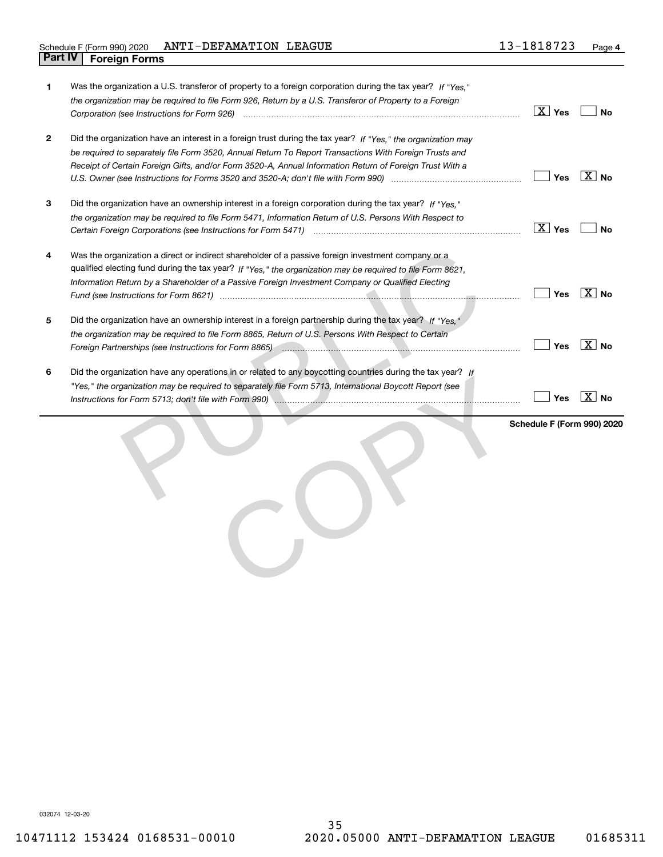| 1           | Was the organization a U.S. transferor of property to a foreign corporation during the tax year? If "Yes."<br>the organization may be required to file Form 926, Return by a U.S. Transferor of Property to a Foreign                                                                                                                                    | $\boxed{\text{X}}$ Yes     | No                |
|-------------|----------------------------------------------------------------------------------------------------------------------------------------------------------------------------------------------------------------------------------------------------------------------------------------------------------------------------------------------------------|----------------------------|-------------------|
| $\mathbf 2$ | Did the organization have an interest in a foreign trust during the tax year? If "Yes," the organization may<br>be required to separately file Form 3520, Annual Return To Report Transactions With Foreign Trusts and<br>Receipt of Certain Foreign Gifts, and/or Form 3520-A, Annual Information Return of Foreign Trust With a                        | Yes                        | $ X $ No          |
| 3           | Did the organization have an ownership interest in a foreign corporation during the tax year? If "Yes."<br>the organization may be required to file Form 5471, Information Return of U.S. Persons With Respect to                                                                                                                                        | $\boxed{X}$ Yes            | No                |
| 4           | Was the organization a direct or indirect shareholder of a passive foreign investment company or a<br>qualified electing fund during the tax year? If "Yes," the organization may be required to file Form 8621,<br>Information Return by a Shareholder of a Passive Foreign Investment Company or Qualified Electing                                    | Yes                        | $X \mid No$       |
| 5           | Did the organization have an ownership interest in a foreign partnership during the tax year? If "Yes."<br>the organization may be required to file Form 8865, Return of U.S. Persons With Respect to Certain<br>Foreign Partnerships (see Instructions for Form 8865) manufactured contains and contained partnerships (see Instructions for Form 8865) | Yes                        | $\overline{X}$ No |
| 6           | Did the organization have any operations in or related to any boycotting countries during the tax year? If<br>"Yes," the organization may be required to separately file Form 5713, International Boycott Report (see                                                                                                                                    | Yes                        | $\overline{X}$ No |
|             |                                                                                                                                                                                                                                                                                                                                                          | Schedule F (Form 990) 2020 |                   |

032074 12-03-20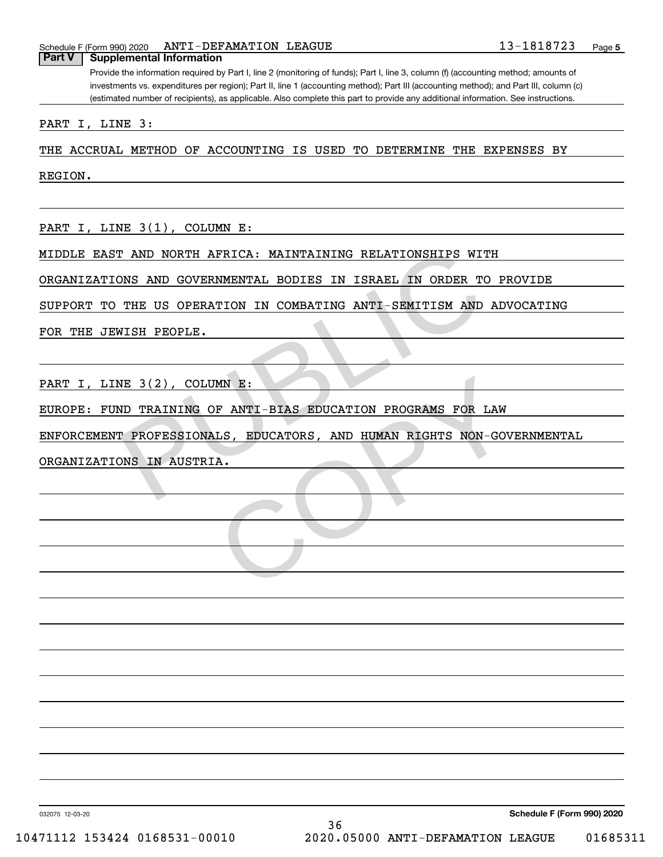| Schedule | □ (Form 990) 2020 | <b>I-DEFAMATION</b><br><b>ANTI</b> | LEAGUE |  | റ -<br>ō<br>. O | ـ ہے ۔ | Page |  |
|----------|-------------------|------------------------------------|--------|--|-----------------|--------|------|--|
|          |                   |                                    |        |  |                 |        |      |  |

#### **Part V** | Supplemental Information

Provide the information required by Part I, line 2 (monitoring of funds); Part I, line 3, column (f) (accounting method; amounts of investments vs. expenditures per region); Part II, line 1 (accounting method); Part III (accounting method); and Part III, column (c) (estimated number of recipients), as applicable. Also complete this part to provide any additional information. See instructions.

PART I, LINE 3:

THE ACCRUAL METHOD OF ACCOUNTING IS USED TO DETERMINE THE EXPENSES BY

REGION.

PART I, LINE 3(1), COLUMN E:

MIDDLE EAST AND NORTH AFRICA: MAINTAINING RELATIONSHIPS WITH

ORGANIZATIONS AND GOVERNMENTAL BODIES IN ISRAEL IN ORDER TO PROVIDE

SUPPORT TO THE US OPERATION IN COMBATING ANTI-SEMITISM AND ADVOCATING

FOR THE JEWISH PEOPLE.

PART I, LINE 3(2), COLUMN E:

EUROPE: FUND TRAINING OF ANTI-BIAS EDUCATION PROGRAMS FOR LAW

ENFORCEMENT PROFESSIONALS, EDUCATORS, AND HUMAN RIGHTS NON-GOVERNMENTAL T AND NORTH AFRICA: MAINTAINING RELATIONSHIPS WITH<br>
NNS AND GOVERNMENTAL BODIES IN ISRAEL IN ORDER TO<br>
THE US OPERATION IN COMBATING ANTI-SEMITISM AND A<br>
NISH PEOPLE.<br>
NE 3(2), COLUMN E:<br>
ND TRAINING OF ANTI-BIAS EDUCATION MN E:<br>DF ANTI-BIAS EDUCATION PROGRAMS FOR LAW<br>LLS, EDUCATORS, AND HUMAN RIGHTS NON-GOV<br>.A.

ORGANIZATIONS IN AUSTRIA.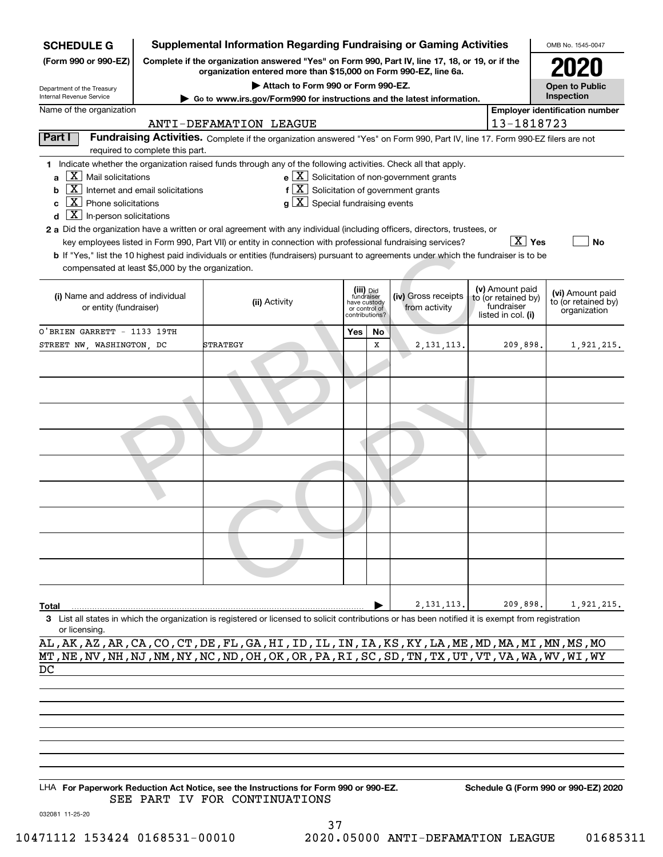| <b>SCHEDULE G</b>                                          | <b>Supplemental Information Regarding Fundraising or Gaming Activities</b> |                                                                                                                                                                     |     |                                                 |                                                              |  |                                        | OMB No. 1545-0047                     |  |  |  |
|------------------------------------------------------------|----------------------------------------------------------------------------|---------------------------------------------------------------------------------------------------------------------------------------------------------------------|-----|-------------------------------------------------|--------------------------------------------------------------|--|----------------------------------------|---------------------------------------|--|--|--|
| (Form 990 or 990-EZ)                                       |                                                                            | Complete if the organization answered "Yes" on Form 990, Part IV, line 17, 18, or 19, or if the<br>organization entered more than \$15,000 on Form 990-EZ, line 6a. |     |                                                 |                                                              |  |                                        |                                       |  |  |  |
| Department of the Treasury                                 |                                                                            | Attach to Form 990 or Form 990-EZ.                                                                                                                                  |     |                                                 |                                                              |  |                                        |                                       |  |  |  |
| Internal Revenue Service                                   |                                                                            | ► Go to www.irs.gov/Form990 for instructions and the latest information.                                                                                            |     |                                                 |                                                              |  |                                        | Inspection                            |  |  |  |
| Name of the organization                                   |                                                                            |                                                                                                                                                                     |     |                                                 |                                                              |  |                                        | <b>Employer identification number</b> |  |  |  |
|                                                            | 13-1818723<br>ANTI-DEFAMATION LEAGUE                                       |                                                                                                                                                                     |     |                                                 |                                                              |  |                                        |                                       |  |  |  |
| Part I                                                     | required to complete this part.                                            | Fundraising Activities. Complete if the organization answered "Yes" on Form 990, Part IV, line 17. Form 990-EZ filers are not                                       |     |                                                 |                                                              |  |                                        |                                       |  |  |  |
|                                                            |                                                                            | 1 Indicate whether the organization raised funds through any of the following activities. Check all that apply.                                                     |     |                                                 |                                                              |  |                                        |                                       |  |  |  |
| $X$ Mail solicitations<br>a                                |                                                                            |                                                                                                                                                                     |     |                                                 | $e$ $\boxed{\text{X}}$ Solicitation of non-government grants |  |                                        |                                       |  |  |  |
| $\boxed{\textbf{X}}$ Internet and email solicitations<br>b |                                                                            | $f[X]$ Solicitation of government grants                                                                                                                            |     |                                                 |                                                              |  |                                        |                                       |  |  |  |
| $\boxed{\text{X}}$ Phone solicitations<br>c                |                                                                            | $g\mid X$ Special fundraising events                                                                                                                                |     |                                                 |                                                              |  |                                        |                                       |  |  |  |
| $\boxed{\textbf{X}}$ In-person solicitations<br>d          |                                                                            |                                                                                                                                                                     |     |                                                 |                                                              |  |                                        |                                       |  |  |  |
|                                                            |                                                                            | 2 a Did the organization have a written or oral agreement with any individual (including officers, directors, trustees, or                                          |     |                                                 |                                                              |  |                                        |                                       |  |  |  |
|                                                            |                                                                            | key employees listed in Form 990, Part VII) or entity in connection with professional fundraising services?                                                         |     |                                                 |                                                              |  | $\boxed{\text{X}}$ Yes                 | No                                    |  |  |  |
|                                                            |                                                                            | <b>b</b> If "Yes," list the 10 highest paid individuals or entities (fundraisers) pursuant to agreements under which the fundraiser is to be                        |     |                                                 |                                                              |  |                                        |                                       |  |  |  |
| compensated at least \$5,000 by the organization.          |                                                                            |                                                                                                                                                                     |     |                                                 |                                                              |  |                                        |                                       |  |  |  |
|                                                            |                                                                            |                                                                                                                                                                     |     |                                                 |                                                              |  |                                        |                                       |  |  |  |
| (i) Name and address of individual                         |                                                                            |                                                                                                                                                                     |     | (iii) Did<br>fundraiser                         | (iv) Gross receipts                                          |  | (v) Amount paid<br>to (or retained by) | (vi) Amount paid                      |  |  |  |
| or entity (fundraiser)                                     |                                                                            | (ii) Activity                                                                                                                                                       |     | have custody<br>or control of<br>contributions? | from activity                                                |  | fundraiser                             | to (or retained by)<br>organization   |  |  |  |
|                                                            |                                                                            |                                                                                                                                                                     |     |                                                 |                                                              |  | listed in col. (i)                     |                                       |  |  |  |
| O'BRIEN GARRETT - 1133 19TH                                |                                                                            |                                                                                                                                                                     | Yes | No                                              |                                                              |  |                                        |                                       |  |  |  |
| STREET NW, WASHINGTON, DC                                  |                                                                            | STRATEGY                                                                                                                                                            |     | x                                               | 2, 131, 113.                                                 |  | 209,898.                               | 1,921,215.                            |  |  |  |
|                                                            |                                                                            |                                                                                                                                                                     |     |                                                 |                                                              |  |                                        |                                       |  |  |  |
|                                                            |                                                                            |                                                                                                                                                                     |     |                                                 |                                                              |  |                                        |                                       |  |  |  |
|                                                            |                                                                            |                                                                                                                                                                     |     |                                                 |                                                              |  |                                        |                                       |  |  |  |
|                                                            |                                                                            |                                                                                                                                                                     |     |                                                 |                                                              |  |                                        |                                       |  |  |  |
|                                                            |                                                                            |                                                                                                                                                                     |     |                                                 |                                                              |  |                                        |                                       |  |  |  |
|                                                            |                                                                            |                                                                                                                                                                     |     |                                                 |                                                              |  |                                        |                                       |  |  |  |
|                                                            |                                                                            |                                                                                                                                                                     |     |                                                 |                                                              |  |                                        |                                       |  |  |  |
|                                                            |                                                                            |                                                                                                                                                                     |     |                                                 |                                                              |  |                                        |                                       |  |  |  |
|                                                            |                                                                            |                                                                                                                                                                     |     |                                                 |                                                              |  |                                        |                                       |  |  |  |
|                                                            |                                                                            |                                                                                                                                                                     |     |                                                 |                                                              |  |                                        |                                       |  |  |  |
|                                                            |                                                                            |                                                                                                                                                                     |     |                                                 |                                                              |  |                                        |                                       |  |  |  |
|                                                            |                                                                            |                                                                                                                                                                     |     |                                                 |                                                              |  |                                        |                                       |  |  |  |
|                                                            |                                                                            |                                                                                                                                                                     |     |                                                 |                                                              |  |                                        |                                       |  |  |  |
|                                                            |                                                                            |                                                                                                                                                                     |     |                                                 |                                                              |  |                                        |                                       |  |  |  |
|                                                            |                                                                            |                                                                                                                                                                     |     |                                                 |                                                              |  |                                        |                                       |  |  |  |
|                                                            |                                                                            |                                                                                                                                                                     |     |                                                 |                                                              |  |                                        |                                       |  |  |  |
|                                                            |                                                                            |                                                                                                                                                                     |     |                                                 |                                                              |  |                                        |                                       |  |  |  |
|                                                            |                                                                            |                                                                                                                                                                     |     |                                                 |                                                              |  |                                        |                                       |  |  |  |
|                                                            |                                                                            |                                                                                                                                                                     |     |                                                 |                                                              |  |                                        |                                       |  |  |  |
| Total                                                      |                                                                            |                                                                                                                                                                     |     |                                                 | 2, 131, 113.                                                 |  | 209,898.                               | 1,921,215.                            |  |  |  |
| or licensing.                                              |                                                                            | 3 List all states in which the organization is registered or licensed to solicit contributions or has been notified it is exempt from registration                  |     |                                                 |                                                              |  |                                        |                                       |  |  |  |

AL,AK,AZ,AR,CA,CO,CT,DE,FL,GA,HI,ID,IL,IN,IA,KS,KY,LA,ME,MD,MA,MI,MN,MS,MO MT,NE,NV,NH,NJ,NM,NY,NC,ND,OH,OK,OR,PA,RI,SC,SD,TN,TX,UT,VT,VA,WA,WV,WI,WY DC

LHA For Paperwork Reduction Act Notice, see the Instructions for Form 990 or 990-EZ. Schedule G (Form 990 or 990-EZ) 2020 SEE PART IV FOR CONTINUATIONS

032081 11-25-20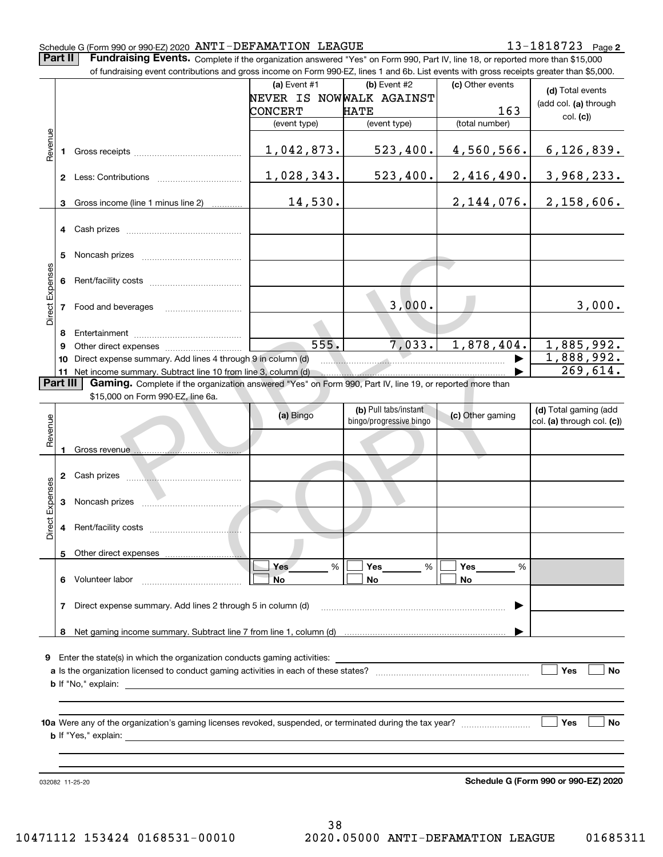**2**

**Part II** | Fundraising Events. Complete if the organization answered "Yes" on Form 990, Part IV, line 18, or reported more than \$15,000

|                                                                                   |    | of fundraising event contributions and gross income on Form 990-EZ, lines 1 and 6b. List events with gross receipts greater than \$5,000. |                          |                         |                  |                            |  |  |  |  |  |
|-----------------------------------------------------------------------------------|----|-------------------------------------------------------------------------------------------------------------------------------------------|--------------------------|-------------------------|------------------|----------------------------|--|--|--|--|--|
|                                                                                   |    |                                                                                                                                           | (a) Event #1             | (b) Event #2            | (c) Other events | (d) Total events           |  |  |  |  |  |
|                                                                                   |    |                                                                                                                                           | NEVER IS NOWWALK AGAINST |                         |                  |                            |  |  |  |  |  |
|                                                                                   |    |                                                                                                                                           | CONCERT                  | <b>HATE</b>             | 163              | (add col. (a) through      |  |  |  |  |  |
|                                                                                   |    |                                                                                                                                           | (event type)             | (event type)            | (total number)   | col. (c)                   |  |  |  |  |  |
|                                                                                   |    |                                                                                                                                           |                          |                         |                  |                            |  |  |  |  |  |
| Revenue                                                                           |    |                                                                                                                                           |                          |                         |                  |                            |  |  |  |  |  |
|                                                                                   |    |                                                                                                                                           | 1,042,873.               | 523,400.                | 4,560,566.       | 6, 126, 839.               |  |  |  |  |  |
|                                                                                   |    |                                                                                                                                           |                          |                         |                  |                            |  |  |  |  |  |
|                                                                                   |    |                                                                                                                                           | 1,028,343.               | 523,400.                | 2,416,490.       | <u>3,968,233.</u>          |  |  |  |  |  |
|                                                                                   |    |                                                                                                                                           |                          |                         |                  |                            |  |  |  |  |  |
|                                                                                   | 3  | Gross income (line 1 minus line 2)                                                                                                        | 14,530.                  |                         | 2,144,076.       | 2,158,606.                 |  |  |  |  |  |
|                                                                                   |    |                                                                                                                                           |                          |                         |                  |                            |  |  |  |  |  |
|                                                                                   |    |                                                                                                                                           |                          |                         |                  |                            |  |  |  |  |  |
|                                                                                   |    |                                                                                                                                           |                          |                         |                  |                            |  |  |  |  |  |
|                                                                                   |    |                                                                                                                                           |                          |                         |                  |                            |  |  |  |  |  |
|                                                                                   | 5  |                                                                                                                                           |                          |                         |                  |                            |  |  |  |  |  |
|                                                                                   |    |                                                                                                                                           |                          |                         |                  |                            |  |  |  |  |  |
|                                                                                   | 6. |                                                                                                                                           |                          |                         |                  |                            |  |  |  |  |  |
| Direct Expenses                                                                   |    |                                                                                                                                           |                          |                         |                  |                            |  |  |  |  |  |
|                                                                                   |    | 7 Food and beverages                                                                                                                      |                          | 3,000.                  |                  | 3,000.                     |  |  |  |  |  |
|                                                                                   |    |                                                                                                                                           |                          |                         |                  |                            |  |  |  |  |  |
|                                                                                   |    |                                                                                                                                           |                          |                         |                  |                            |  |  |  |  |  |
|                                                                                   | 8  |                                                                                                                                           |                          |                         |                  |                            |  |  |  |  |  |
|                                                                                   | 9  |                                                                                                                                           | 555.                     | 7,033.                  | 1,878,404.       | 1,885,992.                 |  |  |  |  |  |
|                                                                                   | 10 | Direct expense summary. Add lines 4 through 9 in column (d)                                                                               |                          |                         |                  | 1,888,992.                 |  |  |  |  |  |
|                                                                                   |    | 11 Net income summary. Subtract line 10 from line 3, column (d)                                                                           |                          |                         |                  | 269,614.                   |  |  |  |  |  |
| Part III                                                                          |    | Gaming. Complete if the organization answered "Yes" on Form 990, Part IV, line 19, or reported more than                                  |                          |                         |                  |                            |  |  |  |  |  |
|                                                                                   |    | \$15,000 on Form 990-EZ, line 6a.                                                                                                         |                          |                         |                  |                            |  |  |  |  |  |
|                                                                                   |    |                                                                                                                                           |                          | (b) Pull tabs/instant   |                  | (d) Total gaming (add      |  |  |  |  |  |
|                                                                                   |    |                                                                                                                                           | (a) Bingo                | bingo/progressive bingo | (c) Other gaming | col. (a) through col. (c)) |  |  |  |  |  |
| Revenue                                                                           |    |                                                                                                                                           |                          |                         |                  |                            |  |  |  |  |  |
|                                                                                   |    |                                                                                                                                           |                          |                         |                  |                            |  |  |  |  |  |
|                                                                                   |    | Gross revenue                                                                                                                             |                          |                         |                  |                            |  |  |  |  |  |
|                                                                                   |    |                                                                                                                                           |                          |                         |                  |                            |  |  |  |  |  |
|                                                                                   |    |                                                                                                                                           |                          |                         |                  |                            |  |  |  |  |  |
| Expenses                                                                          |    |                                                                                                                                           |                          |                         |                  |                            |  |  |  |  |  |
|                                                                                   | 3  |                                                                                                                                           |                          |                         |                  |                            |  |  |  |  |  |
|                                                                                   |    |                                                                                                                                           |                          |                         |                  |                            |  |  |  |  |  |
| Direct                                                                            | 4  |                                                                                                                                           |                          |                         |                  |                            |  |  |  |  |  |
|                                                                                   |    |                                                                                                                                           |                          |                         |                  |                            |  |  |  |  |  |
|                                                                                   |    |                                                                                                                                           |                          |                         |                  |                            |  |  |  |  |  |
|                                                                                   |    | 5 Other direct expenses                                                                                                                   |                          |                         |                  |                            |  |  |  |  |  |
|                                                                                   |    |                                                                                                                                           | %<br>Yes                 | %<br>Yes                | Yes<br>%         |                            |  |  |  |  |  |
|                                                                                   |    | 6 Volunteer labor                                                                                                                         | <b>No</b>                | No                      | No               |                            |  |  |  |  |  |
|                                                                                   |    |                                                                                                                                           |                          |                         |                  |                            |  |  |  |  |  |
|                                                                                   | 7  | Direct expense summary. Add lines 2 through 5 in column (d)                                                                               |                          |                         |                  |                            |  |  |  |  |  |
|                                                                                   |    |                                                                                                                                           |                          |                         |                  |                            |  |  |  |  |  |
|                                                                                   |    |                                                                                                                                           |                          |                         |                  |                            |  |  |  |  |  |
|                                                                                   |    |                                                                                                                                           |                          |                         |                  |                            |  |  |  |  |  |
|                                                                                   |    |                                                                                                                                           |                          |                         |                  |                            |  |  |  |  |  |
| <b>9</b> Enter the state(s) in which the organization conducts gaming activities: |    |                                                                                                                                           |                          |                         |                  |                            |  |  |  |  |  |
|                                                                                   |    |                                                                                                                                           | Yes                      |                         |                  |                            |  |  |  |  |  |
|                                                                                   |    |                                                                                                                                           |                          |                         |                  | No                         |  |  |  |  |  |
|                                                                                   |    | <b>b</b> If "No," explain: $\qquad \qquad$                                                                                                |                          |                         |                  |                            |  |  |  |  |  |
|                                                                                   |    |                                                                                                                                           |                          |                         |                  |                            |  |  |  |  |  |
|                                                                                   |    |                                                                                                                                           |                          |                         |                  |                            |  |  |  |  |  |
|                                                                                   |    |                                                                                                                                           |                          |                         |                  | Yes<br>No                  |  |  |  |  |  |
|                                                                                   |    |                                                                                                                                           |                          |                         |                  |                            |  |  |  |  |  |
|                                                                                   |    |                                                                                                                                           |                          |                         |                  |                            |  |  |  |  |  |

032082 11-25-20

**Schedule G (Form 990 or 990-EZ) 2020**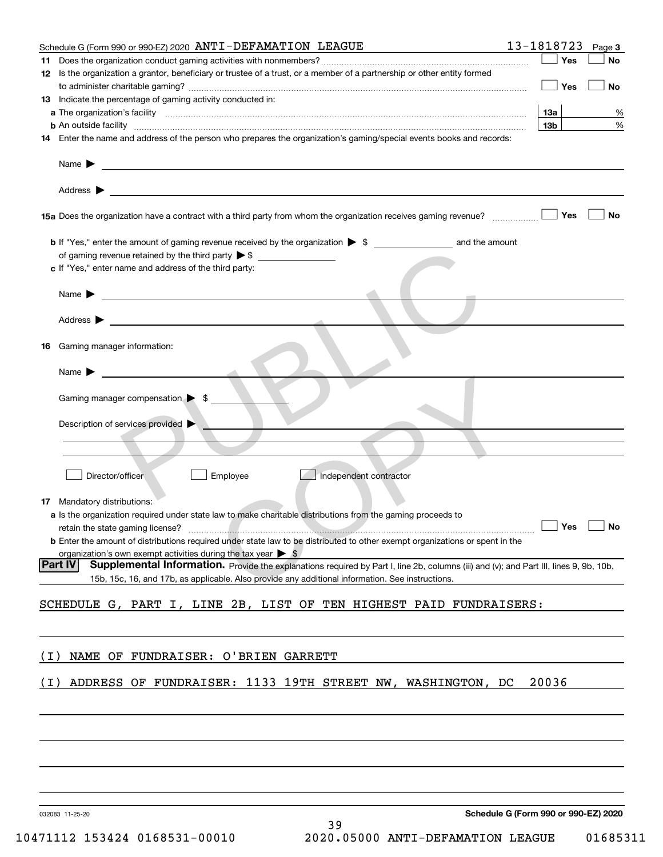| Schedule G (Form 990 or 990-EZ) 2020 ANTI-DEFAMATION LEAGUE                                                                                                                                                                               | 13-1818723<br>Page 3                 |
|-------------------------------------------------------------------------------------------------------------------------------------------------------------------------------------------------------------------------------------------|--------------------------------------|
|                                                                                                                                                                                                                                           | Yes<br><b>No</b>                     |
| 12 Is the organization a grantor, beneficiary or trustee of a trust, or a member of a partnership or other entity formed                                                                                                                  |                                      |
|                                                                                                                                                                                                                                           | Yes<br>No                            |
| 13 Indicate the percentage of gaming activity conducted in:                                                                                                                                                                               |                                      |
|                                                                                                                                                                                                                                           |                                      |
|                                                                                                                                                                                                                                           | 13а<br>%                             |
| <b>b</b> An outside facility <i>www.communicality communicality communicality communicality communicality communicality communicality communicality communicality communicality communicality communicality communicality communicali</i> | 13 <sub>b</sub><br>%                 |
| 14 Enter the name and address of the person who prepares the organization's gaming/special events books and records:                                                                                                                      |                                      |
|                                                                                                                                                                                                                                           |                                      |
| Name $\blacktriangleright$<br>and the control of the control of the control of the control of the control of the control of the control of the                                                                                            |                                      |
|                                                                                                                                                                                                                                           |                                      |
| <u> 1989 - Johann Stoff, deutscher Stoff, der Stoff, der Stoff, der Stoff, der Stoff, der Stoff, der Stoff, der S</u><br>Address $\blacktriangleright$                                                                                    |                                      |
|                                                                                                                                                                                                                                           |                                      |
| 15a Does the organization have a contract with a third party from whom the organization receives gaming revenue?                                                                                                                          | Yes<br>No                            |
|                                                                                                                                                                                                                                           |                                      |
| <b>b</b> If "Yes," enter the amount of gaming revenue received by the organization $\triangleright$ \$                                                                                                                                    |                                      |
| of gaming revenue retained by the third party $\triangleright$ \$                                                                                                                                                                         |                                      |
|                                                                                                                                                                                                                                           |                                      |
| c If "Yes," enter name and address of the third party:                                                                                                                                                                                    |                                      |
|                                                                                                                                                                                                                                           |                                      |
| Name $\blacktriangleright$                                                                                                                                                                                                                |                                      |
|                                                                                                                                                                                                                                           |                                      |
| Address $\blacktriangleright$                                                                                                                                                                                                             |                                      |
|                                                                                                                                                                                                                                           |                                      |
| Gaming manager information:<br>16                                                                                                                                                                                                         |                                      |
|                                                                                                                                                                                                                                           |                                      |
| Name $\blacktriangleright$                                                                                                                                                                                                                |                                      |
|                                                                                                                                                                                                                                           |                                      |
|                                                                                                                                                                                                                                           |                                      |
| Gaming manager compensation $\triangleright$ \$ _                                                                                                                                                                                         |                                      |
|                                                                                                                                                                                                                                           |                                      |
| Description of services provided                                                                                                                                                                                                          |                                      |
|                                                                                                                                                                                                                                           |                                      |
|                                                                                                                                                                                                                                           |                                      |
|                                                                                                                                                                                                                                           |                                      |
| Independent contractor<br>Director/officer<br>Employee                                                                                                                                                                                    |                                      |
|                                                                                                                                                                                                                                           |                                      |
| 17 Mandatory distributions:                                                                                                                                                                                                               |                                      |
| a Is the organization required under state law to make charitable distributions from the gaming proceeds to                                                                                                                               |                                      |
|                                                                                                                                                                                                                                           |                                      |
|                                                                                                                                                                                                                                           |                                      |
| <b>b</b> Enter the amount of distributions required under state law to be distributed to other exempt organizations or spent in the                                                                                                       |                                      |
| organization's own exempt activities during the tax year $\triangleright$ \$                                                                                                                                                              |                                      |
| Part IV<br>Supplemental Information. Provide the explanations required by Part I, line 2b, columns (iii) and (v); and Part III, lines 9, 9b, 10b,                                                                                         |                                      |
| 15b, 15c, 16, and 17b, as applicable. Also provide any additional information. See instructions.                                                                                                                                          |                                      |
|                                                                                                                                                                                                                                           |                                      |
| SCHEDULE G, PART I, LINE 2B, LIST OF TEN HIGHEST PAID FUNDRAISERS:                                                                                                                                                                        |                                      |
|                                                                                                                                                                                                                                           |                                      |
|                                                                                                                                                                                                                                           |                                      |
|                                                                                                                                                                                                                                           |                                      |
| NAME OF FUNDRAISER: O'BRIEN GARRETT<br>( L )                                                                                                                                                                                              |                                      |
|                                                                                                                                                                                                                                           |                                      |
|                                                                                                                                                                                                                                           |                                      |
| ADDRESS OF FUNDRAISER: 1133 19TH STREET NW, WASHINGTON, DC<br>( I )                                                                                                                                                                       | 20036                                |
|                                                                                                                                                                                                                                           |                                      |
|                                                                                                                                                                                                                                           |                                      |
|                                                                                                                                                                                                                                           |                                      |
|                                                                                                                                                                                                                                           |                                      |
|                                                                                                                                                                                                                                           |                                      |
|                                                                                                                                                                                                                                           |                                      |
|                                                                                                                                                                                                                                           |                                      |
|                                                                                                                                                                                                                                           |                                      |
|                                                                                                                                                                                                                                           |                                      |
|                                                                                                                                                                                                                                           | Schedule G (Form 990 or 990-F7) 2020 |

032083 11-25-20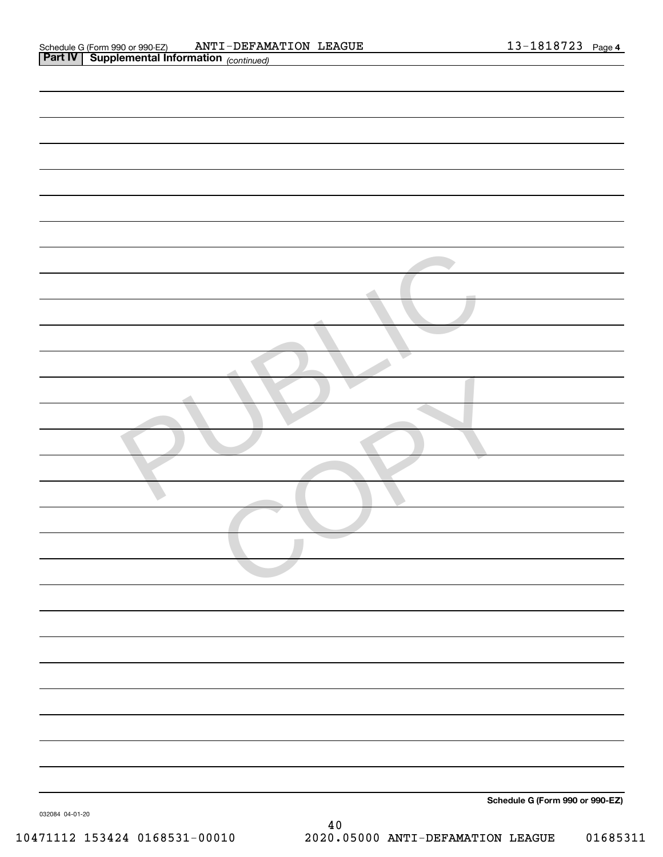| Schedule G (Form 990 or 990-EZ)<br>032084 04-01-20 |
|----------------------------------------------------|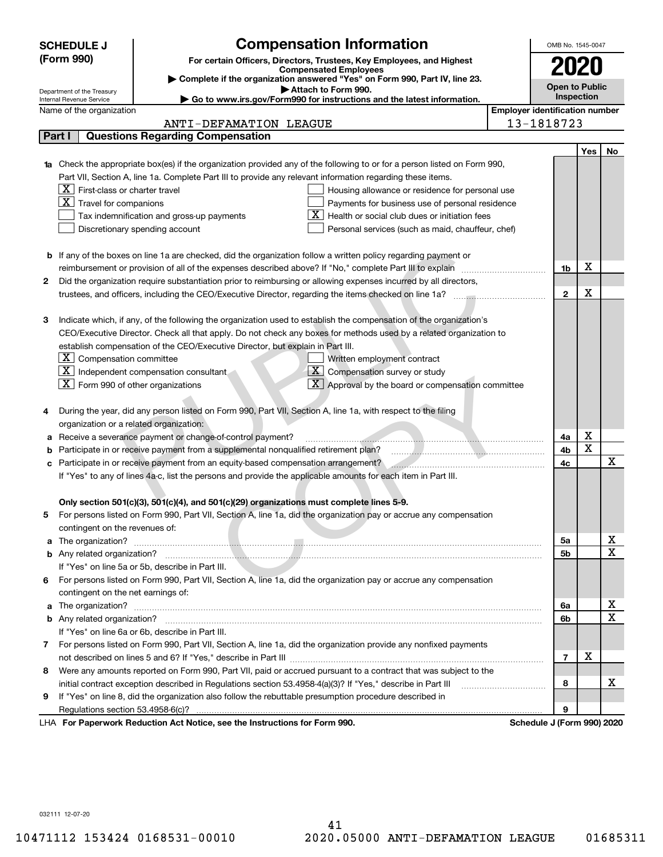|    | <b>SCHEDULE J</b>                                      | <b>Compensation Information</b>                                                                                        |                                       | OMB No. 1545-0047          |     |             |  |  |
|----|--------------------------------------------------------|------------------------------------------------------------------------------------------------------------------------|---------------------------------------|----------------------------|-----|-------------|--|--|
|    | (Form 990)                                             |                                                                                                                        |                                       |                            |     |             |  |  |
|    |                                                        | For certain Officers, Directors, Trustees, Key Employees, and Highest<br><b>Compensated Employees</b>                  |                                       | 2020                       |     |             |  |  |
|    |                                                        | Complete if the organization answered "Yes" on Form 990, Part IV, line 23.<br>Attach to Form 990.                      |                                       | <b>Open to Public</b>      |     |             |  |  |
|    | Department of the Treasury<br>Internal Revenue Service | Go to www.irs.gov/Form990 for instructions and the latest information.                                                 |                                       | Inspection                 |     |             |  |  |
|    | Name of the organization                               |                                                                                                                        | <b>Employer identification number</b> |                            |     |             |  |  |
|    |                                                        | ANTI-DEFAMATION LEAGUE                                                                                                 |                                       | 13-1818723                 |     |             |  |  |
|    | Part I                                                 | <b>Questions Regarding Compensation</b>                                                                                |                                       |                            |     |             |  |  |
|    |                                                        |                                                                                                                        |                                       |                            | Yes | No          |  |  |
|    |                                                        | Check the appropriate box(es) if the organization provided any of the following to or for a person listed on Form 990, |                                       |                            |     |             |  |  |
|    |                                                        | Part VII, Section A, line 1a. Complete Part III to provide any relevant information regarding these items.             |                                       |                            |     |             |  |  |
|    | $X$ First-class or charter travel                      | Housing allowance or residence for personal use                                                                        |                                       |                            |     |             |  |  |
|    | $\boxed{\textbf{X}}$ Travel for companions             | Payments for business use of personal residence                                                                        |                                       |                            |     |             |  |  |
|    |                                                        | Health or social club dues or initiation fees<br>Tax indemnification and gross-up payments                             |                                       |                            |     |             |  |  |
|    |                                                        | Discretionary spending account<br>Personal services (such as maid, chauffeur, chef)                                    |                                       |                            |     |             |  |  |
|    |                                                        |                                                                                                                        |                                       |                            |     |             |  |  |
|    |                                                        | <b>b</b> If any of the boxes on line 1a are checked, did the organization follow a written policy regarding payment or |                                       |                            |     |             |  |  |
|    |                                                        | reimbursement or provision of all of the expenses described above? If "No," complete Part III to explain               |                                       | 1b                         | x   |             |  |  |
| 2  |                                                        | Did the organization require substantiation prior to reimbursing or allowing expenses incurred by all directors,       |                                       |                            |     |             |  |  |
|    |                                                        |                                                                                                                        |                                       | $\mathbf{2}$               | x   |             |  |  |
|    |                                                        |                                                                                                                        |                                       |                            |     |             |  |  |
| з  |                                                        | Indicate which, if any, of the following the organization used to establish the compensation of the organization's     |                                       |                            |     |             |  |  |
|    |                                                        | CEO/Executive Director. Check all that apply. Do not check any boxes for methods used by a related organization to     |                                       |                            |     |             |  |  |
|    |                                                        | establish compensation of the CEO/Executive Director, but explain in Part III.                                         |                                       |                            |     |             |  |  |
|    | $\lfloor \texttt{X} \rfloor$ Compensation committee    | Written employment contract                                                                                            |                                       |                            |     |             |  |  |
|    |                                                        | $\overline{\mathbf{X}}$ Compensation survey or study<br>$\boxed{\text{X}}$ Independent compensation consultant         |                                       |                            |     |             |  |  |
|    | $\boxed{\text{X}}$ Form 990 of other organizations     | $\overline{X}$ Approval by the board or compensation committee                                                         |                                       |                            |     |             |  |  |
|    |                                                        |                                                                                                                        |                                       |                            |     |             |  |  |
| 4  |                                                        | During the year, did any person listed on Form 990, Part VII, Section A, line 1a, with respect to the filing           |                                       |                            |     |             |  |  |
|    | organization or a related organization:                |                                                                                                                        |                                       |                            |     |             |  |  |
| а  |                                                        | Receive a severance payment or change-of-control payment?                                                              |                                       | 4a                         | х   |             |  |  |
| b  |                                                        | Participate in or receive payment from a supplemental nonqualified retirement plan?                                    |                                       | 4b                         | X   |             |  |  |
| c  |                                                        | Participate in or receive payment from an equity-based compensation arrangement?                                       |                                       | 4c                         |     | x           |  |  |
|    |                                                        | If "Yes" to any of lines 4a-c, list the persons and provide the applicable amounts for each item in Part III.          |                                       |                            |     |             |  |  |
|    |                                                        |                                                                                                                        |                                       |                            |     |             |  |  |
|    |                                                        | Only section 501(c)(3), 501(c)(4), and 501(c)(29) organizations must complete lines 5-9.                               |                                       |                            |     |             |  |  |
| 5  |                                                        | For persons listed on Form 990, Part VII, Section A, line 1a, did the organization pay or accrue any compensation      |                                       |                            |     |             |  |  |
|    | contingent on the revenues of:                         |                                                                                                                        |                                       |                            |     |             |  |  |
| a  |                                                        |                                                                                                                        |                                       | 5а                         |     | x           |  |  |
|    |                                                        |                                                                                                                        |                                       | <b>5b</b>                  |     | X           |  |  |
|    |                                                        | If "Yes" on line 5a or 5b, describe in Part III.                                                                       |                                       |                            |     |             |  |  |
| 6. |                                                        | For persons listed on Form 990, Part VII, Section A, line 1a, did the organization pay or accrue any compensation      |                                       |                            |     |             |  |  |
|    | contingent on the net earnings of:                     |                                                                                                                        |                                       |                            |     |             |  |  |
| a  |                                                        |                                                                                                                        |                                       | 6a                         |     | х           |  |  |
|    |                                                        |                                                                                                                        |                                       | 6b                         |     | $\mathbf x$ |  |  |
|    |                                                        | If "Yes" on line 6a or 6b, describe in Part III.                                                                       |                                       |                            |     |             |  |  |
|    |                                                        | 7 For persons listed on Form 990, Part VII, Section A, line 1a, did the organization provide any nonfixed payments     |                                       |                            |     |             |  |  |
|    |                                                        |                                                                                                                        |                                       | $\overline{7}$             | х   |             |  |  |
| 8  |                                                        | Were any amounts reported on Form 990, Part VII, paid or accrued pursuant to a contract that was subject to the        |                                       |                            |     |             |  |  |
|    |                                                        | initial contract exception described in Regulations section 53.4958-4(a)(3)? If "Yes," describe in Part III            |                                       | 8                          |     | х           |  |  |
| 9  |                                                        | If "Yes" on line 8, did the organization also follow the rebuttable presumption procedure described in                 |                                       |                            |     |             |  |  |
|    | Regulations section 53.4958-6(c)?                      |                                                                                                                        |                                       | 9                          |     |             |  |  |
|    |                                                        | LHA For Paperwork Reduction Act Notice, see the Instructions for Form 990.                                             |                                       | Schedule J (Form 990) 2020 |     |             |  |  |

032111 12-07-20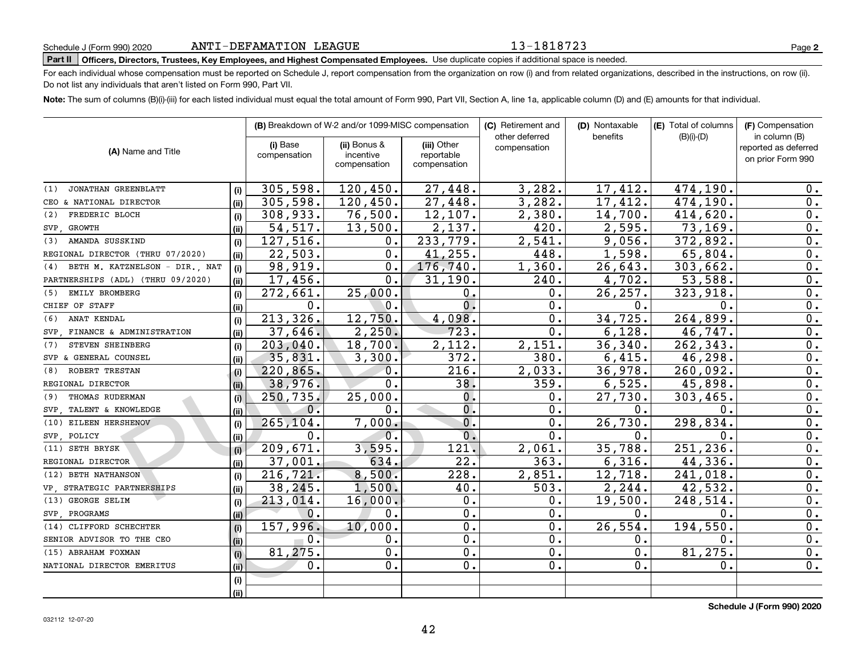#### 13-1818723

# **Part II Officers, Directors, Trustees, Key Employees, and Highest Compensated Employees.**  Schedule J (Form 990) 2020 Page Use duplicate copies if additional space is needed.

For each individual whose compensation must be reported on Schedule J, report compensation from the organization on row (i) and from related organizations, described in the instructions, on row (ii). Do not list any individuals that aren't listed on Form 990, Part VII.

**Note:**  The sum of columns (B)(i)-(iii) for each listed individual must equal the total amount of Form 990, Part VII, Section A, line 1a, applicable column (D) and (E) amounts for that individual.

|                                       |      |                          | (B) Breakdown of W-2 and/or 1099-MISC compensation |                                           | (C) Retirement and             | (D) Nontaxable | (E) Total of columns | (F) Compensation<br>in column (B)         |  |  |
|---------------------------------------|------|--------------------------|----------------------------------------------------|-------------------------------------------|--------------------------------|----------------|----------------------|-------------------------------------------|--|--|
| (A) Name and Title                    |      | (i) Base<br>compensation | (ii) Bonus &<br>incentive<br>compensation          | (iii) Other<br>reportable<br>compensation | other deferred<br>compensation | benefits       | $(B)(i)-(D)$         | reported as deferred<br>on prior Form 990 |  |  |
| JONATHAN GREENBLATT<br>(1)            | (i)  | 305,598.                 | 120,450.                                           | 27,448.                                   | 3,282.                         | 17,412.        | 474,190.             | 0.                                        |  |  |
| CEO & NATIONAL DIRECTOR               | (ii) | 305,598.                 | 120,450.                                           | 27,448.                                   | 3,282.                         | 17,412.        | 474,190.             | 0.                                        |  |  |
| FREDERIC BLOCH<br>(2)                 | (i)  | 308,933.                 | 76,500.                                            | 12,107.                                   | 2,380.                         | 14,700.        | 414,620.             | 0.                                        |  |  |
| SVP GROWTH                            | (ii) | $\overline{54,517}$ .    | 13,500.                                            | 2,137.                                    | 420.                           | 2,595.         | 73, 169.             | $\overline{0}$ .                          |  |  |
| AMANDA SUSSKIND<br>(3)                | (i)  | 127,516.                 | 0.                                                 | 233,779.                                  | 2,541.                         | 9,056.         | 372,892.             | $\overline{0}$ .                          |  |  |
| REGIONAL DIRECTOR (THRU 07/2020)      | (ii) | 22,503.                  | 0.                                                 | 41, 255.                                  | 448.                           | 1,598.         | 65,804.              | 0.                                        |  |  |
| BETH M. KATZNELSON - DIR., NAT<br>(4) | (i)  | 98,919.                  | 0.                                                 | 176,740.                                  | 1,360.                         | 26,643.        | 303,662.             | 0.                                        |  |  |
| PARTNERSHIPS (ADL) (THRU 09/2020)     | (ii) | 17,456.                  | 0.                                                 | 31,190.                                   | 240.                           | 4,702.         | 53,588.              | 0.                                        |  |  |
| EMILY BROMBERG<br>(5)                 | (i)  | 272,661.                 | 25,000.                                            | $\mathbf{0}$ .                            | 0.                             | 26, 257.       | 323,918.             | 0.                                        |  |  |
| CHIEF OF STAFF                        | (ii) | 0.                       | 0.                                                 | $\overline{0}$ .                          | 0.                             | 0.             | $\mathbf{0}$ .       | 0.                                        |  |  |
| ANAT KENDAL<br>(6)                    | (i)  | 213,326.                 | 12,750.                                            | 4,098.                                    | 0.                             | 34,725.        | 264,899.             | $\overline{0}$ .                          |  |  |
| SVP FINANCE & ADMINISTRATION          | (ii) | 37,646.                  | 2,250.                                             | 723.                                      | 0.                             | 6,128.         | 46,747.              | $\overline{0}$ .                          |  |  |
| STEVEN SHEINBERG<br>(7)               | (i)  | 203,040.                 | 18,700.                                            | 2,112.                                    | 2,151.                         | 36, 340.       | 262, 343.            | $\overline{0}$ .                          |  |  |
| SVP & GENERAL COUNSEL                 | (ii) | 35,831.                  | 3,300.                                             | 372.                                      | 380.                           | 6,415.         | 46,298.              | $\overline{0}$ .                          |  |  |
| ROBERT TRESTAN<br>(8)                 | (i)  | 220,865.                 | $\mathbf 0$ .                                      | 216.                                      | 2,033.                         | 36,978.        | 260,092.             | $\overline{0}$ .                          |  |  |
| REGIONAL DIRECTOR                     | (ii) | 38,976.                  | 0.                                                 | 38.                                       | 359.                           | 6,525.         | 45,898.              | 0.                                        |  |  |
| THOMAS RUDERMAN<br>(9)                | (i)  | 250,735.                 | 25,000.                                            | $0$ .                                     | 0.                             | 27,730.        | 303,465.             | 0.                                        |  |  |
| SVP TALENT & KNOWLEDGE                | (ii) | 0.                       | $\mathbf 0$ .                                      | 0.                                        | 0.                             | 0.             | $\mathbf{0}$ .       | 0.                                        |  |  |
| (10) EILEEN HERSHENOV                 | (i)  | 265,104.                 | 7,000.                                             | $\overline{0}$ .                          | 0.                             | 26,730.        | 298,834.             | $\overline{0}$ .                          |  |  |
| SVP POLICY                            | (ii) | 0.                       | $\mathbf 0$ .                                      | $\overline{0}$ .                          | 0.                             | 0.             | $\mathbf{0}$ .       | 0.                                        |  |  |
| (11) SETH BRYSK                       | (i)  | 209,671.                 | 3,595.                                             | 121.                                      | 2,061.                         | 35,788.        | 251,236.             | 0.                                        |  |  |
| REGIONAL DIRECTOR                     | (ii) | 37,001.                  | 634.                                               | 22.                                       | 363.                           | 6,316.         | 44,336.              | 0.                                        |  |  |
| (12) BETH NATHANSON                   | (i)  | 216, 721.                | 8,500.                                             | 228.                                      | 2,851.                         | 12,718.        | 241,018.             | 0.                                        |  |  |
| VP, STRATEGIC PARTNERSHIPS            | (ii) | 38,245.                  | 1,500.                                             | 40.                                       | 503.                           | 2, 244.        | 42,532.              | 0.                                        |  |  |
| (13) GEORGE SELIM                     | (i)  | 213,014.                 | 16,000.                                            | 0.                                        | 0.                             | 19,500.        | 248,514.             | 0.                                        |  |  |
| SVP PROGRAMS                          | (ii) | 0.                       | 0.                                                 | $\overline{0}$ .                          | 0.                             | 0.             | $\mathbf{0}$ .       | 0.                                        |  |  |
| (14) CLIFFORD SCHECHTER               | (i)  | 157,996.                 | 10,000.                                            | $\overline{0}$ .                          | 0.                             | 26,554.        | 194,550.             | 0.                                        |  |  |
| SENIOR ADVISOR TO THE CEO             | (ii) | 0.                       | 0.                                                 | $\overline{0}$ .                          | 0.                             | 0.             | $\mathbf 0$ .        | 0.                                        |  |  |
| (15) ABRAHAM FOXMAN                   | (i)  | 81,275.                  | 0.                                                 | $\overline{0}$ .                          | 0.                             | $\mathbf 0$ .  | 81, 275.             | 0.                                        |  |  |
| NATIONAL DIRECTOR EMERITUS            | (ii) | 0.                       | 0.                                                 | 0.                                        | 0.                             | $\mathbf 0$ .  | $\mathbf 0$ .        | 0.                                        |  |  |
|                                       | (i)  |                          |                                                    |                                           |                                |                |                      |                                           |  |  |
|                                       | (ii) |                          |                                                    |                                           |                                |                |                      |                                           |  |  |

**Schedule J (Form 990) 2020**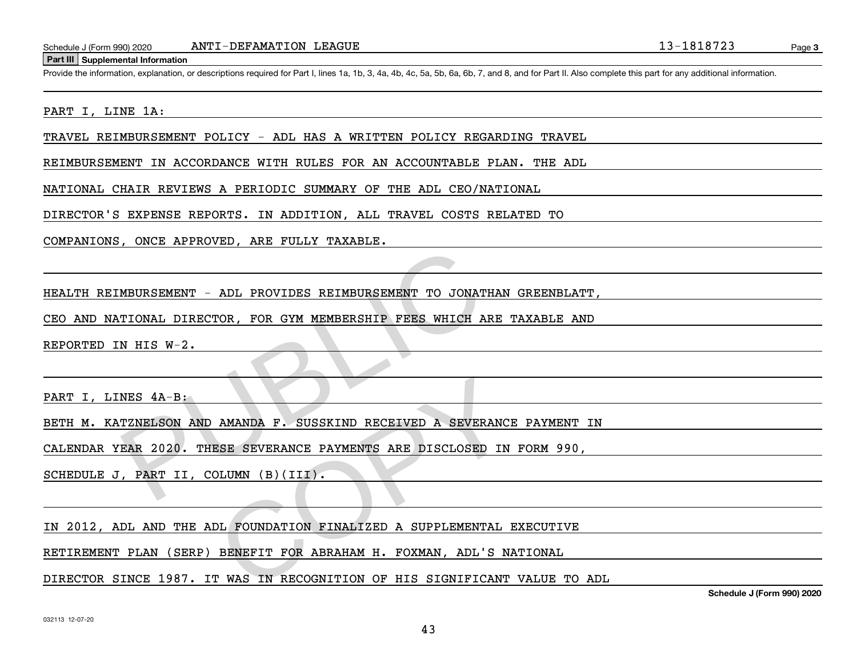#### **Part III Supplemental Information**

Schedule J (Form 990) 2020 ANTI – DEFAMATION LEAGUE<br>Part III Supplemental Information<br>Provide the information, explanation, or descriptions required for Part I, lines 1a, 1b, 3, 4a, 4b, 4c, 5a, 5b, 6a, 6b, 7, and 8, and fo

#### PART I, LINE 1A:

TRAVEL REIMBURSEMENT POLICY - ADL HAS A WRITTEN POLICY REGARDING TRAVEL

REIMBURSEMENT IN ACCORDANCE WITH RULES FOR AN ACCOUNTABLE PLAN. THE ADL

NATIONAL CHAIR REVIEWS A PERIODIC SUMMARY OF THE ADL CEO/NATIONAL

DIRECTOR'S EXPENSE REPORTS. IN ADDITION, ALL TRAVEL COSTS RELATED TO

COMPANIONS, ONCE APPROVED, ARE FULLY TAXABLE.

HEALTH REIMBURSEMENT - ADL PROVIDES REIMBURSEMENT TO JONATHAN GREENBLATT,

CEO AND NATIONAL DIRECTOR, FOR GYM MEMBERSHIP FEES WHICH ARE TAXABLE AND

REPORTED IN HIS W-2.

PART I, LINES  $4A-B$ :

BETH M. KATZNELSON AND AMANDA F. SUSSKIND RECEIVED A SEVERANCE PAYMENT IN

CALENDAR YEAR 2020. THESE SEVERANCE PAYMENTS ARE DISCLOSED IN FORM 990, MBURSEMENT - ADL PROVIDES REIMBURSEMENT TO JONATHATIONAL DIRECTOR, FOR GYM MEMBERSHIP FEES WHICH ARE<br>N HIS W-2.<br>NES 4A-B:<br>TZNELSON AND AMANDA F. SUSSKIND RECEIVED A SEVERANEAR 2020. THESE SEVERANCE PAYMENTS ARE DISCLOSED 1 AMANDA F. SUSSKIND RECEIVED A SEVERANCI<br>ESE SEVERANCE PAYMENTS ARE DISCLOSED IN<br>OLUMN (B)(III).<br>DL FOUNDATION FINALIZED A SUPPLEMENTAL DENEFIT FOR ABRAHAM H. FOXMAN, ADL'S NAT<br>T WAS IN RECOGNITION OF HIS SIGNIFICANT

SCHEDULE J, PART II, COLUMN (B)(III).

IN 2012, ADL AND THE ADL FOUNDATION FINALIZED A SUPPLEMENTAL EXECUTIVE

RETIREMENT PLAN (SERP) BENEFIT FOR ABRAHAM H. FOXMAN, ADL'S NATIONAL

DIRECTOR SINCE 1987. IT WAS IN RECOGNITION OF HIS SIGNIFICANT VALUE TO ADL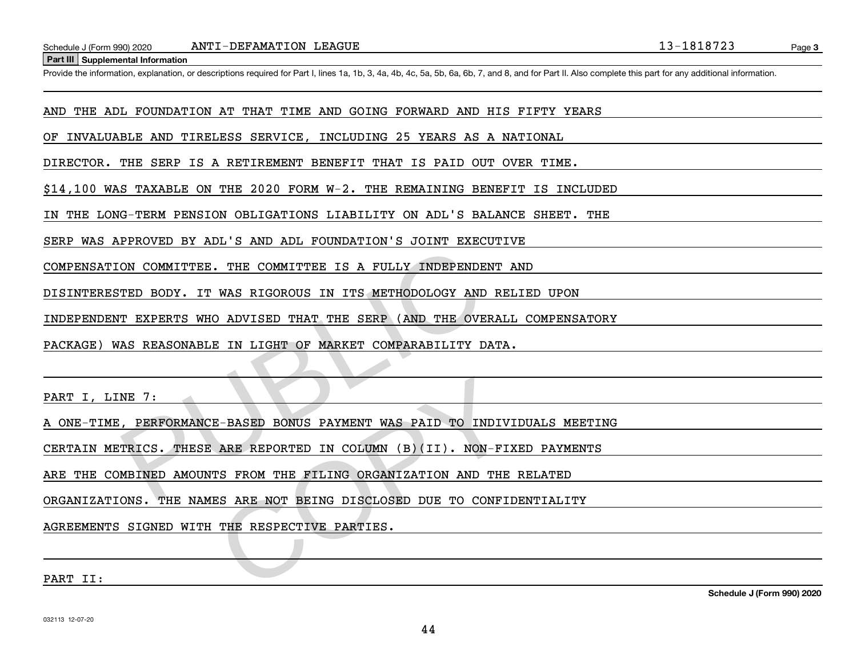**Part III Supplemental Information**

Schedule J (Form 990) 2020 ANTI – DEFAMATION LEAGUE<br>Part III Supplemental Information<br>Provide the information, explanation, or descriptions required for Part I, lines 1a, 1b, 3, 4a, 4b, 4c, 5a, 5b, 6a, 6b, 7, and 8, and fo

AND THE ADL FOUNDATION AT THAT TIME AND GOING FORWARD AND HIS FIFTY YEARS

OF INVALUABLE AND TIRELESS SERVICE, INCLUDING 25 YEARS AS A NATIONAL

DIRECTOR. THE SERP IS A RETIREMENT BENEFIT THAT IS PAID OUT OVER TIME.

\$14,100 WAS TAXABLE ON THE 2020 FORM W-2. THE REMAINING BENEFIT IS INCLUDED

IN THE LONG-TERM PENSION OBLIGATIONS LIABILITY ON ADL'S BALANCE SHEET. THE

SERP WAS APPROVED BY ADL'S AND ADL FOUNDATION'S JOINT EXECUTIVE

COMPENSATION COMMITTEE. THE COMMITTEE IS A FULLY INDEPENDENT AND

DISINTERESTED BODY. IT WAS RIGOROUS IN ITS METHODOLOGY AND RELIED UPON

INDEPENDENT EXPERTS WHO ADVISED THAT THE SERP (AND THE OVERALL COMPENSATORY

PACKAGE) WAS REASONABLE IN LIGHT OF MARKET COMPARABILITY DATA. ON COMMITTEE. THE COMMITTEE IS A FULLY INDEPENDENT<br>TED BODY. IT WAS RIGOROUS IN ITS METHODOLOGY AND F<br>T EXPERTS WHO ADVISED THAT THE SERP (AND THE OVERF<br>AS REASONABLE IN LIGHT OF MARKET COMPARABILITY DAT<br>NE 7:<br>PERFORMANCE-

PART I, LINE 7:

A ONE-TIME, PERFORMANCE-BASED BONUS PAYMENT WAS PAID TO INDIVIDUALS MEETING

CERTAIN METRICS. THESE ARE REPORTED IN COLUMN (B)(II). NON-FIXED PAYMENTS E-BASED BONUS PAYMENT WAS PAID TO INDIVITE<br>ARE REPORTED IN COLUMN (B)(II). NON-FIITS FROM THE FILING ORGANIZATION AND THE<br>ES ARE NOT BEING DISCLOSED DUE TO CONFIITHE RESPECTIVE PARTIES.

ARE THE COMBINED AMOUNTS FROM THE FILING ORGANIZATION AND THE RELATED

ORGANIZATIONS. THE NAMES ARE NOT BEING DISCLOSED DUE TO CONFIDENTIALITY

AGREEMENTS SIGNED WITH THE RESPECTIVE PARTIES.

PART II:

**Schedule J (Form 990) 2020**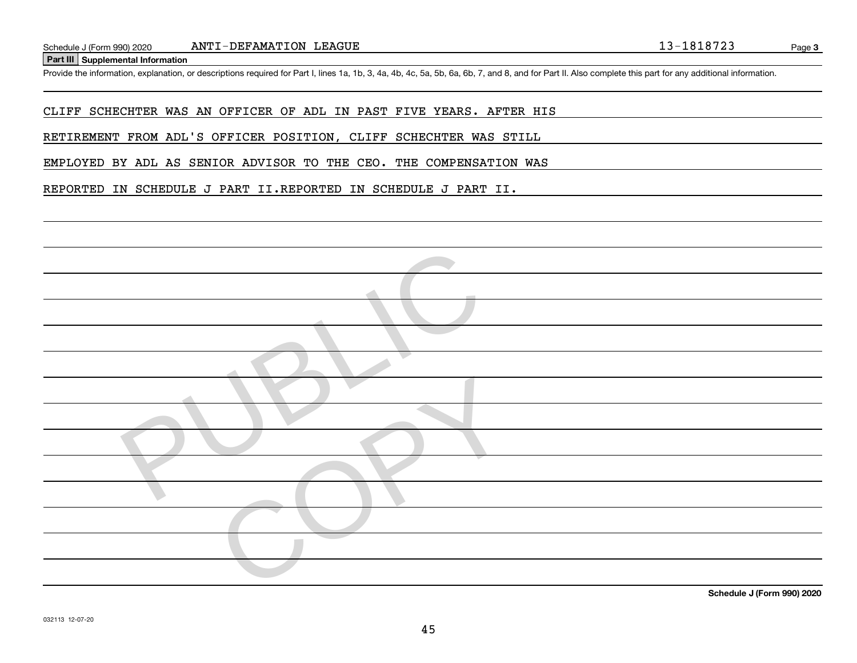**Part III Supplemental Information**

Schedule J (Form 990) 2020 ANTI – DEFAMATION LEAGUE<br>Part III Supplemental Information<br>Provide the information, explanation, or descriptions required for Part I, lines 1a, 1b, 3, 4a, 4b, 4c, 5a, 5b, 6a, 6b, 7, and 8, and fo

CLIFF SCHECHTER WAS AN OFFICER OF ADL IN PAST FIVE YEARS. AFTER HIS

RETIREMENT FROM ADL'S OFFICER POSITION, CLIFF SCHECHTER WAS STILL

EMPLOYED BY ADL AS SENIOR ADVISOR TO THE CEO. THE COMPENSATION WAS

REPORTED IN SCHEDULE J PART II.REPORTED IN SCHEDULE J PART II.

| $\sim$ $\sim$ $\sim$ $\sim$ $\sim$ $\sim$<br>0.001000 |
|-------------------------------------------------------|

**Schedule J (Form 990) 2020**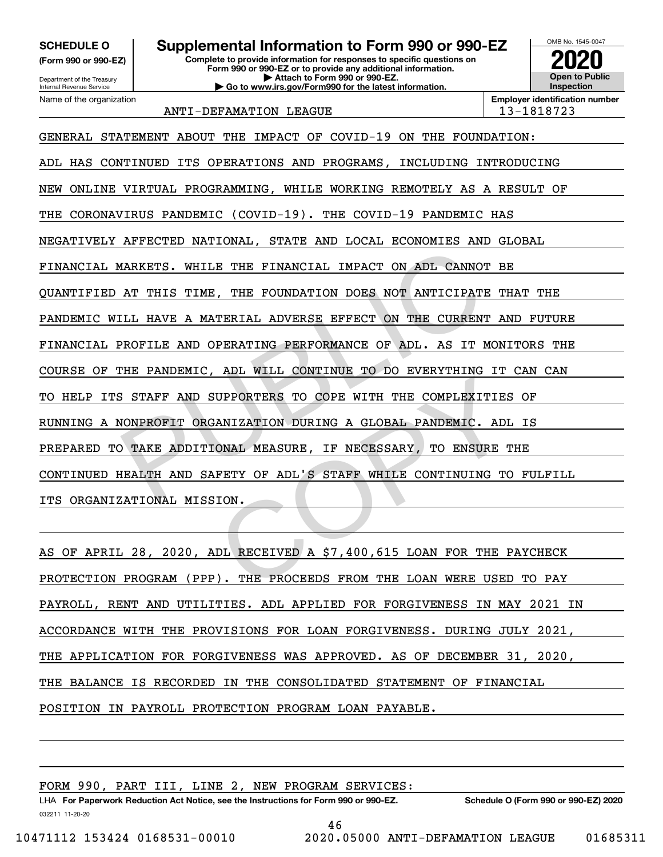**(Form 990 or 990-EZ)**

Department of the Treasury Internal Revenue Service Name of the organization

# **SCHEDULE O Supplemental Information to Form 990 or 990-EZ**

**Complete to provide information for responses to specific questions on Form 990 or 990-EZ or to provide any additional information. | Attach to Form 990 or 990-EZ. | Go to www.irs.gov/Form990 for the latest information.**



ANTI-DEFAMATION LEAGUE 13-1818723

GENERAL STATEMENT ABOUT THE IMPACT OF COVID-19 ON THE FOUNDATION: ADL HAS CONTINUED ITS OPERATIONS AND PROGRAMS, INCLUDING INTRODUCING NEW ONLINE VIRTUAL PROGRAMMING, WHILE WORKING REMOTELY AS A RESULT OF THE CORONAVIRUS PANDEMIC (COVID-19). THE COVID-19 PANDEMIC HAS NEGATIVELY AFFECTED NATIONAL, STATE AND LOCAL ECONOMIES AND GLOBAL FINANCIAL MARKETS. WHILE THE FINANCIAL IMPACT ON ADL CANNOT BE QUANTIFIED AT THIS TIME, THE FOUNDATION DOES NOT ANTICIPATE THAT THE PANDEMIC WILL HAVE A MATERIAL ADVERSE EFFECT ON THE CURRENT AND FUTURE FINANCIAL PROFILE AND OPERATING PERFORMANCE OF ADL. AS IT MONITORS THE COURSE OF THE PANDEMIC, ADL WILL CONTINUE TO DO EVERYTHING IT CAN CAN TO HELP ITS STAFF AND SUPPORTERS TO COPE WITH THE COMPLEXITIES OF RUNNING A NONPROFIT ORGANIZATION DURING A GLOBAL PANDEMIC. ADL IS PREPARED TO TAKE ADDITIONAL MEASURE, IF NECESSARY, TO ENSURE THE CONTINUED HEALTH AND SAFETY OF ADL'S STAFF WHILE CONTINUING TO FULFILL ITS ORGANIZATIONAL MISSION. MARKETS. WHILE THE FINANCIAL IMPACT ON ADL CANNOT<br>AT THIS TIME, THE FOUNDATION DOES NOT ANTICIPATE<br>ILL HAVE A MATERIAL ADVERSE EFFECT ON THE CURRENT<br>PROFILE AND OPERATING PERFORMANCE OF ADL. AS IT MO<br>THE PANDEMIC, ADL WILL EXPRONTERS TO COPE WITH THE COMPLEXITIES<br>EXAMIZATION DURING A GLOBAL PANDEMIC. ADL<br>CONAL MEASURE, IF NECESSARY, TO ENSURE THETY OF ADL'S STAFF WHILE CONTINUING TO<br>SION.<br>DL RECEIVED A \$7,400,615 LOAN FOR THE P<br>P). THE PROCE

AS OF APRIL 28, 2020, ADL RECEIVED A \$7,400,615 LOAN FOR THE PAYCHECK PROTECTION PROGRAM (PPP). THE PROCEEDS FROM THE LOAN WERE USED TO PAY PAYROLL, RENT AND UTILITIES. ADL APPLIED FOR FORGIVENESS IN MAY 2021 IN ACCORDANCE WITH THE PROVISIONS FOR LOAN FORGIVENESS. DURING JULY 2021, THE APPLICATION FOR FORGIVENESS WAS APPROVED. AS OF DECEMBER 31, 2020, THE BALANCE IS RECORDED IN THE CONSOLIDATED STATEMENT OF FINANCIAL POSITION IN PAYROLL PROTECTION PROGRAM LOAN PAYABLE.

FORM 990, PART III, LINE 2, NEW PROGRAM SERVICES: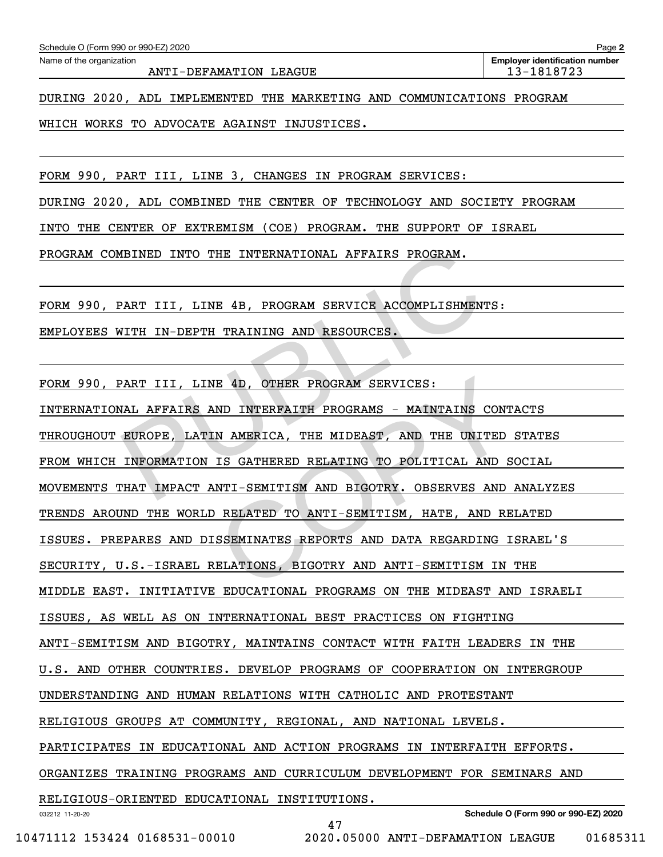| Schedule O (Form 990 or 990-EZ) 2020                                   | Page 2                                              |
|------------------------------------------------------------------------|-----------------------------------------------------|
| Name of the organization<br>ANTI-DEFAMATION LEAGUE                     | <b>Employer identification number</b><br>13-1818723 |
|                                                                        |                                                     |
| DURING 2020, ADL IMPLEMENTED THE MARKETING AND COMMUNICATIONS PROGRAM  |                                                     |
| WHICH WORKS TO ADVOCATE AGAINST INJUSTICES.                            |                                                     |
|                                                                        |                                                     |
| FORM 990, PART III, LINE 3, CHANGES IN PROGRAM SERVICES:               |                                                     |
| DURING 2020, ADL COMBINED THE CENTER OF TECHNOLOGY AND SOCIETY PROGRAM |                                                     |

INTO THE CENTER OF EXTREMISM (COE) PROGRAM. THE SUPPORT OF ISRAEL

PROGRAM COMBINED INTO THE INTERNATIONAL AFFAIRS PROGRAM.

FORM 990, PART III, LINE 4B, PROGRAM SERVICE ACCOMPLISHMENTS:

EMPLOYEES WITH IN-DEPTH TRAINING AND RESOURCES.

FORM 990, PART III, LINE 4D, OTHER PROGRAM SERVICES:

032212 11-20-20 **Schedule O (Form 990 or 990-EZ) 2020** INTERNATIONAL AFFAIRS AND INTERFAITH PROGRAMS - MAINTAINS CONTACTS THROUGHOUT EUROPE, LATIN AMERICA, THE MIDEAST, AND THE UNITED STATES FROM WHICH INFORMATION IS GATHERED RELATING TO POLITICAL AND SOCIAL MOVEMENTS THAT IMPACT ANTI-SEMITISM AND BIGOTRY. OBSERVES AND ANALYZES TRENDS AROUND THE WORLD RELATED TO ANTI-SEMITISM, HATE, AND RELATED ISSUES. PREPARES AND DISSEMINATES REPORTS AND DATA REGARDING ISRAEL'S SECURITY, U.S.-ISRAEL RELATIONS, BIGOTRY AND ANTI-SEMITISM IN THE MIDDLE EAST. INITIATIVE EDUCATIONAL PROGRAMS ON THE MIDEAST AND ISRAELI ISSUES, AS WELL AS ON INTERNATIONAL BEST PRACTICES ON FIGHTING ANTI-SEMITISM AND BIGOTRY, MAINTAINS CONTACT WITH FAITH LEADERS IN THE U.S. AND OTHER COUNTRIES. DEVELOP PROGRAMS OF COOPERATION ON INTERGROUP UNDERSTANDING AND HUMAN RELATIONS WITH CATHOLIC AND PROTESTANT RELIGIOUS GROUPS AT COMMUNITY, REGIONAL, AND NATIONAL LEVELS. PARTICIPATES IN EDUCATIONAL AND ACTION PROGRAMS IN INTERFAITH EFFORTS. ORGANIZES TRAINING PROGRAMS AND CURRICULUM DEVELOPMENT FOR SEMINARS AND RELIGIOUS-ORIENTED EDUCATIONAL INSTITUTIONS. WEINED INTO THE INTERNATIONAL AFFAIRS PROGRAM.<br>PART III, LINE 4B, PROGRAM SERVICE ACCOMPLISHMENTS<br>VITH IN-DEPTH TRAINING AND RESOURCES.<br>PART III, LINE 4D, OTHER PROGRAM SERVICES:<br>NAL AFFAIRS AND INTERFAITH PROGRAMS - MAINT E 4D, OTHER PROGRAM SERVICES:<br>
ND INTERFAITH PROGRAMS - MAINTAINS CONT<br>
N AMERICA, THE MIDEAST, AND THE UNITED<br>
IS GATHERED RELATING TO POLITICAL AND S<br>
NTI-SEMITISM AND BIGOTRY. OBSERVES AND<br>
RELATED TO ANTI-SEMITISM, HAT

47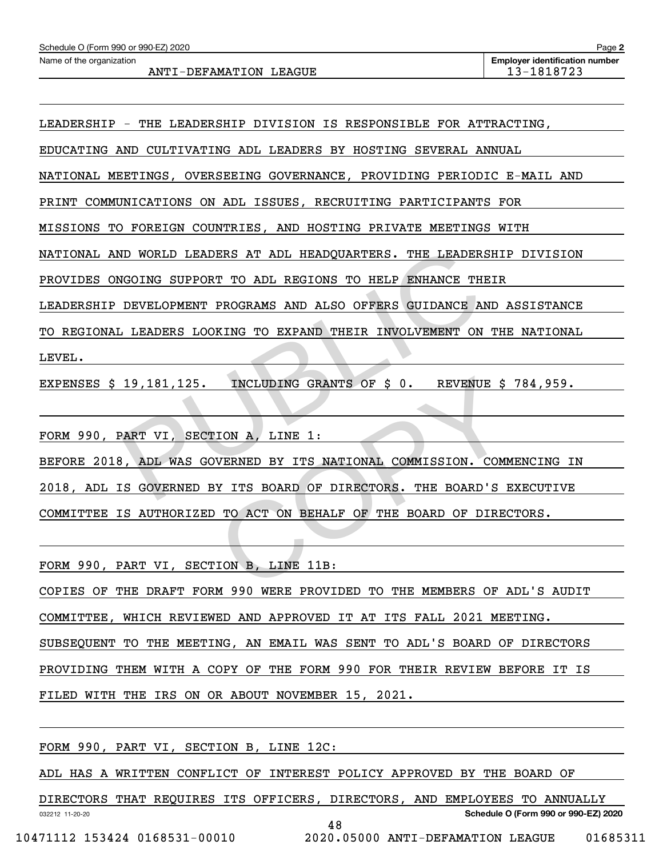LEADERSHIP - THE LEADERSHIP DIVISION IS RESPONSIBLE FOR ATTRACTING,

EDUCATING AND CULTIVATING ADL LEADERS BY HOSTING SEVERAL ANNUAL

NATIONAL MEETINGS, OVERSEEING GOVERNANCE, PROVIDING PERIODIC E-MAIL AND

PRINT COMMUNICATIONS ON ADL ISSUES, RECRUITING PARTICIPANTS FOR

MISSIONS TO FOREIGN COUNTRIES, AND HOSTING PRIVATE MEETINGS WITH

NATIONAL AND WORLD LEADERS AT ADL HEADQUARTERS. THE LEADERSHIP DIVISION

PROVIDES ONGOING SUPPORT TO ADL REGIONS TO HELP ENHANCE THEIR

LEADERSHIP DEVELOPMENT PROGRAMS AND ALSO OFFERS GUIDANCE AND ASSISTANCE

TO REGIONAL LEADERS LOOKING TO EXPAND THEIR INVOLVEMENT ON THE NATIONAL

```
LEVEL.
```
EXPENSES \$ 19,181,125. INCLUDING GRANTS OF \$ 0. REVENUE \$ 784,959.

FORM 990, PART VI, SECTION A, LINE 1:

BEFORE 2018, ADL WAS GOVERNED BY ITS NATIONAL COMMISSION. COMMENCING IN 2018, ADL IS GOVERNED BY ITS BOARD OF DIRECTORS. THE BOARD'S EXECUTIVE COMMITTEE IS AUTHORIZED TO ACT ON BEHALF OF THE BOARD OF DIRECTORS. ND WORLD LEADERS AT ADL HEADQUARTERS. THE LEADERSH<br>
NGOING SUPPORT TO ADL REGIONS TO HELP ENHANCE THEI<br>
DEVELOPMENT PROGRAMS AND ALSO OFFERS GUIDANCE AND<br>
LEADERS LOOKING TO EXPAND THEIR INVOLVEMENT ON T<br>
19,181,125. INCLU INCLUDING GRANTS OF \$ 0. REVENUE \$<br>
TION A, LINE 1:<br>
EVERNED BY ITS NATIONAL COMMISSION. COMM<br>
EVITS BOARD OF DIRECTORS. THE BOARD'S E<br>
TO ACT ON BEHALF OF THE BOARD OF DIRECTORS, LINE 11B:<br>
TON B, LINE 11B:

FORM 990, PART VI, SECTION B, LINE 11B:

COPIES OF THE DRAFT FORM 990 WERE PROVIDED TO THE MEMBERS OF ADL'S AUDIT

COMMITTEE, WHICH REVIEWED AND APPROVED IT AT ITS FALL 2021 MEETING.

SUBSEQUENT TO THE MEETING, AN EMAIL WAS SENT TO ADL'S BOARD OF DIRECTORS

PROVIDING THEM WITH A COPY OF THE FORM 990 FOR THEIR REVIEW BEFORE IT IS

FILED WITH THE IRS ON OR ABOUT NOVEMBER 15, 2021.

FORM 990, PART VI, SECTION B, LINE 12C:

ADL HAS A WRITTEN CONFLICT OF INTEREST POLICY APPROVED BY THE BOARD OF

DIRECTORS THAT REQUIRES ITS OFFICERS, DIRECTORS, AND EMPLOYEES TO ANNUALLY

48

**Schedule O (Form 990 or 990-EZ) 2020**

032212 11-20-20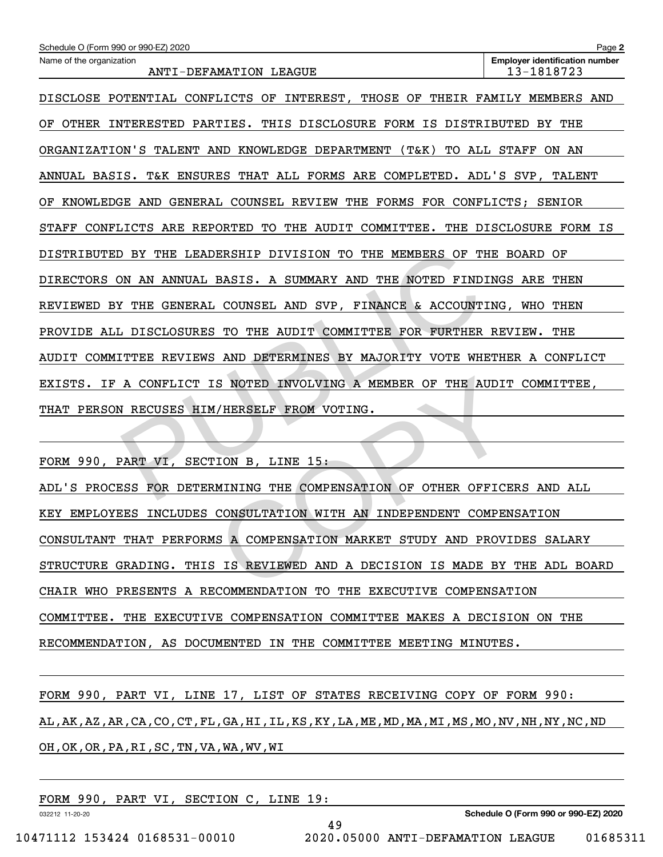| Schedule O (Form 990 or 990-EZ) 2020                                           | Page 2                                              |  |  |  |  |  |  |
|--------------------------------------------------------------------------------|-----------------------------------------------------|--|--|--|--|--|--|
| Name of the organization<br>ANTI-DEFAMATION LEAGUE                             | <b>Employer identification number</b><br>13-1818723 |  |  |  |  |  |  |
| DISCLOSE POTENTIAL CONFLICTS OF INTEREST, THOSE OF THEIR FAMILY MEMBERS AND    |                                                     |  |  |  |  |  |  |
| OTHER INTERESTED PARTIES. THIS DISCLOSURE FORM IS DISTRIBUTED BY THE<br>OF.    |                                                     |  |  |  |  |  |  |
| ORGANIZATION'S TALENT AND KNOWLEDGE DEPARTMENT (T&K) TO ALL STAFF ON AN        |                                                     |  |  |  |  |  |  |
| ANNUAL BASIS. T&K ENSURES THAT ALL FORMS ARE COMPLETED. ADL'S SVP, TALENT      |                                                     |  |  |  |  |  |  |
| KNOWLEDGE AND GENERAL COUNSEL REVIEW THE FORMS FOR CONFLICTS; SENIOR<br>ΟF     |                                                     |  |  |  |  |  |  |
| CONFLICTS ARE REPORTED TO THE AUDIT COMMITTEE. THE DISCLOSURE FORM IS<br>STAFF |                                                     |  |  |  |  |  |  |
| DISTRIBUTED BY THE LEADERSHIP DIVISION TO THE MEMBERS OF THE BOARD OF          |                                                     |  |  |  |  |  |  |
| DIRECTORS ON AN ANNUAL BASIS. A SUMMARY AND THE NOTED FINDINGS ARE THEN        |                                                     |  |  |  |  |  |  |
| REVIEWED BY THE GENERAL COUNSEL AND SVP, FINANCE & ACCOUNTING, WHO THEN        |                                                     |  |  |  |  |  |  |
| PROVIDE ALL DISCLOSURES TO THE AUDIT COMMITTEE FOR FURTHER REVIEW. THE         |                                                     |  |  |  |  |  |  |
| AUDIT COMMITTEE REVIEWS AND DETERMINES BY MAJORITY VOTE WHETHER A CONFLICT     |                                                     |  |  |  |  |  |  |
| EXISTS. IF A CONFLICT IS NOTED INVOLVING A MEMBER OF THE AUDIT COMMITTEE,      |                                                     |  |  |  |  |  |  |
| PERSON RECUSES HIM/HERSELF FROM VOTING.<br>THAT                                |                                                     |  |  |  |  |  |  |
|                                                                                |                                                     |  |  |  |  |  |  |
| FORM 990, PART VI, SECTION B, LINE 15:                                         |                                                     |  |  |  |  |  |  |
| ADL'S PROCESS FOR DETERMINING THE COMPENSATION OF OTHER OFFICERS AND ALL       |                                                     |  |  |  |  |  |  |

ADL'S PROCESS FOR DETERMINING THE COMPENSATION OF OTHER OFFICERS AND ALL KEY EMPLOYEES INCLUDES CONSULTATION WITH AN INDEPENDENT COMPENSATION CONSULTANT THAT PERFORMS A COMPENSATION MARKET STUDY AND PROVIDES SALARY STRUCTURE GRADING. THIS IS REVIEWED AND A DECISION IS MADE BY THE ADL BOARD CHAIR WHO PRESENTS A RECOMMENDATION TO THE EXECUTIVE COMPENSATION COMMITTEE. THE EXECUTIVE COMPENSATION COMMITTEE MAKES A DECISION ON THE RECOMMENDATION, AS DOCUMENTED IN THE COMMITTEE MEETING MINUTES. S NOTED INVOLVING A MEMBER OF THE AUDIT<br>I/HERSELF FROM VOTING.<br>TION B, LINE 15:<br>MINING THE COMPENSATION OF OTHER OFFICE<br>CONSULTATION WITH AN INDEPENDENT COMPEN<br>IS A COMPENSATION MARKET STUDY AND PROVI<br>SIS A COMPENSATION MA

FORM 990, PART VI, LINE 17, LIST OF STATES RECEIVING COPY OF FORM 990: AL,AK,AZ,AR,CA,CO,CT,FL,GA,HI,IL,KS,KY,LA,ME,MD,MA,MI,MS,MO,NV,NH,NY,NC,ND OH,OK,OR,PA,RI,SC,TN,VA,WA,WV,WI

49

FORM 990, PART VI, SECTION C, LINE 19:

**Schedule O (Form 990 or 990-EZ) 2020**

032212 11-20-20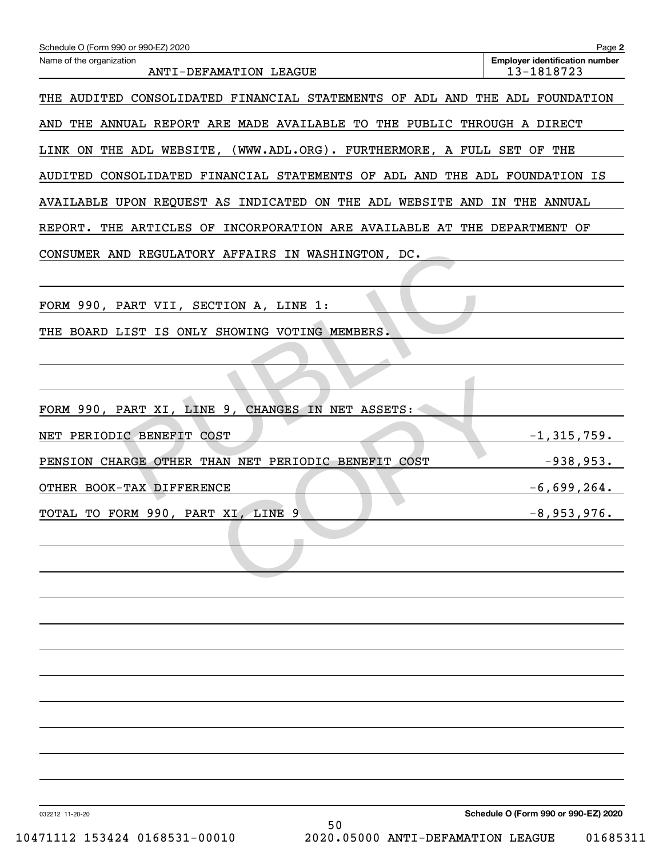| Schedule O (Form 990 or 990-EZ) 2020                                        | Page 2                                              |
|-----------------------------------------------------------------------------|-----------------------------------------------------|
| Name of the organization<br>ANTI-DEFAMATION LEAGUE                          | <b>Employer identification number</b><br>13-1818723 |
| THE AUDITED CONSOLIDATED FINANCIAL STATEMENTS OF ADL AND THE ADL FOUNDATION |                                                     |
| AND THE ANNUAL REPORT ARE MADE AVAILABLE TO THE PUBLIC THROUGH A DIRECT     |                                                     |
| LINK ON THE ADL WEBSITE, (WWW.ADL.ORG). FURTHERMORE, A FULL SET OF THE      |                                                     |
| AUDITED CONSOLIDATED FINANCIAL STATEMENTS OF ADL AND THE ADL FOUNDATION IS  |                                                     |
| AVAILABLE UPON REQUEST AS INDICATED ON THE ADL WEBSITE AND IN THE ANNUAL    |                                                     |
| REPORT. THE ARTICLES OF INCORPORATION ARE AVAILABLE AT THE DEPARTMENT OF    |                                                     |
| CONSUMER AND REGULATORY AFFAIRS IN WASHINGTON, DC.                          |                                                     |
|                                                                             |                                                     |
| FORM 990, PART VII, SECTION A, LINE 1:                                      |                                                     |
| THE BOARD LIST IS ONLY SHOWING VOTING MEMBERS.                              |                                                     |
|                                                                             |                                                     |
|                                                                             |                                                     |
| FORM 990, PART XI, LINE 9, CHANGES IN NET ASSETS:                           |                                                     |
| NET PERIODIC BENEFIT COST                                                   | $-1, 315, 759.$                                     |
| PENSION CHARGE OTHER THAN NET PERIODIC BENEFIT COST                         | $-938,953.$                                         |
| OTHER BOOK-TAX DIFFERENCE                                                   | $-6,699,264.$                                       |
| TOTAL TO FORM 990, PART XI, LINE 9                                          | $-8,953,976.$                                       |
|                                                                             |                                                     |
|                                                                             |                                                     |
|                                                                             |                                                     |
|                                                                             |                                                     |
|                                                                             |                                                     |
|                                                                             |                                                     |
|                                                                             |                                                     |
|                                                                             |                                                     |
|                                                                             |                                                     |
|                                                                             |                                                     |
|                                                                             |                                                     |

**Schedule O (Form 990 or 990-EZ) 2020**

032212 11-20-20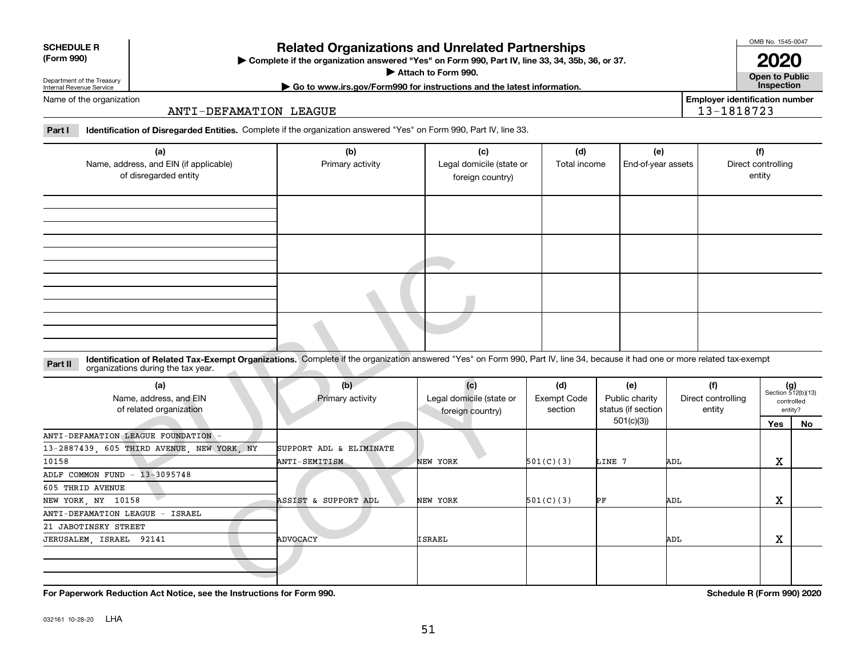|  | <b>For Paperw</b> |
|--|-------------------|
|--|-------------------|

032161 10-28-20 **LHA** 

Department of the Treasury Internal Revenue Service

Name of the organization

**SCHEDULE R (Form 990)**

# 51

| of disregarded entity                                                                                                                                                                                                         |                         | foreign country)                                    |                                      |                                                          |                                     | entity        |                                                      |
|-------------------------------------------------------------------------------------------------------------------------------------------------------------------------------------------------------------------------------|-------------------------|-----------------------------------------------------|--------------------------------------|----------------------------------------------------------|-------------------------------------|---------------|------------------------------------------------------|
|                                                                                                                                                                                                                               |                         |                                                     |                                      |                                                          |                                     |               |                                                      |
|                                                                                                                                                                                                                               |                         |                                                     |                                      |                                                          |                                     |               |                                                      |
|                                                                                                                                                                                                                               |                         |                                                     |                                      |                                                          |                                     |               |                                                      |
|                                                                                                                                                                                                                               |                         |                                                     |                                      |                                                          |                                     |               |                                                      |
|                                                                                                                                                                                                                               |                         |                                                     |                                      |                                                          |                                     |               |                                                      |
|                                                                                                                                                                                                                               |                         |                                                     |                                      |                                                          |                                     |               |                                                      |
| Identification of Related Tax-Exempt Organizations. Complete if the organization answered "Yes" on Form 990, Part IV, line 34, because it had one or more related tax-exempt<br>Part II<br>organizations during the tax year. |                         |                                                     |                                      |                                                          |                                     |               |                                                      |
| (a)<br>Name, address, and EIN<br>of related organization                                                                                                                                                                      | (b)<br>Primary activity | (c)<br>Legal domicile (state or<br>foreign country) | (d)<br><b>Exempt Code</b><br>section | (e)<br>Public charity<br>status (if section<br>501(c)(3) | (f)<br>Direct controlling<br>entity |               | $(g)$<br>Section 512(b)(13)<br>controlled<br>entity? |
| ANTI-DEFAMATION LEAGUE FOUNDATION -                                                                                                                                                                                           |                         |                                                     |                                      |                                                          |                                     | Yes           | <b>No</b>                                            |
| 13-2887439, 605 THIRD AVENUE, NEW YORK, NY                                                                                                                                                                                    | SUPPORT ADL & ELIMINATE |                                                     |                                      |                                                          |                                     |               |                                                      |
| 10158                                                                                                                                                                                                                         | ANTI-SEMITISM           | NEW YORK                                            | 501(C)(3)                            | LINE 7                                                   | ADL                                 | X             |                                                      |
| ADLF COMMON FUND - 13-3095748                                                                                                                                                                                                 |                         |                                                     |                                      |                                                          |                                     |               |                                                      |
| 605 THRID AVENUE                                                                                                                                                                                                              |                         |                                                     |                                      |                                                          |                                     |               |                                                      |
| NEW YORK, NY 10158                                                                                                                                                                                                            | ASSIST & SUPPORT ADL    | NEW YORK                                            | 501(C)(3)                            | PF                                                       | ADL                                 | X             |                                                      |
| ANTI-DEFAMATION LEAGUE - ISRAEL                                                                                                                                                                                               |                         |                                                     |                                      |                                                          |                                     |               |                                                      |
| 21 JABOTINSKY STREET                                                                                                                                                                                                          |                         |                                                     |                                      |                                                          |                                     |               |                                                      |
| JERUSALEM, ISRAEL 92141                                                                                                                                                                                                       | <b>ADVOCACY</b>         | ISRAEL                                              |                                      |                                                          | ADL                                 | X             |                                                      |
|                                                                                                                                                                                                                               |                         |                                                     |                                      |                                                          |                                     |               |                                                      |
| $\mathbf{r}$ , and $\mathbf{r}$ , and $\mathbf{r}$ , and $\mathbf{r}$<br>$\cdots$ $\cdots$                                                                                                                                    | .                       |                                                     |                                      |                                                          | . <i>.</i>                          | $\sim$ $\sim$ |                                                      |

# ANTI-DEFAMATION LEAGUE

### **Part I Identification of Disregarded Entities.**  Complete if the organization answered "Yes" on Form 990, Part IV, line 33.

| <b>Related Organizations and Unrelated Partnerships</b>                            |
|------------------------------------------------------------------------------------|
| Complete if the organization angwered "Ves" on Form 000, Dart IV, Jine 33, 34, 35h |

**(a)**

Name, address, and EIN (if applicable) of disregarded entity

**Complete if the organization answered "Yes" on Form 990, Part IV, line 33, 34, 35b, 36, or 37.** |

Primary activity **Legal domicile (state or** 

**Attach to Form 990.**  | **| Go to www.irs.gov/Form990 for instructions and the latest information. Inspection**

**(b) (c) (d) (e) (f)**

**2020**

Total income | End-of-year assets | Direct controlling

**Open to Public**

**Employer identification number**

entity

13-1818723

| Rel |
|-----|

**For Paperwork Reduction Act Notice, see the Instructions for Form 990. Schedule R (Form 990) 2020**

OMB No. 1545-0047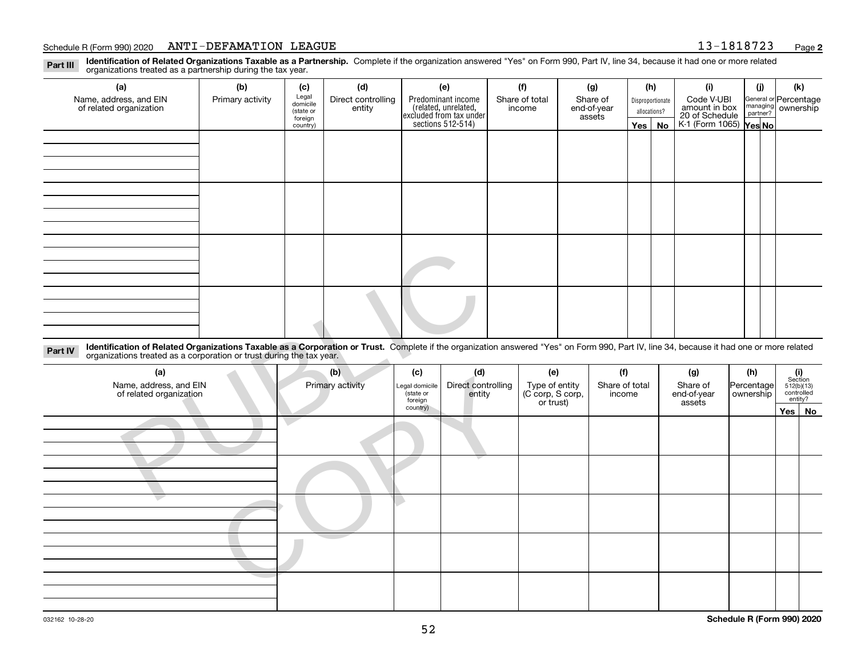#### Schedule R (Form 990) 2020 <code>ANTI-DEFAMATION LEAGUE</code>  $13\, -\, 1818723$  Page

**2**

**Identification of Related Organizations Taxable as a Partnership.** Complete if the organization answered "Yes" on Form 990, Part IV, line 34, because it had one or more related **Part III** organizations treated as a partnership during the tax year.

| (a)                     | (b)              | (c)                                     | (d)    | (e)                                                                                        | (f)            | (g)                   | (h)              |              | (i)                                                              | (j) | (k)                                                       |
|-------------------------|------------------|-----------------------------------------|--------|--------------------------------------------------------------------------------------------|----------------|-----------------------|------------------|--------------|------------------------------------------------------------------|-----|-----------------------------------------------------------|
| Name, address, and EIN  | Primary activity | Legal<br>domicile<br>Direct controlling |        | Predominant income<br>(related, unrelated,<br>excluded from tax under<br>sections 512-514) | Share of total | Share of              | Disproportionate |              | Code V-UBI                                                       |     | General or Percentage<br>managing<br>partner?<br>partner? |
| of related organization |                  | (state or<br>foreign                    | entity |                                                                                            | income         | end-of-year<br>assets |                  | allocations? | amount in box<br>20 of Schedule<br>K-1 (Form 1065) <b>Yes No</b> |     |                                                           |
|                         |                  | country)                                |        |                                                                                            |                |                       |                  | Yes   No     |                                                                  |     |                                                           |
|                         |                  |                                         |        |                                                                                            |                |                       |                  |              |                                                                  |     |                                                           |
|                         |                  |                                         |        |                                                                                            |                |                       |                  |              |                                                                  |     |                                                           |
|                         |                  |                                         |        |                                                                                            |                |                       |                  |              |                                                                  |     |                                                           |
|                         |                  |                                         |        |                                                                                            |                |                       |                  |              |                                                                  |     |                                                           |
|                         |                  |                                         |        |                                                                                            |                |                       |                  |              |                                                                  |     |                                                           |
|                         |                  |                                         |        |                                                                                            |                |                       |                  |              |                                                                  |     |                                                           |
|                         |                  |                                         |        |                                                                                            |                |                       |                  |              |                                                                  |     |                                                           |
|                         |                  |                                         |        |                                                                                            |                |                       |                  |              |                                                                  |     |                                                           |
|                         |                  |                                         |        |                                                                                            |                |                       |                  |              |                                                                  |     |                                                           |
|                         |                  |                                         |        |                                                                                            |                |                       |                  |              |                                                                  |     |                                                           |
|                         |                  |                                         |        |                                                                                            |                |                       |                  |              |                                                                  |     |                                                           |
|                         |                  |                                         |        |                                                                                            |                |                       |                  |              |                                                                  |     |                                                           |
|                         |                  |                                         |        |                                                                                            |                |                       |                  |              |                                                                  |     |                                                           |
|                         |                  |                                         |        |                                                                                            |                |                       |                  |              |                                                                  |     |                                                           |
|                         |                  |                                         |        |                                                                                            |                |                       |                  |              |                                                                  |     |                                                           |
|                         |                  |                                         |        |                                                                                            |                |                       |                  |              |                                                                  |     |                                                           |
|                         |                  |                                         |        |                                                                                            |                |                       |                  |              |                                                                  |     |                                                           |

| Identification of Related Organizations Taxable as a Corporation or Trust. Complete if the organization answered "Yes" on Form 990, Part IV, line 34, because it had one or more related organizations treated as a corporatio<br>Part IV |                         |                                   |                           |                                           |                       |                       |                   |                                              |                   |
|-------------------------------------------------------------------------------------------------------------------------------------------------------------------------------------------------------------------------------------------|-------------------------|-----------------------------------|---------------------------|-------------------------------------------|-----------------------|-----------------------|-------------------|----------------------------------------------|-------------------|
| (a)<br>Name, address, and EIN<br>of related organization                                                                                                                                                                                  | (b)<br>Primary activity | (c)<br>Legal domicile<br>state or | (d)<br>Direct controlling | (e)<br>Type of entity<br>(C corp, S corp, | (f)<br>Share of total | (g)<br>Share of       | (h)<br>Percentage | (i)<br>Section<br>$512(b)(13)$<br>controlled |                   |
|                                                                                                                                                                                                                                           |                         | foreign<br>country)               | entity                    | or trust)                                 | income                | end-of-year<br>assets | ownership         |                                              | entity?<br>Yes No |
|                                                                                                                                                                                                                                           |                         |                                   |                           |                                           |                       |                       |                   |                                              |                   |
|                                                                                                                                                                                                                                           |                         |                                   |                           |                                           |                       |                       |                   |                                              |                   |
|                                                                                                                                                                                                                                           |                         |                                   |                           |                                           |                       |                       |                   |                                              |                   |
|                                                                                                                                                                                                                                           |                         |                                   |                           |                                           |                       |                       |                   |                                              |                   |
|                                                                                                                                                                                                                                           |                         |                                   |                           |                                           |                       |                       |                   |                                              |                   |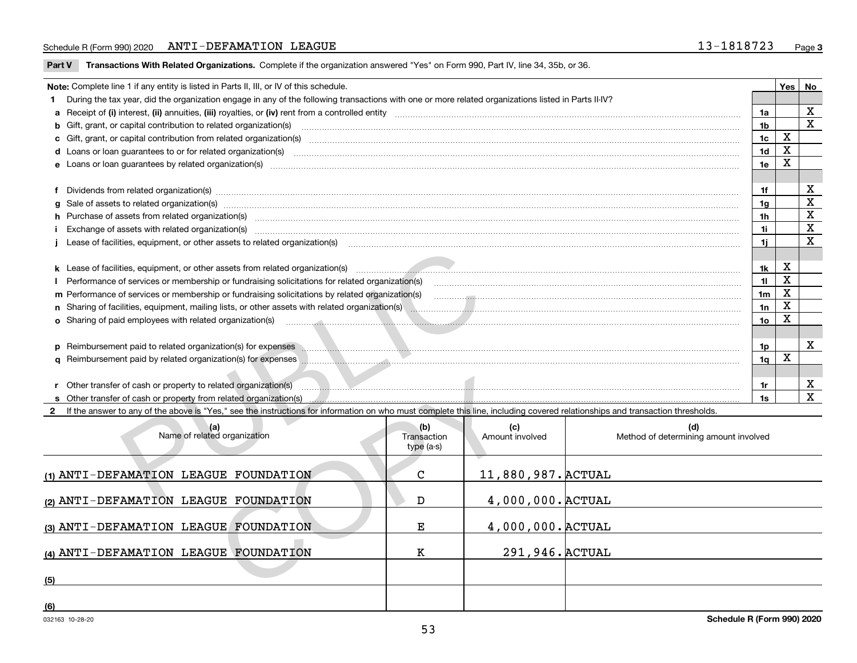#### Schedule R (Form 990) 2020 <code>ANTI-DEFAMATION LEAGUE</code>  $13\, -\, 1818723$  Page

**Part V** T**ransactions With Related Organizations.** Complete if the organization answered "Yes" on Form 990, Part IV, line 34, 35b, or 36.

|                                                                 | Note: Complete line 1 if any entity is listed in Parts II, III, or IV of this schedule.                                                                                                                                              |                                   |                        |                                              |                | Yes                     | No                      |  |
|-----------------------------------------------------------------|--------------------------------------------------------------------------------------------------------------------------------------------------------------------------------------------------------------------------------------|-----------------------------------|------------------------|----------------------------------------------|----------------|-------------------------|-------------------------|--|
|                                                                 | 1 During the tax year, did the organization engage in any of the following transactions with one or more related organizations listed in Parts II-IV?                                                                                |                                   |                        |                                              |                |                         |                         |  |
|                                                                 |                                                                                                                                                                                                                                      |                                   |                        |                                              | 1a             |                         | X                       |  |
|                                                                 |                                                                                                                                                                                                                                      |                                   |                        |                                              | 1 <sub>b</sub> |                         | $\overline{\text{x}}$   |  |
|                                                                 |                                                                                                                                                                                                                                      |                                   |                        |                                              | 1 <sub>c</sub> | $\mathbf x$             |                         |  |
|                                                                 | d Loans or loan guarantees to or for related organization(s)                                                                                                                                                                         |                                   |                        |                                              | 1 <sub>d</sub> | X                       |                         |  |
|                                                                 | 1e                                                                                                                                                                                                                                   |                                   |                        |                                              |                |                         |                         |  |
|                                                                 |                                                                                                                                                                                                                                      |                                   |                        |                                              |                |                         |                         |  |
|                                                                 |                                                                                                                                                                                                                                      |                                   |                        |                                              | 1f             |                         | X                       |  |
|                                                                 | g Sale of assets to related organization(s) www.communicallycommunicallycommunicallycommunicallycommunicallycommunicallycommunicallycommunicallycommunicallycommunicallycommunicallycommunicallycommunicallycommunicallycommun       |                                   |                        |                                              | 1 <sub>g</sub> |                         | $\overline{\mathbf{x}}$ |  |
|                                                                 | h Purchase of assets from related organization(s) manufactured content to content the content of the content of the content of the content of the content of the content of the content of the content of the content of the c       |                                   |                        |                                              | 1h             |                         | $\overline{\textbf{X}}$ |  |
|                                                                 | Exchange of assets with related organization(s) www.walescommunity.com/walescommunity/walescommunity/walescommunity/walescommunity/walescommunity/walescommunity/walescommunity/walescommunity/walescommunity/walescommunity/w       |                                   |                        |                                              | 1i.            |                         | $\overline{\mathbf{x}}$ |  |
|                                                                 |                                                                                                                                                                                                                                      |                                   |                        |                                              | 1i.            |                         | $\overline{\mathbf{x}}$ |  |
|                                                                 |                                                                                                                                                                                                                                      |                                   |                        |                                              |                |                         |                         |  |
|                                                                 | k Lease of facilities, equipment, or other assets from related organization(s) manufactured and contain and content and content and content and content and content and content and content and content and content and conten       |                                   |                        |                                              | 1k             | X<br>$\mathbf x$        |                         |  |
|                                                                 | 11<br>Performance of services or membership or fundraising solicitations for related organization(s) manufaction manufacturer content of the services or membership or fundraising solicitations for related organization(s) manufac |                                   |                        |                                              |                |                         |                         |  |
|                                                                 | m Performance of services or membership or fundraising solicitations by related organization(s)<br>1 <sub>m</sub>                                                                                                                    |                                   |                        |                                              |                |                         |                         |  |
|                                                                 | 1n                                                                                                                                                                                                                                   |                                   |                        |                                              |                |                         |                         |  |
|                                                                 |                                                                                                                                                                                                                                      |                                   |                        |                                              |                |                         |                         |  |
|                                                                 |                                                                                                                                                                                                                                      |                                   |                        |                                              |                |                         |                         |  |
|                                                                 | p Reimbursement paid to related organization(s) for expenses <b>Manual Manual Communities</b> excessive and a construction of the set of the set of the set of the set of the set of the set of the set of the set of the set of th  |                                   |                        |                                              | 1p             |                         | X                       |  |
|                                                                 | q Reimbursement paid by related organization(s) for expenses <b>with an all contracts</b> and all continuum and all contracts and all contracts and all contracts and all contracts and all contracts and all contracts and all con  |                                   |                        |                                              | 1 <sub>q</sub> | $\overline{\mathbf{x}}$ |                         |  |
|                                                                 |                                                                                                                                                                                                                                      |                                   |                        |                                              |                |                         |                         |  |
|                                                                 |                                                                                                                                                                                                                                      |                                   |                        |                                              | 1r             |                         | X                       |  |
|                                                                 | s Other transfer of cash or property from related organization(s)                                                                                                                                                                    |                                   |                        |                                              | 1s             |                         | $\mathbf{x}$            |  |
| $\mathbf{2}$                                                    | If the answer to any of the above is "Yes," see the instructions for information on who must complete this line, including covered relationships and transaction thresholds.                                                         |                                   |                        |                                              |                |                         |                         |  |
|                                                                 | (a)<br>Name of related organization                                                                                                                                                                                                  | (b)<br>Transaction<br>$type(a-s)$ | (c)<br>Amount involved | (d)<br>Method of determining amount involved |                |                         |                         |  |
|                                                                 | (1) ANTI-DEFAMATION LEAGUE FOUNDATION                                                                                                                                                                                                | C                                 | 11,880,987. ACTUAL     |                                              |                |                         |                         |  |
|                                                                 | 4,000,000. ACTUAL<br>(2) ANTI-DEFAMATION LEAGUE FOUNDATION<br>D                                                                                                                                                                      |                                   |                        |                                              |                |                         |                         |  |
| 4,000,000. ACTUAL<br>(3) ANTI-DEFAMATION LEAGUE FOUNDATION<br>Е |                                                                                                                                                                                                                                      |                                   |                        |                                              |                |                         |                         |  |
|                                                                 | (4) ANTI-DEFAMATION LEAGUE FOUNDATION                                                                                                                                                                                                | K                                 | 291, 946. ACTUAL       |                                              |                |                         |                         |  |
| (5)                                                             |                                                                                                                                                                                                                                      |                                   |                        |                                              |                |                         |                         |  |
|                                                                 |                                                                                                                                                                                                                                      |                                   |                        |                                              |                |                         |                         |  |

**(6)**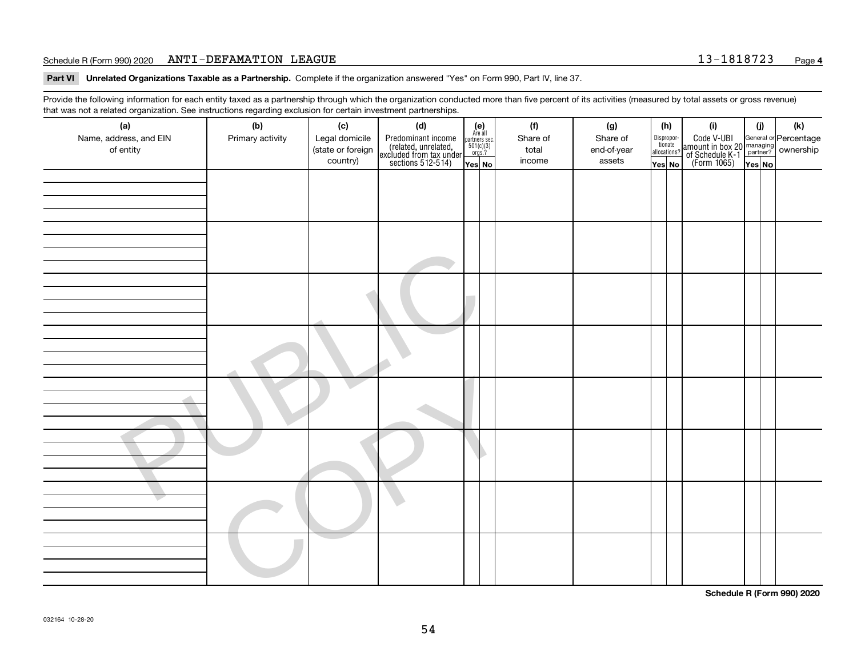**Part VI Unrelated Organizations Taxable as a Partnership. Complete if the organization answered "Yes" on Form 990, Part IV, line 37.** 

Provide the following information for each entity taxed as a partnership through which the organization conducted more than five percent of its activities (measured by total assets or gross revenue) that was not a related organization. See instructions regarding exclusion for certain investment partnerships.

| (a)<br>Name, address, and EIN<br>of entity | (b)<br>Primary activity | (c)<br>Legal domicile<br>(state or foreign<br>country) | (d)<br>Predominant income<br>(related, unrelated,<br>excluded from tax under<br>sections 512-514) | (e)<br>Are all<br>partners sec.<br>501(c)(3)<br>orgs.?<br>Yes No | (f)<br>Share of<br>total<br>income | (g)<br>Share of<br>end-of-year<br>assets | (h)<br>Disproportionate<br>allocations?<br>Yes No | (i)<br>Code V-UBI<br>amount in box 20 managing<br>of Schedule K-1<br>(Form 1065)<br>$\overline{Yes}$ No | (i)<br>Yes No     | $(\mathsf{k})$ |
|--------------------------------------------|-------------------------|--------------------------------------------------------|---------------------------------------------------------------------------------------------------|------------------------------------------------------------------|------------------------------------|------------------------------------------|---------------------------------------------------|---------------------------------------------------------------------------------------------------------|-------------------|----------------|
|                                            |                         |                                                        |                                                                                                   |                                                                  |                                    |                                          |                                                   |                                                                                                         |                   |                |
|                                            |                         |                                                        |                                                                                                   |                                                                  |                                    |                                          |                                                   |                                                                                                         |                   |                |
|                                            |                         |                                                        |                                                                                                   |                                                                  |                                    |                                          |                                                   |                                                                                                         |                   |                |
|                                            |                         |                                                        |                                                                                                   |                                                                  |                                    |                                          |                                                   |                                                                                                         |                   |                |
|                                            |                         |                                                        |                                                                                                   |                                                                  |                                    |                                          |                                                   |                                                                                                         | $\cdots$ $\cdots$ |                |

**Schedule R (Form 990) 2020**